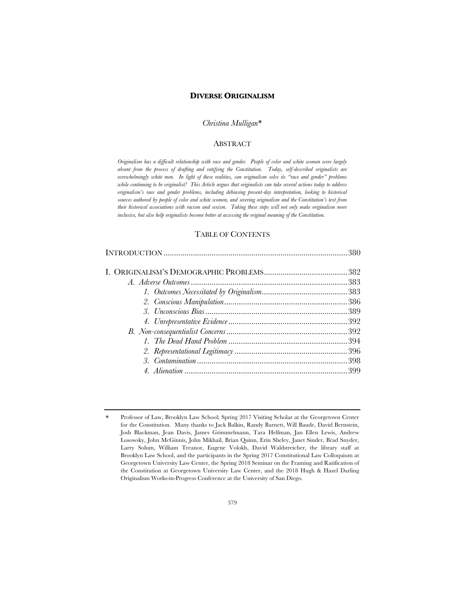# **DIVERSE ORIGINALISM**

## *Christina Mulligan*\*

# **ABSTRACT**

*Originalism has a difficult relationship with race and gender. People of color and white women were largely absent from the process of drafting and ratifying the Constitution. Today, self-described originalists are overwhelmingly white men. In light of these realities, can originalism solve its "race and gender" problems while continuing to be originalist? This Article argues that originalists can take several actions today to address originalism's race and gender problems, including debiasing present-day interpretation, looking to historical sources authored by people of color and white women, and severing originalism and the Constitution's text from their historical associations with racism and sexism. Taking these steps will not only make originalism more inclusive, but also help originalists become better at accessing the original meaning of the Constitution.*

## TABLE OF CONTENTS

<sup>\*</sup> Professor of Law, Brooklyn Law School; Spring 2017 Visiting Scholar at the Georgetown Center for the Constitution. Many thanks to Jack Balkin, Randy Barnett, Will Baude, David Bernstein, Josh Blackman, Jean Davis, James Grimmelmann, Tara Helfman, Jan Ellen Lewis, Andrew Losowsky, John McGinnis, John Mikhail, Brian Quinn, Erin Sheley, Janet Sinder, Brad Snyder, Larry Solum, William Treanor, Eugene Volokh, David Waldstreicher, the library staff at Brooklyn Law School, and the participants in the Spring 2017 Constitutional Law Colloquium at Georgetown University Law Center, the Spring 2018 Seminar on the Framing and Ratification of the Constitution at Georgetown University Law Center, and the 2018 Hugh & Hazel Darling Originalism Works-in-Progress Conference at the University of San Diego.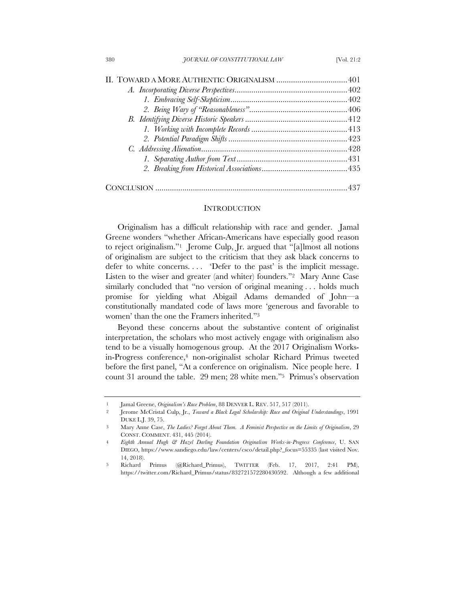### **INTRODUCTION**

Originalism has a difficult relationship with race and gender. Jamal Greene wonders "whether African-Americans have especially good reason to reject originalism."1 Jerome Culp, Jr. argued that "[a]lmost all notions of originalism are subject to the criticism that they ask black concerns to defer to white concerns.... 'Defer to the past' is the implicit message. Listen to the wiser and greater (and whiter) founders."2 Mary Anne Case similarly concluded that "no version of original meaning . . . holds much promise for yielding what Abigail Adams demanded of John—a constitutionally mandated code of laws more 'generous and favorable to women' than the one the Framers inherited."3

Beyond these concerns about the substantive content of originalist interpretation, the scholars who most actively engage with originalism also tend to be a visually homogenous group. At the 2017 Originalism Worksin-Progress conference,<sup>4</sup> non-originalist scholar Richard Primus tweeted before the first panel, "At a conference on originalism. Nice people here. I count 31 around the table. 29 men; 28 white men."5 Primus's observation

<sup>1</sup> Jamal Greene, *Originalism's Race Problem*, 88 DENVER L. REV. 517, 517 (2011).

<sup>2</sup> Jerome McCristal Culp, Jr., *Toward a Black Legal Scholarship: Race and Original Understandings*, 1991 DUKE L.J. 39, 75.

<sup>3</sup> Mary Anne Case, *The Ladies? Forget About Them. A Feminist Perspective on the Limits of Originalism*, 29 CONST. COMMENT. 431, 445 (2014).

<sup>4</sup> *Eighth Annual Hugh & Hazel Darling Foundation Originalism Works-in-Progress Conference*, U. SAN DIEGO, https://www.sandiego.edu/law/centers/csco/detail.php?\_focus=55335 (last visited Nov. 14, 2018).

<sup>5</sup> Richard Primus (@Richard\_Primus), TWITTER (Feb. 17, 2017, 2:41 PM), https://twitter.com/Richard\_Primus/status/832721572280430592. Although a few additional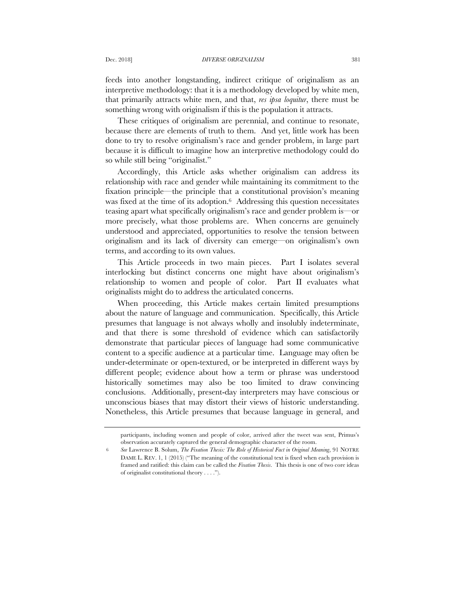feeds into another longstanding, indirect critique of originalism as an interpretive methodology: that it is a methodology developed by white men, that primarily attracts white men, and that, *res ipsa loquitur*, there must be something wrong with originalism if this is the population it attracts.

These critiques of originalism are perennial, and continue to resonate, because there are elements of truth to them. And yet, little work has been done to try to resolve originalism's race and gender problem, in large part because it is difficult to imagine how an interpretive methodology could do so while still being "originalist."

Accordingly, this Article asks whether originalism can address its relationship with race and gender while maintaining its commitment to the fixation principle—the principle that a constitutional provision's meaning was fixed at the time of its adoption.<sup>6</sup> Addressing this question necessitates teasing apart what specifically originalism's race and gender problem is—or more precisely, what those problems are. When concerns are genuinely understood and appreciated, opportunities to resolve the tension between originalism and its lack of diversity can emerge—on originalism's own terms, and according to its own values.

This Article proceeds in two main pieces. Part I isolates several interlocking but distinct concerns one might have about originalism's relationship to women and people of color. Part II evaluates what originalists might do to address the articulated concerns.

When proceeding, this Article makes certain limited presumptions about the nature of language and communication. Specifically, this Article presumes that language is not always wholly and insolubly indeterminate, and that there is some threshold of evidence which can satisfactorily demonstrate that particular pieces of language had some communicative content to a specific audience at a particular time. Language may often be under-determinate or open-textured, or be interpreted in different ways by different people; evidence about how a term or phrase was understood historically sometimes may also be too limited to draw convincing conclusions. Additionally, present-day interpreters may have conscious or unconscious biases that may distort their views of historic understanding. Nonetheless, this Article presumes that because language in general, and

participants, including women and people of color, arrived after the tweet was sent, Primus's observation accurately captured the general demographic character of the room.

<sup>6</sup> *See* Lawrence B. Solum, *The Fixation Thesis: The Role of Historical Fact in Original Meaning*, 91 NOTRE DAME L. REV. 1, 1 (2015) ("The meaning of the constitutional text is fixed when each provision is framed and ratified: this claim can be called the *Fixation Thesis*. This thesis is one of two core ideas of originalist constitutional theory . . . .").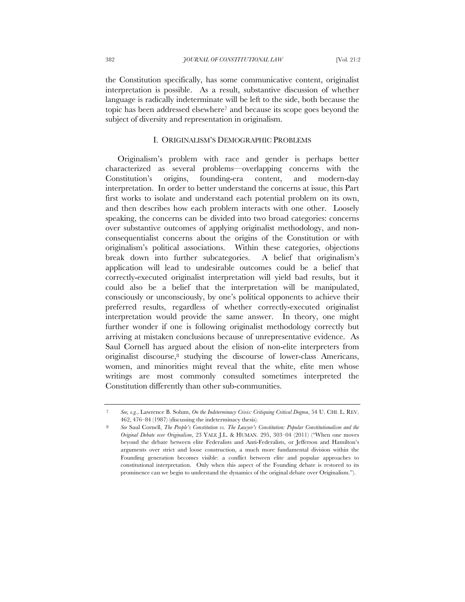the Constitution specifically, has some communicative content, originalist interpretation is possible. As a result, substantive discussion of whether language is radically indeterminate will be left to the side, both because the topic has been addressed elsewhere7 and because its scope goes beyond the subject of diversity and representation in originalism.

# I. ORIGINALISM'S DEMOGRAPHIC PROBLEMS

Originalism's problem with race and gender is perhaps better characterized as several problems—overlapping concerns with the Constitution's origins, founding-era content, and modern-day interpretation. In order to better understand the concerns at issue, this Part first works to isolate and understand each potential problem on its own, and then describes how each problem interacts with one other. Loosely speaking, the concerns can be divided into two broad categories: concerns over substantive outcomes of applying originalist methodology, and nonconsequentialist concerns about the origins of the Constitution or with originalism's political associations. Within these categories, objections break down into further subcategories. A belief that originalism's application will lead to undesirable outcomes could be a belief that correctly-executed originalist interpretation will yield bad results, but it could also be a belief that the interpretation will be manipulated, consciously or unconsciously, by one's political opponents to achieve their preferred results, regardless of whether correctly-executed originalist interpretation would provide the same answer. In theory, one might further wonder if one is following originalist methodology correctly but arriving at mistaken conclusions because of unrepresentative evidence. As Saul Cornell has argued about the elision of non-elite interpreters from originalist discourse,8 studying the discourse of lower-class Americans, women, and minorities might reveal that the white, elite men whose writings are most commonly consulted sometimes interpreted the Constitution differently than other sub-communities.

<sup>7</sup> *See, e.g.*, Lawrence B. Solum, *On the Indeterminacy Crisis: Critiquing Critical Dogma*, 54 U. CHI. L. REV. 462, 476–84 (1987) (discussing the indeterminacy thesis).

<sup>8</sup> *See* Saul Cornell, *The People's Constitution vs. The Lawyer's Constitution: Popular Constitutionalism and the Original Debate over Originalism*, 23 YALE J.L. & HUMAN. 295, 303–04 (2011) ("When one moves beyond the debate between elite Federalists and Anti-Federalists, or Jefferson and Hamilton's arguments over strict and loose construction, a much more fundamental division within the Founding generation becomes visible: a conflict between elite and popular approaches to constitutional interpretation. Only when this aspect of the Founding debate is restored to its prominence can we begin to understand the dynamics of the original debate over Originalism.").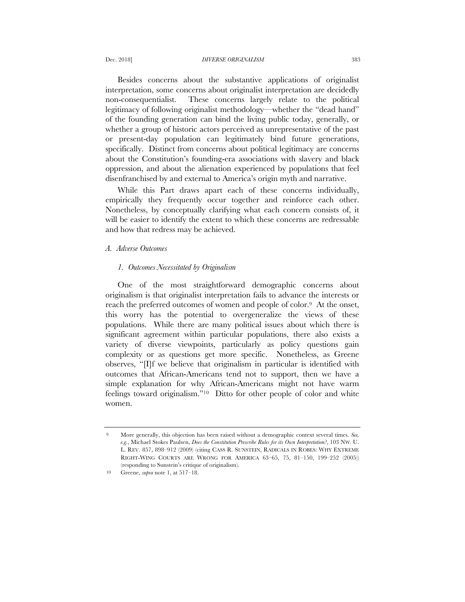Besides concerns about the substantive applications of originalist interpretation, some concerns about originalist interpretation are decidedly non-consequentialist. These concerns largely relate to the political legitimacy of following originalist methodology—whether the "dead hand" of the founding generation can bind the living public today, generally, or whether a group of historic actors perceived as unrepresentative of the past or present-day population can legitimately bind future generations, specifically. Distinct from concerns about political legitimacy are concerns about the Constitution's founding-era associations with slavery and black oppression, and about the alienation experienced by populations that feel disenfranchised by and external to America's origin myth and narrative.

While this Part draws apart each of these concerns individually, empirically they frequently occur together and reinforce each other. Nonetheless, by conceptually clarifying what each concern consists of, it will be easier to identify the extent to which these concerns are redressable and how that redress may be achieved.

### *A. Adverse Outcomes*

## *1. Outcomes Necessitated by Originalism*

One of the most straightforward demographic concerns about originalism is that originalist interpretation fails to advance the interests or reach the preferred outcomes of women and people of color.9 At the onset, this worry has the potential to overgeneralize the views of these populations. While there are many political issues about which there is significant agreement within particular populations, there also exists a variety of diverse viewpoints, particularly as policy questions gain complexity or as questions get more specific. Nonetheless, as Greene observes, "[I]f we believe that originalism in particular is identified with outcomes that African-Americans tend not to support, then we have a simple explanation for why African-Americans might not have warm feelings toward originalism."10 Ditto for other people of color and white women.

<sup>9</sup> More generally, this objection has been raised without a demographic context several times. *See, e.g.*, Michael Stokes Paulsen, *Does the Constitution Prescribe Rules for its Own Interpretation?*, 103 NW. U. L. REV. 857, 898–912 (2009) (citing CASS R. SUNSTEIN, RADICALS IN ROBES: WHY EXTREME RIGHT-WING COURTS ARE WRONG FOR AMERICA 63–65, 75, 81–150, 199–252 (2005)) (responding to Sunstein's critique of originalism).

<sup>10</sup> Greene, *supra* note 1, at 517–18.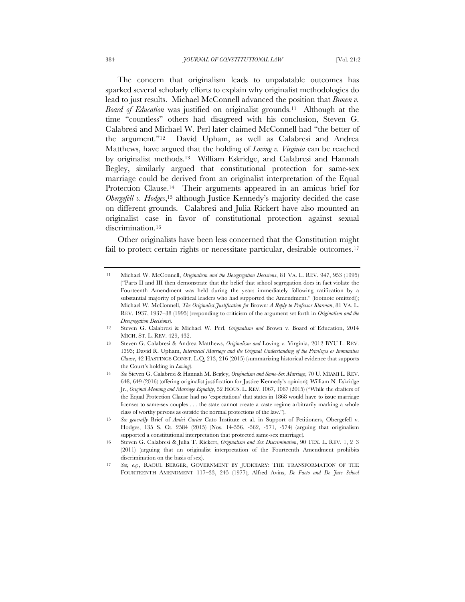The concern that originalism leads to unpalatable outcomes has sparked several scholarly efforts to explain why originalist methodologies do lead to just results. Michael McConnell advanced the position that *Brown v. Board of Education* was justified on originalist grounds.11 Although at the time "countless" others had disagreed with his conclusion, Steven G. Calabresi and Michael W. Perl later claimed McConnell had "the better of the argument."12 David Upham, as well as Calabresi and Andrea Matthews, have argued that the holding of *Loving v. Virginia* can be reached by originalist methods.13 William Eskridge, and Calabresi and Hannah Begley, similarly argued that constitutional protection for same-sex marriage could be derived from an originalist interpretation of the Equal Protection Clause.<sup>14</sup> Their arguments appeared in an amicus brief for *Obergefell v. Hodges*,<sup>15</sup> although Justice Kennedy's majority decided the case on different grounds. Calabresi and Julia Rickert have also mounted an originalist case in favor of constitutional protection against sexual discrimination.<sup>16</sup>

Other originalists have been less concerned that the Constitution might fail to protect certain rights or necessitate particular, desirable outcomes.<sup>17</sup>

<sup>11</sup> Michael W. McConnell, *Originalism and the Desegregation Decisions*, 81 VA. L. REV. 947, 953 (1995) ("Parts II and III then demonstrate that the belief that school segregation does in fact violate the Fourteenth Amendment was held during the years immediately following ratification by a substantial majority of political leaders who had supported the Amendment." (footnote omitted)); Michael W. McConnell, *The Originalist Justification for* Brown*: A Reply to Professor Klarman*, 81 VA. L. REV. 1937, 1937–38 (1995) (responding to criticism of the argument set forth in *Originalism and the Desegregation Decisions*).

<sup>12</sup> Steven G. Calabresi & Michael W. Perl, *Originalism and* Brown v. Board of Education, 2014 MICH. ST. L. REV. 429, 432.

<sup>13</sup> Steven G. Calabresi & Andrea Matthews, *Originalism and* Loving v. Virginia, 2012 BYU L. REV. 1393; David R. Upham, *Interracial Marriage and the Original Understanding of the Privileges or Immunities Clause*, 42 HASTINGS CONST. L.Q. 213, 216 (2015) (summarizing historical evidence that supports the Court's holding in *Loving*).

<sup>14</sup> *See* Steven G. Calabresi & Hannah M. Begley, *Originalism and Same-Sex Marriage*, 70 U. MIAMI L. REV. 648, 649 (2016) (offering originalist justification for Justice Kennedy's opinion); William N. Eskridge Jr., *Original Meaning and Marriage Equality*, 52 HOUS. L. REV. 1067, 1067 (2015) ("While the drafters of the Equal Protection Clause had no 'expectations' that states in 1868 would have to issue marriage licenses to same-sex couples . . . the state cannot create a caste regime arbitrarily marking a whole class of worthy persons as outside the normal protections of the law.").

<sup>15</sup> *See generally* Brief of *Amici Curiae* Cato Institute et al. in Support of Petitioners, Obergefell v. Hodges, 135 S. Ct. 2584 (2015) (Nos. 14-556, -562, -571, -574) (arguing that originalism supported a constitutional interpretation that protected same-sex marriage).

<sup>16</sup> Steven G. Calabresi & Julia T. Rickert, *Originalism and Sex Discrimination*, 90 TEX. L. REV. 1, 2–3 (2011) (arguing that an originalist interpretation of the Fourteenth Amendment prohibits discrimination on the basis of sex).

<sup>17</sup> *See, e.g.*, RAOUL BERGER, GOVERNMENT BY JUDICIARY: THE TRANSFORMATION OF THE FOURTEENTH AMENDMENT 117–33, 245 (1977); Alfred Avins, *De Facto and De Jure School*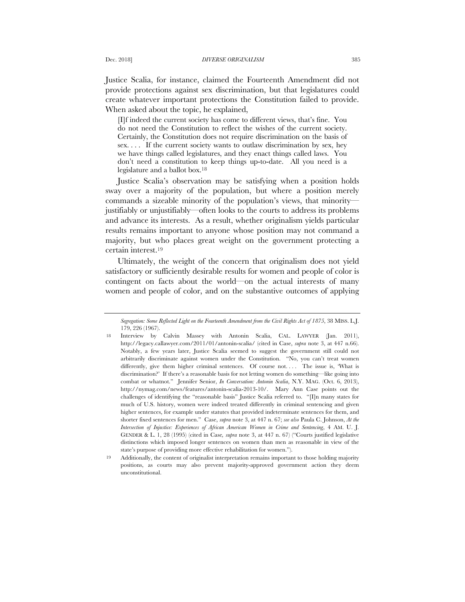Justice Scalia, for instance, claimed the Fourteenth Amendment did not provide protections against sex discrimination, but that legislatures could create whatever important protections the Constitution failed to provide. When asked about the topic, he explained,

[I]f indeed the current society has come to different views, that's fine. You do not need the Constitution to reflect the wishes of the current society. Certainly, the Constitution does not require discrimination on the basis of sex. . . . If the current society wants to outlaw discrimination by sex, hey we have things called legislatures, and they enact things called laws. You don't need a constitution to keep things up-to-date. All you need is a legislature and a ballot box.18

Justice Scalia's observation may be satisfying when a position holds sway over a majority of the population, but where a position merely commands a sizeable minority of the population's views, that minority justifiably or unjustifiably—often looks to the courts to address its problems and advance its interests. As a result, whether originalism yields particular results remains important to anyone whose position may not command a majority, but who places great weight on the government protecting a certain interest.19

Ultimately, the weight of the concern that originalism does not yield satisfactory or sufficiently desirable results for women and people of color is contingent on facts about the world—on the actual interests of many women and people of color, and on the substantive outcomes of applying

*Segregation: Some Reflected Light on the Fourteenth Amendment from the Civil Rights Act of 1875*, 38 MISS. L.J. 179, 226 (1967).

<sup>18</sup> Interview by Calvin Massey with Antonin Scalia, CAL. LAWYER (Jan. 2011), http://legacy.callawyer.com/2011/01/antonin-scalia/ (cited in Case, *supra* note 3, at 447 n.66). Notably, a few years later, Justice Scalia seemed to suggest the government still could not arbitrarily discriminate against women under the Constitution. "No, you can't treat women differently, give them higher criminal sentences. Of course not.... The issue is, 'What is discrimination?' If there's a reasonable basis for not letting women do something—like going into combat or whatnot." Jennifer Senior, *In Conversation: Antonin Scalia*, N.Y. MAG. (Oct. 6, 2013), http://nymag.com/news/features/antonin-scalia-2013-10/. Mary Ann Case points out the challenges of identifying the "reasonable basis" Justice Scalia referred to. "[I]n many states for much of U.S. history, women were indeed treated differently in criminal sentencing and given higher sentences, for example under statutes that provided indeterminate sentences for them, and shorter fixed sentences for men." Case, *supra* note 3, at 447 n. 67; *see also* Paula C. Johnson, *At the Intersection of Injustice: Experiences of African American Women in Crime and Sentencing*, 4 AM. U. J. GENDER & L. 1, 28 (1995) (cited in Case*, supra* note 3, at 447 n. 67) ("Courts justified legislative distinctions which imposed longer sentences on women than men as reasonable in view of the state's purpose of providing more effective rehabilitation for women.").

<sup>19</sup> Additionally, the content of originalist interpretation remains important to those holding majority positions, as courts may also prevent majority-approved government action they deem unconstitutional.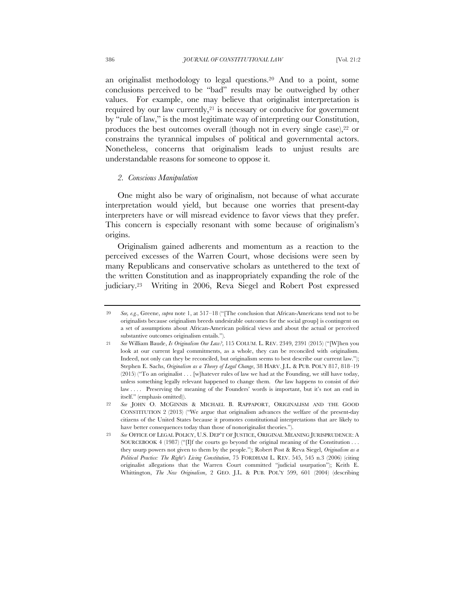an originalist methodology to legal questions.20 And to a point, some conclusions perceived to be "bad" results may be outweighed by other values. For example, one may believe that originalist interpretation is required by our law currently,21 is necessary or conducive for government by "rule of law," is the most legitimate way of interpreting our Constitution, produces the best outcomes overall (though not in every single case),<sup>22</sup> or constrains the tyrannical impulses of political and governmental actors. Nonetheless, concerns that originalism leads to unjust results are understandable reasons for someone to oppose it.

### *2. Conscious Manipulation*

One might also be wary of originalism, not because of what accurate interpretation would yield, but because one worries that present-day interpreters have or will misread evidence to favor views that they prefer. This concern is especially resonant with some because of originalism's origins.

Originalism gained adherents and momentum as a reaction to the perceived excesses of the Warren Court, whose decisions were seen by many Republicans and conservative scholars as untethered to the text of the written Constitution and as inappropriately expanding the role of the judiciary.23 Writing in 2006, Reva Siegel and Robert Post expressed

<sup>20</sup> *See, e.g.*, Greene, *supra* note 1, at 517–18 ("[The conclusion that African-Americans tend not to be originalists because originalism breeds undesirable outcomes for the social group] is contingent on a set of assumptions about African-American political views and about the actual or perceived substantive outcomes originalism entails.").

<sup>21</sup> *See* William Baude, *Is Originalism Our Law?*, 115 COLUM. L. REV. 2349, 2391 (2015) ("[W]hen you look at our current legal commitments, as a whole, they can be reconciled with originalism. Indeed, not only can they be reconciled, but originalism seems to best describe our current law."); Stephen E. Sachs, *Originalism as a Theory of Legal Change*, 38 HARV. J.L. & PUB. POL'Y 817, 818–19  $(2015)$  ("To an originalist . . . [w] hatever rules of law we had at the Founding, we still have today, unless something legally relevant happened to change them. *Our* law happens to consist of *their* law .... Preserving the meaning of the Founders' words is important, but it's not an end in itself." (emphasis omitted)).

<sup>22</sup> *See* JOHN O. MCGINNIS & MICHAEL B. RAPPAPORT, ORIGINALISM AND THE GOOD CONSTITUTION 2 (2013) ("We argue that originalism advances the welfare of the present-day citizens of the United States because it promotes constitutional interpretations that are likely to have better consequences today than those of nonoriginalist theories.").

<sup>23</sup> *See* OFFICE OF LEGAL POLICY, U.S. DEP'T OF JUSTICE, ORIGINAL MEANING JURISPRUDENCE: A SOURCEBOOK 4 (1987) ("[I]f the courts go beyond the original meaning of the Constitution . . . they usurp powers not given to them by the people."); Robert Post & Reva Siegel, *Originalism as a Political Practice: The Right's Living Constitution*, 75 FORDHAM L. REV. 545, 545 n.3 (2006) (citing originalist allegations that the Warren Court committed "judicial usurpation"); Keith E. Whittington, *The New Originalism*, 2 GEO. J.L. & PUB. POL'Y 599, 601 (2004) (describing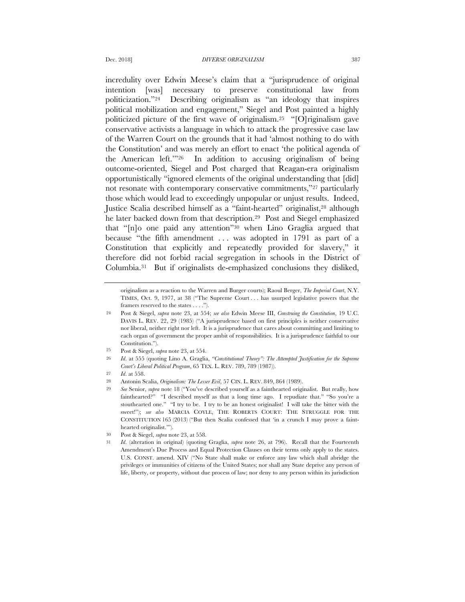incredulity over Edwin Meese's claim that a "jurisprudence of original intention [was] necessary to preserve constitutional law from politicization."24 Describing originalism as "an ideology that inspires political mobilization and engagement," Siegel and Post painted a highly politicized picture of the first wave of originalism.25 "[O]riginalism gave conservative activists a language in which to attack the progressive case law of the Warren Court on the grounds that it had 'almost nothing to do with the Constitution' and was merely an effort to enact 'the political agenda of the American left.'"26 In addition to accusing originalism of being outcome-oriented, Siegel and Post charged that Reagan-era originalism opportunistically "ignored elements of the original understanding that [did] not resonate with contemporary conservative commitments,"27 particularly those which would lead to exceedingly unpopular or unjust results. Indeed, Justice Scalia described himself as a "faint-hearted" originalist,28 although he later backed down from that description.29 Post and Siegel emphasized that "[n]o one paid any attention"30 when Lino Graglia argued that because "the fifth amendment . . . was adopted in 1791 as part of a Constitution that explicitly and repeatedly provided for slavery," it therefore did not forbid racial segregation in schools in the District of Columbia.31 But if originalists de-emphasized conclusions they disliked,

originalism as a reaction to the Warren and Burger courts); Raoul Berger, *The Imperial Court*, N.Y. TIMES, Oct. 9, 1977, at 38 ("The Supreme Court . . . has usurped legislative powers that the framers reserved to the states . . . .").

<sup>24</sup> Post & Siegel, *supra* note 23, at 554; *see also* Edwin Meese III, *Construing the Constitution*, 19 U.C. DAVIS L. REV. 22, 29 (1985) ("A jurisprudence based on first principles is neither conservative nor liberal, neither right nor left. It is a jurisprudence that cares about committing and limiting to each organ of government the proper ambit of responsibilities. It is a jurisprudence faithful to our Constitution.").

<sup>25</sup> Post & Siegel, *supra* note 23, at 554.

<sup>26</sup> *Id*. at 555 (quoting Lino A. Graglia, *"Constitutional Theory": The Attempted Justification for the Supreme Court's Liberal Political Program*, 65 TEX. L. REV. 789, 789 (1987)).

<sup>27</sup> *Id*. at 558.

<sup>28</sup> Antonin Scalia, *Originalism: The Lesser Evil*, 57 CIN. L. REV. 849, 864 (1989).

<sup>29</sup> *See* Senior, *supra* note 18 ("You've described yourself as a fainthearted originalist. But really, how fainthearted?" "I described myself as that a long time ago. I repudiate that." "So you're a stouthearted one." "I try to be. I try to be an honest originalist! I will take the bitter with the sweet!"); *see also* MARCIA COYLE, THE ROBERTS COURT: THE STRUGGLE FOR THE CONSTITUTION 165 (2013) ("But then Scalia confessed that 'in a crunch I may prove a fainthearted originalist.'").

<sup>30</sup> Post & Siegel, *supra* note 23, at 558.

<sup>31</sup> *Id*. (alteration in original) (quoting Graglia, *supra* note 26, at 796). Recall that the Fourteenth Amendment's Due Process and Equal Protection Clauses on their terms only apply to the states. U.S. CONST. amend. XIV ("No State shall make or enforce any law which shall abridge the privileges or immunities of citizens of the United States; nor shall any State deprive any person of life, liberty, or property, without due process of law; nor deny to any person within its jurisdiction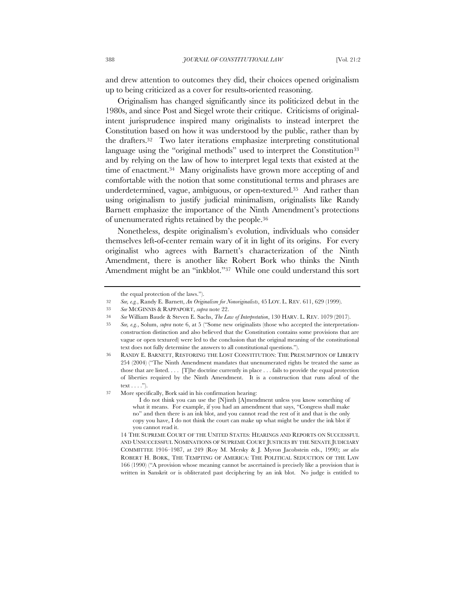and drew attention to outcomes they did, their choices opened originalism up to being criticized as a cover for results-oriented reasoning.

Originalism has changed significantly since its politicized debut in the 1980s, and since Post and Siegel wrote their critique. Criticisms of originalintent jurisprudence inspired many originalists to instead interpret the Constitution based on how it was understood by the public, rather than by the drafters.32 Two later iterations emphasize interpreting constitutional language using the "original methods" used to interpret the Constitution<sup>33</sup> and by relying on the law of how to interpret legal texts that existed at the time of enactment.34 Many originalists have grown more accepting of and comfortable with the notion that some constitutional terms and phrases are underdetermined, vague, ambiguous, or open-textured.35 And rather than using originalism to justify judicial minimalism, originalists like Randy Barnett emphasize the importance of the Ninth Amendment's protections of unenumerated rights retained by the people.36

Nonetheless, despite originalism's evolution, individuals who consider themselves left-of-center remain wary of it in light of its origins. For every originalist who agrees with Barnett's characterization of the Ninth Amendment, there is another like Robert Bork who thinks the Ninth Amendment might be an "inkblot."37 While one could understand this sort

37 More specifically, Bork said in his confirmation hearing:

I do not think you can use the [N]inth [A]mendment unless you know something of what it means. For example, if you had an amendment that says, "Congress shall make no" and then there is an ink blot, and you cannot read the rest of it and that is the only copy you have, I do not think the court can make up what might be under the ink blot if you cannot read it.

14 THE SUPREME COURT OF THE UNITED STATES: HEARINGS AND REPORTS ON SUCCESSFUL AND UNSUCCESSFUL NOMINATIONS OF SUPREME COURT JUSTICES BY THE SENATE JUDICIARY COMMITTEE 1916–1987, at 249 (Roy M. Mersky & J. Myron Jacobstein eds., 1990); *see also*  ROBERT H. BORK, THE TEMPTING OF AMERICA: THE POLITICAL SEDUCTION OF THE LAW 166 (1990) ("A provision whose meaning cannot be ascertained is precisely like a provision that is written in Sanskrit or is obliterated past deciphering by an ink blot. No judge is entitled to

the equal protection of the laws.").

<sup>32</sup> *See, e.g.*, Randy E. Barnett, *An Originalism for Nonoriginalists*, 45 LOY. L. REV. 611, 629 (1999).

<sup>33</sup> *See* MCGINNIS & RAPPAPORT, *supra* note 22.

<sup>34</sup> *See* William Baude & Steven E. Sachs, *The Law of Interpretation*, 130 HARV. L. REV. 1079 (2017).

<sup>35</sup> *See, e.g.*, Solum, *supra* note 6, at 5 ("Some new originalists (those who accepted the interpretationconstruction distinction and also believed that the Constitution contains some provisions that are vague or open textured) were led to the conclusion that the original meaning of the constitutional text does not fully determine the answers to all constitutional questions.").

<sup>36</sup> RANDY E. BARNETT, RESTORING THE LOST CONSTITUTION: THE PRESUMPTION OF LIBERTY 254 (2004) ("The Ninth Amendment mandates that unenumerated rights be treated the same as those that are listed. . . . [T]he doctrine currently in place . . . fails to provide the equal protection of liberties required by the Ninth Amendment. It is a construction that runs afoul of the text . . . .").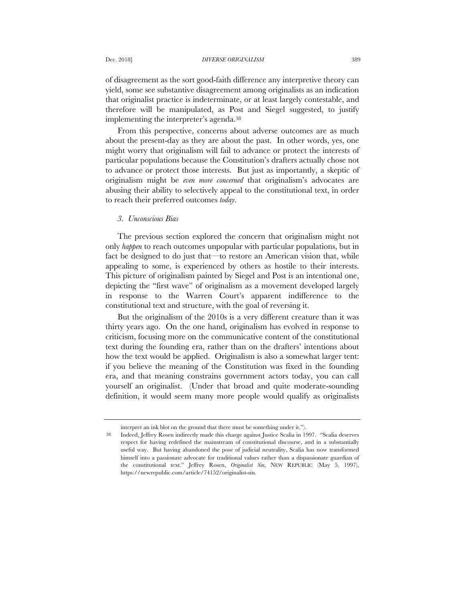of disagreement as the sort good-faith difference any interpretive theory can yield, some see substantive disagreement among originalists as an indication that originalist practice is indeterminate, or at least largely contestable, and therefore will be manipulated, as Post and Siegel suggested, to justify implementing the interpreter's agenda.38

From this perspective, concerns about adverse outcomes are as much about the present-day as they are about the past. In other words, yes, one might worry that originalism will fail to advance or protect the interests of particular populations because the Constitution's drafters actually chose not to advance or protect those interests. But just as importantly, a skeptic of originalism might be *even more concerned* that originalism's advocates are abusing their ability to selectively appeal to the constitutional text, in order to reach their preferred outcomes *today*.

## *3. Unconscious Bias*

The previous section explored the concern that originalism might not only *happen* to reach outcomes unpopular with particular populations, but in fact be designed to do just that—to restore an American vision that, while appealing to some, is experienced by others as hostile to their interests. This picture of originalism painted by Siegel and Post is an intentional one, depicting the "first wave" of originalism as a movement developed largely in response to the Warren Court's apparent indifference to the constitutional text and structure, with the goal of reversing it.

But the originalism of the 2010s is a very different creature than it was thirty years ago. On the one hand, originalism has evolved in response to criticism, focusing more on the communicative content of the constitutional text during the founding era, rather than on the drafters' intentions about how the text would be applied. Originalism is also a somewhat larger tent: if you believe the meaning of the Constitution was fixed in the founding era, and that meaning constrains government actors today, you can call yourself an originalist. (Under that broad and quite moderate-sounding definition, it would seem many more people would qualify as originalists

interpret an ink blot on the ground that there must be something under it.").

<sup>38</sup> Indeed, Jeffrey Rosen indirectly made this charge against Justice Scalia in 1997. "Scalia deserves respect for having redefined the mainstream of constitutional discourse, and in a substantially useful way. But having abandoned the pose of judicial neutrality, Scalia has now transformed himself into a passionate advocate for traditional values rather than a dispassionate guardian of the constitutional text." Jeffrey Rosen, *Originalist Sin*, NEW REPUBLIC (May 5, 1997), https://newrepublic.com/article/74152/originalist-sin.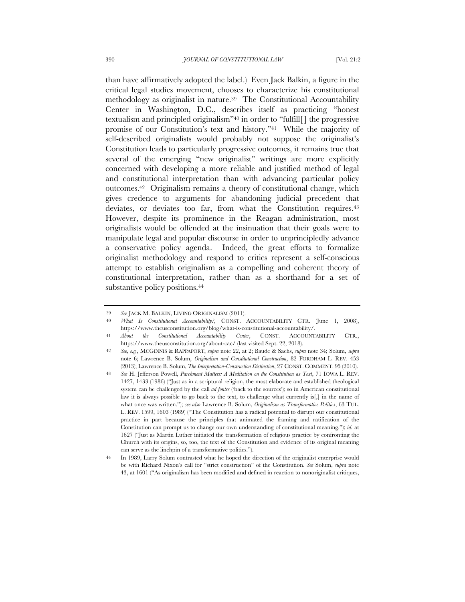than have affirmatively adopted the label.) Even Jack Balkin, a figure in the critical legal studies movement, chooses to characterize his constitutional methodology as originalist in nature.39 The Constitutional Accountability Center in Washington, D.C., describes itself as practicing "honest textualism and principled originalism"40 in order to "fulfill[] the progressive promise of our Constitution's text and history."41 While the majority of self-described originalists would probably not suppose the originalist's Constitution leads to particularly progressive outcomes, it remains true that several of the emerging "new originalist" writings are more explicitly concerned with developing a more reliable and justified method of legal and constitutional interpretation than with advancing particular policy outcomes.42 Originalism remains a theory of constitutional change, which gives credence to arguments for abandoning judicial precedent that deviates, or deviates too far, from what the Constitution requires.<sup>43</sup> However, despite its prominence in the Reagan administration, most originalists would be offended at the insinuation that their goals were to manipulate legal and popular discourse in order to unprincipledly advance a conservative policy agenda. Indeed, the great efforts to formalize originalist methodology and respond to critics represent a self-conscious attempt to establish originalism as a compelling and coherent theory of constitutional interpretation, rather than as a shorthand for a set of substantive policy positions.<sup>44</sup>

<sup>39</sup> *See* JACK M. BALKIN, LIVING ORIGINALISM (2011).

<sup>40</sup> *What Is Constitutional Accountability?*, CONST. ACCOUNTABILITY CTR. (June 1, 2008), https://www.theusconstitution.org/blog/what-is-constitutional-accountability/.

<sup>41</sup> *About the Constitutional Accountability Center*, CONST. ACCOUNTABILITY CTR., https://www.theusconstitution.org/about-cac/ (last visited Sept. 22, 2018).

<sup>42</sup> *See, e.g.*, MCGINNIS & RAPPAPORT, *supra* note 22, at 2; Baude & Sachs, *supra* note 34; Solum, *supra* note 6; Lawrence B. Solum, *Originalism and Constitutional Construction*, 82 FORDHAM L. REV. 453 (2013); Lawrence B. Solum, *The Interpretation-Construction Distinction*, 27 CONST. COMMENT. 95 (2010).

<sup>43</sup> *See* H. Jefferson Powell, *Parchment Matters: A Meditation on the Constitution as Text*, 71 IOWA L. REV. 1427, 1433 (1986) ("Just as in a scriptural religion, the most elaborate and established theological system can be challenged by the call *ad fontes* ('back to the sources'); so in American constitutional law it is always possible to go back to the text, to challenge what currently is[,] in the name of what once was written."); *see also* Lawrence B. Solum, *Originalism as Transformative Politics*, 63 TUL. L. REV. 1599, 1603 (1989) ("The Constitution has a radical potential to disrupt our constitutional practice in part because the principles that animated the framing and ratification of the Constitution can prompt us to change our own understanding of constitutional meaning."); *id.* at 1627 ("Just as Martin Luther initiated the transformation of religious practice by confronting the Church with its origins, so, too, the text of the Constitution and evidence of its original meaning can serve as the linchpin of a transformative politics.").

In 1989, Larry Solum contrasted what he hoped the direction of the originalist enterprise would be with Richard Nixon's call for "strict construction" of the Constitution. *See* Solum, *supra* note 43, at 1601 ("As originalism has been modified and defined in reaction to nonoriginalist critiques,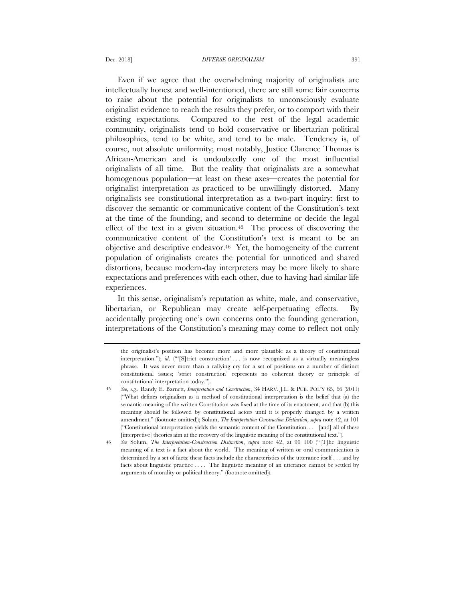Even if we agree that the overwhelming majority of originalists are intellectually honest and well-intentioned, there are still some fair concerns to raise about the potential for originalists to unconsciously evaluate originalist evidence to reach the results they prefer, or to comport with their existing expectations. Compared to the rest of the legal academic community, originalists tend to hold conservative or libertarian political philosophies, tend to be white, and tend to be male. Tendency is, of course, not absolute uniformity; most notably, Justice Clarence Thomas is African-American and is undoubtedly one of the most influential originalists of all time. But the reality that originalists are a somewhat homogenous population—at least on these axes—creates the potential for originalist interpretation as practiced to be unwillingly distorted. Many originalists see constitutional interpretation as a two-part inquiry: first to discover the semantic or communicative content of the Constitution's text at the time of the founding, and second to determine or decide the legal effect of the text in a given situation.45 The process of discovering the communicative content of the Constitution's text is meant to be an objective and descriptive endeavor.46 Yet, the homogeneity of the current population of originalists creates the potential for unnoticed and shared distortions, because modern-day interpreters may be more likely to share expectations and preferences with each other, due to having had similar life experiences.

In this sense, originalism's reputation as white, male, and conservative, libertarian, or Republican may create self-perpetuating effects. By accidentally projecting one's own concerns onto the founding generation, interpretations of the Constitution's meaning may come to reflect not only

the originalist's position has become more and more plausible as a theory of constitutional interpretation."); *id*. ("'[S]trict construction' . . . is now recognized as a virtually meaningless phrase. It was never more than a rallying cry for a set of positions on a number of distinct constitutional issues; 'strict construction' represents no coherent theory or principle of constitutional interpretation today.").

<sup>45</sup> *See, e.g.*, Randy E. Barnett, *Interpretation and Construction*, 34 HARV. J.L. & PUB. POL'Y 65, 66 (2011) ("What defines originalism as a method of constitutional interpretation is the belief that (a) the semantic meaning of the written Constitution was fixed at the time of its enactment, and that (b) this meaning should be followed by constitutional actors until it is properly changed by a written amendment." (footnote omitted)); Solum, *The Interpretation-Construction Distinction*, *supra* note 42, at 101 ("Constitutional interpretation yields the semantic content of the Constitution. . . [and] all of these [interpretive] theories aim at the recovery of the linguistic meaning of the constitutional text.").

<sup>46</sup> *See* Solum, *The Interpretation-Construction Distinction*, *supra* note 42, at 99–100 ("[T]he linguistic meaning of a text is a fact about the world. The meaning of written or oral communication is determined by a set of facts: these facts include the characteristics of the utterance itself . . . and by facts about linguistic practice . . . . The linguistic meaning of an utterance cannot be settled by arguments of morality or political theory." (footnote omitted)).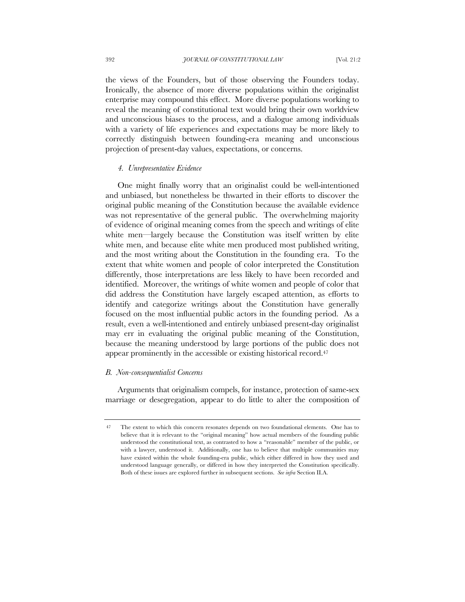the views of the Founders, but of those observing the Founders today. Ironically, the absence of more diverse populations within the originalist enterprise may compound this effect. More diverse populations working to reveal the meaning of constitutional text would bring their own worldview and unconscious biases to the process, and a dialogue among individuals with a variety of life experiences and expectations may be more likely to correctly distinguish between founding-era meaning and unconscious projection of present-day values, expectations, or concerns.

### *4. Unrepresentative Evidence*

One might finally worry that an originalist could be well-intentioned and unbiased, but nonetheless be thwarted in their efforts to discover the original public meaning of the Constitution because the available evidence was not representative of the general public. The overwhelming majority of evidence of original meaning comes from the speech and writings of elite white men—largely because the Constitution was itself written by elite white men, and because elite white men produced most published writing, and the most writing about the Constitution in the founding era. To the extent that white women and people of color interpreted the Constitution differently, those interpretations are less likely to have been recorded and identified. Moreover, the writings of white women and people of color that did address the Constitution have largely escaped attention, as efforts to identify and categorize writings about the Constitution have generally focused on the most influential public actors in the founding period. As a result, even a well-intentioned and entirely unbiased present-day originalist may err in evaluating the original public meaning of the Constitution, because the meaning understood by large portions of the public does not appear prominently in the accessible or existing historical record.<sup>47</sup>

## *B. Non-consequentialist Concerns*

Arguments that originalism compels, for instance, protection of same-sex marriage or desegregation, appear to do little to alter the composition of

<sup>47</sup> The extent to which this concern resonates depends on two foundational elements. One has to believe that it is relevant to the "original meaning" how actual members of the founding public understood the constitutional text, as contrasted to how a "reasonable" member of the public, or with a lawyer, understood it. Additionally, one has to believe that multiple communities may have existed within the whole founding-era public, which either differed in how they used and understood language generally, or differed in how they interpreted the Constitution specifically. Both of these issues are explored further in subsequent sections. *See infra* Section II.A.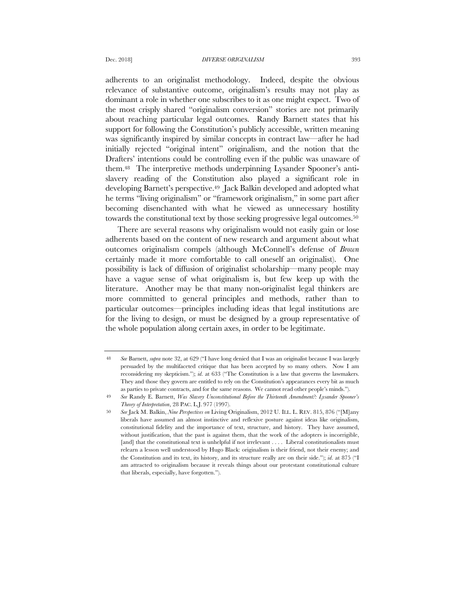adherents to an originalist methodology. Indeed, despite the obvious relevance of substantive outcome, originalism's results may not play as dominant a role in whether one subscribes to it as one might expect. Two of the most crisply shared "originalism conversion" stories are not primarily about reaching particular legal outcomes. Randy Barnett states that his support for following the Constitution's publicly accessible, written meaning was significantly inspired by similar concepts in contract law—after he had initially rejected "original intent" originalism, and the notion that the Drafters' intentions could be controlling even if the public was unaware of them.48 The interpretive methods underpinning Lysander Spooner's antislavery reading of the Constitution also played a significant role in developing Barnett's perspective.<sup>49</sup> Jack Balkin developed and adopted what he terms "living originalism" or "framework originalism," in some part after becoming disenchanted with what he viewed as unnecessary hostility towards the constitutional text by those seeking progressive legal outcomes.<sup>50</sup>

There are several reasons why originalism would not easily gain or lose adherents based on the content of new research and argument about what outcomes originalism compels (although McConnell's defense of *Brown* certainly made it more comfortable to call oneself an originalist). One possibility is lack of diffusion of originalist scholarship—many people may have a vague sense of what originalism is, but few keep up with the literature. Another may be that many non-originalist legal thinkers are more committed to general principles and methods, rather than to particular outcomes—principles including ideas that legal institutions are for the living to design, or must be designed by a group representative of the whole population along certain axes, in order to be legitimate.

<sup>48</sup> *See* Barnett, *supra* note 32, at 629 ("I have long denied that I was an originalist because I was largely persuaded by the multifaceted critique that has been accepted by so many others. Now I am reconsidering my skepticism."); *id*. at 633 ("The Constitution is a law that governs the lawmakers. They and those they govern are entitled to rely on the Constitution's appearances every bit as much as parties to private contracts, and for the same reasons. We cannot read other people's minds.").

<sup>49</sup> *See* Randy E. Barnett, *Was Slavery Unconstitutional Before the Thirteenth Amendment?: Lysander Spooner's Theory of Interpretation*, 28 PAC. L.J. 977 (1997).

<sup>50</sup> *See* Jack M. Balkin, *Nine Perspectives on* Living Originalism, 2012 U. ILL. L. REV. 815, 876 ("[M]any liberals have assumed an almost instinctive and reflexive posture against ideas like originalism, constitutional fidelity and the importance of text, structure, and history. They have assumed, without justification, that the past is against them, that the work of the adopters is incorrigible, [and] that the constitutional text is unhelpful if not irrelevant . . . . Liberal constitutionalists must relearn a lesson well understood by Hugo Black: originalism is their friend, not their enemy; and the Constitution and its text, its history, and its structure really are on their side."); *id*. at 875 ("I am attracted to originalism because it reveals things about our protestant constitutional culture that liberals, especially, have forgotten.").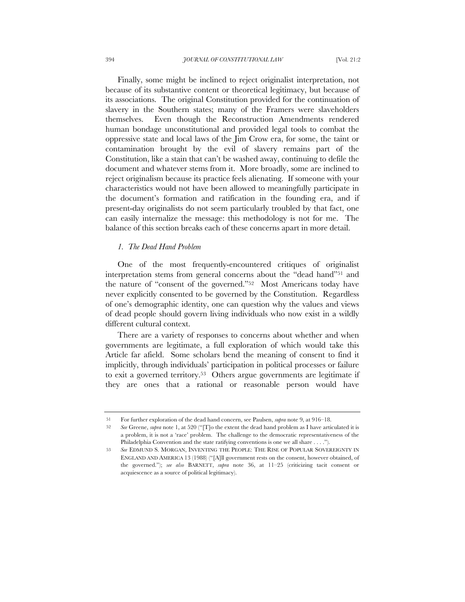Finally, some might be inclined to reject originalist interpretation, not because of its substantive content or theoretical legitimacy, but because of its associations. The original Constitution provided for the continuation of slavery in the Southern states; many of the Framers were slaveholders themselves. Even though the Reconstruction Amendments rendered human bondage unconstitutional and provided legal tools to combat the oppressive state and local laws of the Jim Crow era, for some, the taint or contamination brought by the evil of slavery remains part of the Constitution, like a stain that can't be washed away, continuing to defile the document and whatever stems from it. More broadly, some are inclined to reject originalism because its practice feels alienating. If someone with your characteristics would not have been allowed to meaningfully participate in the document's formation and ratification in the founding era, and if present-day originalists do not seem particularly troubled by that fact, one can easily internalize the message: this methodology is not for me. The balance of this section breaks each of these concerns apart in more detail.

# *1. The Dead Hand Problem*

One of the most frequently-encountered critiques of originalist interpretation stems from general concerns about the "dead hand"51 and the nature of "consent of the governed."52 Most Americans today have never explicitly consented to be governed by the Constitution. Regardless of one's demographic identity, one can question why the values and views of dead people should govern living individuals who now exist in a wildly different cultural context.

There are a variety of responses to concerns about whether and when governments are legitimate, a full exploration of which would take this Article far afield. Some scholars bend the meaning of consent to find it implicitly, through individuals' participation in political processes or failure to exit a governed territory.53 Others argue governments are legitimate if they are ones that a rational or reasonable person would have

<sup>51</sup> For further exploration of the dead hand concern, see Paulsen, *supra* note 9, at 916–18.

<sup>52</sup> *See* Greene, *supra* note 1, at 520 ("[T]o the extent the dead hand problem as I have articulated it is a problem, it is not a 'race' problem. The challenge to the democratic representativeness of the Philadelphia Convention and the state ratifying conventions is one we all share . . . .").

<sup>53</sup> *See* EDMUND S. MORGAN, INVENTING THE PEOPLE: THE RISE OF POPULAR SOVEREIGNTY IN ENGLAND AND AMERICA 13 (1988) ("[A]ll government rests on the consent, however obtained, of the governed."); *see also* BARNETT, *supra* note 36, at 11–25 (criticizing tacit consent or acquiescence as a source of political legitimacy).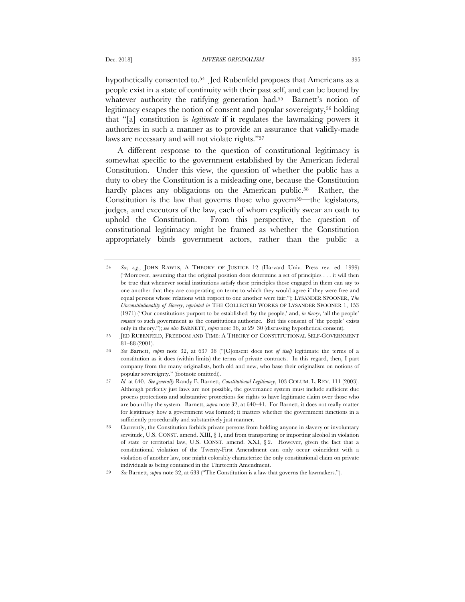hypothetically consented to.54 Jed Rubenfeld proposes that Americans as a people exist in a state of continuity with their past self, and can be bound by whatever authority the ratifying generation had.<sup>55</sup> Barnett's notion of legitimacy escapes the notion of consent and popular sovereignty,56 holding that "[a] constitution is *legitimate* if it regulates the lawmaking powers it authorizes in such a manner as to provide an assurance that validly-made laws are necessary and will not violate rights."57

A different response to the question of constitutional legitimacy is somewhat specific to the government established by the American federal Constitution. Under this view, the question of whether the public has a duty to obey the Constitution is a misleading one, because the Constitution hardly places any obligations on the American public.<sup>58</sup> Rather, the Constitution is the law that governs those who govern<sup>59—the legislators,</sup> judges, and executors of the law, each of whom explicitly swear an oath to uphold the Constitution. From this perspective, the question of constitutional legitimacy might be framed as whether the Constitution appropriately binds government actors, rather than the public—a

<sup>54</sup> *See, e.g.*, JOHN RAWLS, A THEORY OF JUSTICE 12 (Harvard Univ. Press rev. ed. 1999) ("Moreover, assuming that the original position does determine a set of principles . . . it will then be true that whenever social institutions satisfy these principles those engaged in them can say to one another that they are cooperating on terms to which they would agree if they were free and equal persons whose relations with respect to one another were fair."); LYSANDER SPOONER, *The Unconstitutionality of Slavery*, *reprinted in* THE COLLECTED WORKS OF LYSANDER SPOONER 1, 153 (1971) ("Our constitutions purport to be established 'by the people,' and, *in theory*, 'all the people' *consent* to such government as the constitutions authorize. But this consent of 'the people' exists only in theory."); *see also* BARNETT, *supra* note 36, at 29–30 (discussing hypothetical consent).

<sup>55</sup> JED RUBENFELD, FREEDOM AND TIME: A THEORY OF CONSTITUTIONAL SELF-GOVERNMENT 81–88 (2001).

<sup>56</sup> *See* Barnett, *supra* note 32, at 637–38 ("[C]onsent does not *of itself* legitimate the terms of a constitution as it does (within limits) the terms of private contracts. In this regard, then, I part company from the many originalists, both old and new, who base their originalism on notions of popular sovereignty." (footnote omitted)).

<sup>57</sup> *Id*. at 640. *See generally* Randy E. Barnett, *Constitutional Legitimacy*, 103 COLUM. L. REV. 111 (2003). Although perfectly just laws are not possible, the governance system must include sufficient due process protections and substantive protections for rights to have legitimate claim over those who are bound by the system. Barnett, *supra* note 32, at 640–41. For Barnett, it does not really matter for legitimacy how a government was formed; it matters whether the government functions in a sufficiently procedurally and substantively just manner.

<sup>58</sup> Currently, the Constitution forbids private persons from holding anyone in slavery or involuntary servitude, U.S. CONST. amend. XIII, § 1, and from transporting or importing alcohol in violation of state or territorial law, U.S. CONST. amend. XXI, § 2. However, given the fact that a constitutional violation of the Twenty-First Amendment can only occur coincident with a violation of another law, one might colorably characterize the only constitutional claim on private individuals as being contained in the Thirteenth Amendment.

<sup>59</sup> *See* Barnett, *supra* note 32, at 633 ("The Constitution is a law that governs the lawmakers.").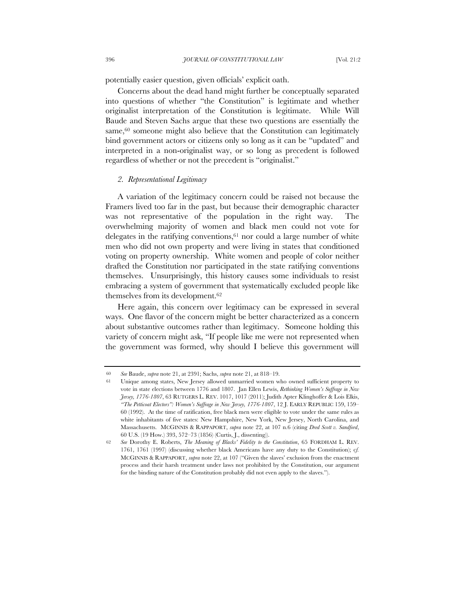potentially easier question, given officials' explicit oath.

Concerns about the dead hand might further be conceptually separated into questions of whether "the Constitution" is legitimate and whether originalist interpretation of the Constitution is legitimate. While Will Baude and Steven Sachs argue that these two questions are essentially the same,<sup>60</sup> someone might also believe that the Constitution can legitimately bind government actors or citizens only so long as it can be "updated" and interpreted in a non-originalist way, or so long as precedent is followed regardless of whether or not the precedent is "originalist."

# *2. Representational Legitimacy*

A variation of the legitimacy concern could be raised not because the Framers lived too far in the past, but because their demographic character was not representative of the population in the right way. The overwhelming majority of women and black men could not vote for delegates in the ratifying conventions,  $61$  nor could a large number of white men who did not own property and were living in states that conditioned voting on property ownership. White women and people of color neither drafted the Constitution nor participated in the state ratifying conventions themselves. Unsurprisingly, this history causes some individuals to resist embracing a system of government that systematically excluded people like themselves from its development.62

Here again, this concern over legitimacy can be expressed in several ways. One flavor of the concern might be better characterized as a concern about substantive outcomes rather than legitimacy. Someone holding this variety of concern might ask, "If people like me were not represented when the government was formed, why should I believe this government will

<sup>60</sup> *See* Baude, *supra* note 21, at 2391; Sachs, *supra* note 21, at 818–19.

Unique among states, New Jersey allowed unmarried women who owned sufficient property to vote in state elections between 1776 and 1807. Jan Ellen Lewis, *Rethinking Women's Suffrage in New Jersey, 1776-1807*, 63 RUTGERS L. REV. 1017, 1017 (2011); Judith Apter Klinghoffer & Lois Elkis, *"The Petticoat Electors": Women's Suffrage in New Jersey, 1776-1807*, 12 J. EARLY REPUBLIC 159, 159– 60 (1992). At the time of ratification, free black men were eligible to vote under the same rules as white inhabitants of five states: New Hampshire, New York, New Jersey, North Carolina, and Massachusetts. MCGINNIS & RAPPAPORT, *supra* note 22, at 107 n.6 (citing *Dred Scott v. Sandford*, 60 U.S. (19 How.) 393, 572–73 (1856) (Curtis, J., dissenting)).

<sup>62</sup> *See* Dorothy E. Roberts, *The Meaning of Blacks' Fidelity to the Constitution*, 65 FORDHAM L. REV. 1761, 1761 (1997) (discussing whether black Americans have any duty to the Constitution); c*f.* MCGINNIS & RAPPAPORT, *supra* note 22, at 107 ("Given the slaves' exclusion from the enactment process and their harsh treatment under laws not prohibited by the Constitution, our argument for the binding nature of the Constitution probably did not even apply to the slaves.").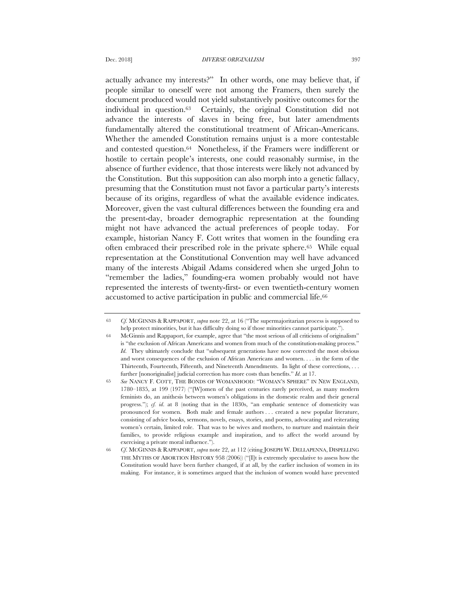actually advance my interests?" In other words, one may believe that, if people similar to oneself were not among the Framers, then surely the document produced would not yield substantively positive outcomes for the individual in question.63 Certainly, the original Constitution did not advance the interests of slaves in being free, but later amendments fundamentally altered the constitutional treatment of African-Americans. Whether the amended Constitution remains unjust is a more contestable and contested question.64 Nonetheless, if the Framers were indifferent or hostile to certain people's interests, one could reasonably surmise, in the absence of further evidence, that those interests were likely not advanced by the Constitution. But this supposition can also morph into a genetic fallacy, presuming that the Constitution must not favor a particular party's interests because of its origins, regardless of what the available evidence indicates. Moreover, given the vast cultural differences between the founding era and the present-day, broader demographic representation at the founding might not have advanced the actual preferences of people today. For example, historian Nancy F. Cott writes that women in the founding era often embraced their prescribed role in the private sphere.65 While equal representation at the Constitutional Convention may well have advanced many of the interests Abigail Adams considered when she urged John to "remember the ladies," founding-era women probably would not have represented the interests of twenty-first- or even twentieth-century women accustomed to active participation in public and commercial life.66

<sup>63</sup> *Cf.* MCGINNIS & RAPPAPORT, *supra* note 22, at 16 ("The supermajoritarian process is supposed to help protect minorities, but it has difficulty doing so if those minorities cannot participate.").

<sup>64</sup> McGinnis and Rappaport, for example, agree that "the most serious of all criticisms of originalism" is "the exclusion of African Americans and women from much of the constitution-making process." *Id*. They ultimately conclude that "subsequent generations have now corrected the most obvious and worst consequences of the exclusion of African Americans and women. . . . in the form of the Thirteenth, Fourteenth, Fifteenth, and Nineteenth Amendments. In light of these corrections, . . . further [nonoriginalist] judicial correction has more costs than benefits." *Id*. at 17.

<sup>65</sup> *See* NANCY F. COTT, THE BONDS OF WOMANHOOD: "WOMAN'S SPHERE" IN NEW ENGLAND, 1780–1835, at 199 (1977) ("[W]omen of the past centuries rarely perceived, as many modern feminists do, an anithesis between women's obligations in the domestic realm and their general progress."); *cf. id.* at 8 (noting that in the 1830s, "an emphatic sentence of domesticity was pronounced for women. Both male and female authors . . . created a new popular literature, consisting of advice books, sermons, novels, essays, stories, and poems, advocating and reiterating women's certain, limited role. That was to be wives and mothers, to nurture and maintain their families, to provide religious example and inspiration, and to affect the world around by exercising a private moral influence.").

<sup>66</sup> *Cf*. MCGINNIS & RAPPAPORT, *supra* note 22, at 112 (citing JOSEPH W. DELLAPENNA, DISPELLING THE MYTHS OF ABORTION HISTORY 958 (2006)) ("[I]t is extremely speculative to assess how the Constitution would have been further changed, if at all, by the earlier inclusion of women in its making. For instance, it is sometimes argued that the inclusion of women would have prevented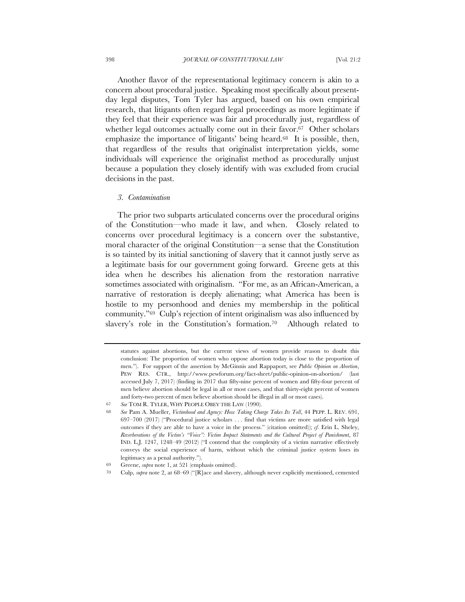Another flavor of the representational legitimacy concern is akin to a concern about procedural justice. Speaking most specifically about presentday legal disputes, Tom Tyler has argued, based on his own empirical research, that litigants often regard legal proceedings as more legitimate if they feel that their experience was fair and procedurally just, regardless of whether legal outcomes actually come out in their favor.<sup>67</sup> Other scholars emphasize the importance of litigants' being heard.<sup>68</sup> It is possible, then, that regardless of the results that originalist interpretation yields, some individuals will experience the originalist method as procedurally unjust because a population they closely identify with was excluded from crucial decisions in the past.

#### *3. Contamination*

The prior two subparts articulated concerns over the procedural origins of the Constitution—who made it law, and when. Closely related to concerns over procedural legitimacy is a concern over the substantive, moral character of the original Constitution—a sense that the Constitution is so tainted by its initial sanctioning of slavery that it cannot justly serve as a legitimate basis for our government going forward. Greene gets at this idea when he describes his alienation from the restoration narrative sometimes associated with originalism. "For me, as an African-American, a narrative of restoration is deeply alienating; what America has been is hostile to my personhood and denies my membership in the political community."69 Culp's rejection of intent originalism was also influenced by slavery's role in the Constitution's formation.70 Although related to

statutes against abortions, but the current views of women provide reason to doubt this conclusion: The proportion of women who oppose abortion today is close to the proportion of men."). For support of the assertion by McGinnis and Rappaport, see *Public Opinion on Abortion*, PEW RES. CTR., http://www.pewforum.org/fact-sheet/public-opinion-on-abortion/ (last accessed July 7, 2017) (finding in 2017 that fifty-nine percent of women and fifty-four percent of men believe abortion should be legal in all or most cases, and that thirty-eight percent of women and forty-two percent of men believe abortion should be illegal in all or most cases).

<sup>67</sup> *See* TOM R. TYLER, WHY PEOPLE OBEY THE LAW (1990).

<sup>68</sup> *See* Pam A. Mueller, *Victimhood and Agency: How Taking Charge Takes Its Toll*, 44 PEPP. L. REV. 691, 697–700 (2017) ("Procedural justice scholars . . . find that victims are more satisfied with legal outcomes if they are able to have a voice in the process." (citation omitted)); *cf*. Erin L. Sheley, *Reverberations of the Victim's "Voice": Victim Impact Statements and the Cultural Project of Punishment*, 87 IND. L.J. 1247, 1248–49 (2012) ("I contend that the complexity of a victim narrative effectively conveys the social experience of harm, without which the criminal justice system loses its legitimacy as a penal authority.").

<sup>69</sup> Greene, *supra* note 1, at 521 (emphasis omitted).

<sup>70</sup> Culp, *supra* note 2, at 68–69 ("[R]ace and slavery, although never explicitly mentioned, cemented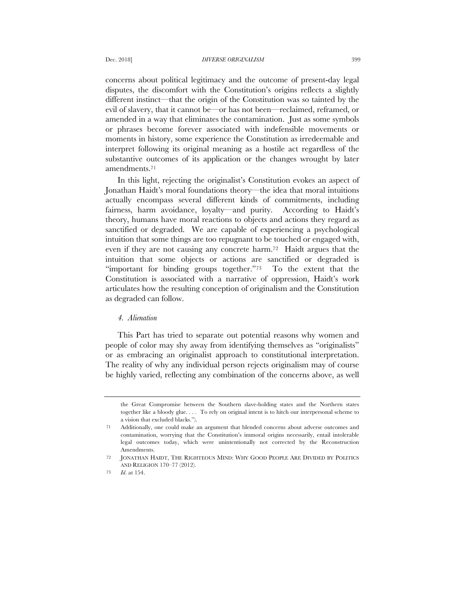concerns about political legitimacy and the outcome of present-day legal disputes, the discomfort with the Constitution's origins reflects a slightly different instinct—that the origin of the Constitution was so tainted by the evil of slavery, that it cannot be—or has not been—reclaimed, reframed, or amended in a way that eliminates the contamination. Just as some symbols or phrases become forever associated with indefensible movements or moments in history, some experience the Constitution as irredeemable and interpret following its original meaning as a hostile act regardless of the substantive outcomes of its application or the changes wrought by later amendments.71

In this light, rejecting the originalist's Constitution evokes an aspect of Jonathan Haidt's moral foundations theory—the idea that moral intuitions actually encompass several different kinds of commitments, including fairness, harm avoidance, loyalty—and purity. According to Haidt's theory, humans have moral reactions to objects and actions they regard as sanctified or degraded. We are capable of experiencing a psychological intuition that some things are too repugnant to be touched or engaged with, even if they are not causing any concrete harm.72 Haidt argues that the intuition that some objects or actions are sanctified or degraded is "important for binding groups together."73 To the extent that the Constitution is associated with a narrative of oppression, Haidt's work articulates how the resulting conception of originalism and the Constitution as degraded can follow.

# *4. Alienation*

This Part has tried to separate out potential reasons why women and people of color may shy away from identifying themselves as "originalists" or as embracing an originalist approach to constitutional interpretation. The reality of why any individual person rejects originalism may of course be highly varied, reflecting any combination of the concerns above, as well

the Great Compromise between the Southern slave-holding states and the Northern states together like a bloody glue. . . . To rely on original intent is to hitch our interpersonal scheme to a vision that excluded blacks.").

<sup>71</sup> Additionally, one could make an argument that blended concerns about adverse outcomes and contamination, worrying that the Constitution's immoral origins necessarily, entail intolerable legal outcomes today, which were unintentionally not corrected by the Reconstruction Amendments.

<sup>72</sup> JONATHAN HAIDT, THE RIGHTEOUS MIND: WHY GOOD PEOPLE ARE DIVIDED BY POLITICS AND RELIGION 170–77 (2012).

<sup>73</sup> *Id*. at 154.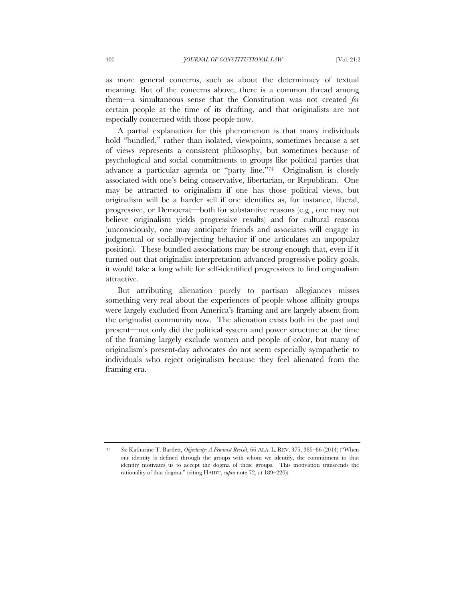as more general concerns, such as about the determinacy of textual meaning. But of the concerns above, there is a common thread among them—a simultaneous sense that the Constitution was not created *for* certain people at the time of its drafting, and that originalists are not especially concerned with those people now.

A partial explanation for this phenomenon is that many individuals hold "bundled," rather than isolated, viewpoints, sometimes because a set of views represents a consistent philosophy, but sometimes because of psychological and social commitments to groups like political parties that advance a particular agenda or "party line."74 Originalism is closely associated with one's being conservative, libertarian, or Republican. One may be attracted to originalism if one has those political views, but originalism will be a harder sell if one identifies as, for instance, liberal, progressive, or Democrat—both for substantive reasons (e.g., one may not believe originalism yields progressive results) and for cultural reasons (unconsciously, one may anticipate friends and associates will engage in judgmental or socially-rejecting behavior if one articulates an unpopular position). These bundled associations may be strong enough that, even if it turned out that originalist interpretation advanced progressive policy goals, it would take a long while for self-identified progressives to find originalism attractive.

But attributing alienation purely to partisan allegiances misses something very real about the experiences of people whose affinity groups were largely excluded from America's framing and are largely absent from the originalist community now. The alienation exists both in the past and present—not only did the political system and power structure at the time of the framing largely exclude women and people of color, but many of originalism's present-day advocates do not seem especially sympathetic to individuals who reject originalism because they feel alienated from the framing era.

<sup>74</sup> *See* Katharine T. Bartlett, *Objectivity: A Feminist Revisit*, 66 ALA. L. REV. 375, 385–86 (2014) ("When our identity is defined through the groups with whom we identify, the commitment to that identity motivates us to accept the dogma of these groups. This motivation transcends the rationality of that dogma." (citing HAIDT, *supra* note 72, at 189–220)).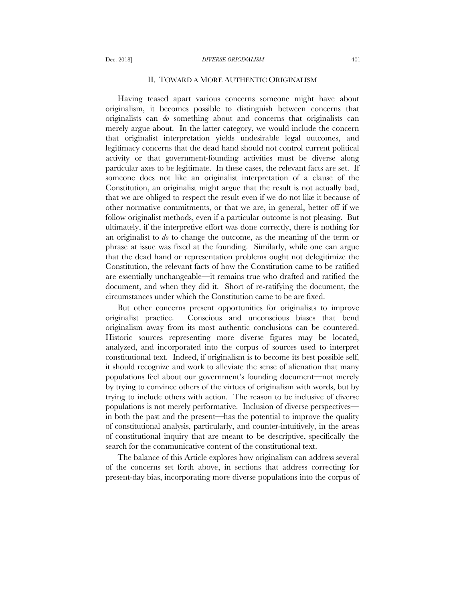## II. TOWARD A MORE AUTHENTIC ORIGINALISM

Having teased apart various concerns someone might have about originalism, it becomes possible to distinguish between concerns that originalists can *do* something about and concerns that originalists can merely argue about. In the latter category, we would include the concern that originalist interpretation yields undesirable legal outcomes, and legitimacy concerns that the dead hand should not control current political activity or that government-founding activities must be diverse along particular axes to be legitimate. In these cases, the relevant facts are set. If someone does not like an originalist interpretation of a clause of the Constitution, an originalist might argue that the result is not actually bad, that we are obliged to respect the result even if we do not like it because of other normative commitments, or that we are, in general, better off if we follow originalist methods, even if a particular outcome is not pleasing. But ultimately, if the interpretive effort was done correctly, there is nothing for an originalist to *do* to change the outcome, as the meaning of the term or phrase at issue was fixed at the founding. Similarly, while one can argue that the dead hand or representation problems ought not delegitimize the Constitution, the relevant facts of how the Constitution came to be ratified are essentially unchangeable—it remains true who drafted and ratified the document, and when they did it. Short of re-ratifying the document, the circumstances under which the Constitution came to be are fixed.

But other concerns present opportunities for originalists to improve originalist practice. Conscious and unconscious biases that bend originalism away from its most authentic conclusions can be countered. Historic sources representing more diverse figures may be located, analyzed, and incorporated into the corpus of sources used to interpret constitutional text. Indeed, if originalism is to become its best possible self, it should recognize and work to alleviate the sense of alienation that many populations feel about our government's founding document—not merely by trying to convince others of the virtues of originalism with words, but by trying to include others with action. The reason to be inclusive of diverse populations is not merely performative. Inclusion of diverse perspectives in both the past and the present—has the potential to improve the quality of constitutional analysis, particularly, and counter-intuitively, in the areas of constitutional inquiry that are meant to be descriptive, specifically the search for the communicative content of the constitutional text.

The balance of this Article explores how originalism can address several of the concerns set forth above, in sections that address correcting for present-day bias, incorporating more diverse populations into the corpus of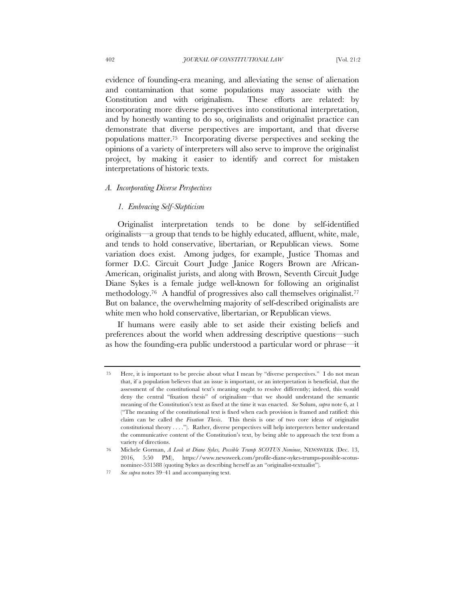evidence of founding-era meaning, and alleviating the sense of alienation and contamination that some populations may associate with the Constitution and with originalism. These efforts are related: by incorporating more diverse perspectives into constitutional interpretation, and by honestly wanting to do so, originalists and originalist practice can demonstrate that diverse perspectives are important, and that diverse populations matter.75 Incorporating diverse perspectives and seeking the opinions of a variety of interpreters will also serve to improve the originalist project, by making it easier to identify and correct for mistaken interpretations of historic texts.

## *A. Incorporating Diverse Perspectives*

# *1. Embracing Self-Skepticism*

Originalist interpretation tends to be done by self-identified originalists—a group that tends to be highly educated, affluent, white, male, and tends to hold conservative, libertarian, or Republican views. Some variation does exist. Among judges, for example, Justice Thomas and former D.C. Circuit Court Judge Janice Rogers Brown are African-American, originalist jurists, and along with Brown, Seventh Circuit Judge Diane Sykes is a female judge well-known for following an originalist methodology.76 A handful of progressives also call themselves originalist.77 But on balance, the overwhelming majority of self-described originalists are white men who hold conservative, libertarian, or Republican views.

If humans were easily able to set aside their existing beliefs and preferences about the world when addressing descriptive questions—such as how the founding-era public understood a particular word or phrase—it

<sup>75</sup> Here, it is important to be precise about what I mean by "diverse perspectives." I do not mean that, if a population believes that an issue is important, or an interpretation is beneficial, that the assessment of the constitutional text's meaning ought to resolve differently; indeed, this would deny the central "fixation thesis" of originalism—that we should understand the semantic meaning of the Constitution's text as fixed at the time it was enacted. *See* Solum, *supra* note 6, at 1 ("The meaning of the constitutional text is fixed when each provision is framed and ratified: this claim can be called the *Fixation Thesis*. This thesis is one of two core ideas of originalist constitutional theory . . . ."). Rather, diverse perspectives will help interpreters better understand the communicative content of the Constitution's text, by being able to approach the text from a variety of directions.

<sup>76</sup> Michele Gorman, *A Look at Diane Sykes, Possible Trump SCOTUS Nominee*, NEWSWEEK (Dec. 13, 2016, 5:50 PM), https://www.newsweek.com/profile-diane-sykes-trumps-possible-scotusnominee-531588 (quoting Sykes as describing herself as an "originalist-textualist").

<sup>77</sup> *See supra* notes 39–41 and accompanying text.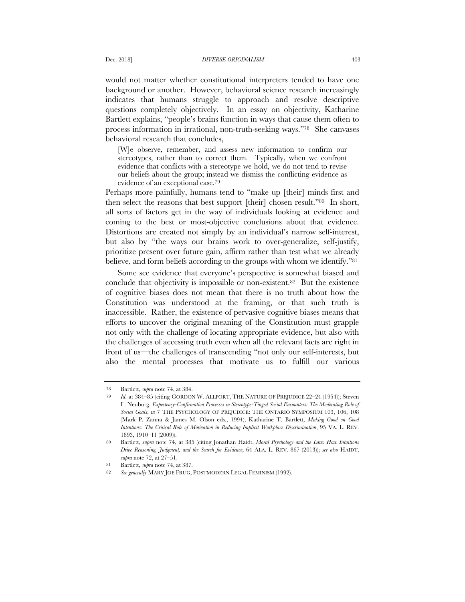would not matter whether constitutional interpreters tended to have one background or another. However, behavioral science research increasingly indicates that humans struggle to approach and resolve descriptive questions completely objectively. In an essay on objectivity, Katharine Bartlett explains, "people's brains function in ways that cause them often to process information in irrational, non-truth-seeking ways."78 She canvases behavioral research that concludes,

[W]e observe, remember, and assess new information to confirm our stereotypes, rather than to correct them. Typically, when we confront evidence that conflicts with a stereotype we hold, we do not tend to revise our beliefs about the group; instead we dismiss the conflicting evidence as evidence of an exceptional case.79

Perhaps more painfully, humans tend to "make up [their] minds first and then select the reasons that best support [their] chosen result."80 In short, all sorts of factors get in the way of individuals looking at evidence and coming to the best or most-objective conclusions about that evidence. Distortions are created not simply by an individual's narrow self-interest, but also by "the ways our brains work to over-generalize, self-justify, prioritize present over future gain, affirm rather than test what we already believe, and form beliefs according to the groups with whom we identify."81

Some see evidence that everyone's perspective is somewhat biased and conclude that objectivity is impossible or non-existent.82 But the existence of cognitive biases does not mean that there is no truth about how the Constitution was understood at the framing, or that such truth is inaccessible. Rather, the existence of pervasive cognitive biases means that efforts to uncover the original meaning of the Constitution must grapple not only with the challenge of locating appropriate evidence, but also with the challenges of accessing truth even when all the relevant facts are right in front of us—the challenges of transcending "not only our self-interests, but also the mental processes that motivate us to fulfill our various

<sup>78</sup> Bartlett, *supra* note 74, at 384.

<sup>79</sup> *Id*. at 384–85 (citing GORDON W. ALLPORT, THE NATURE OF PREJUDICE 22–24 (1954)); Steven L. Neuburg, *Expectency-Confirmation Processes in Stereotype-Tinged Social Encounters: The Moderating Role of Social Goals*, *in* 7 THE PSYCHOLOGY OF PREJUDICE: THE ONTARIO SYMPOSIUM 103, 106, 108 (Mark P. Zanna & James M. Olson eds., 1994); Katharine T. Bartlett, *Making Good on Good Intentions: The Critical Role of Motivation in Reducing Implicit Workplace Discrimination*, 95 VA. L. REV. 1893, 1910–11 (2009)).

<sup>80</sup> Bartlett, *supra* note 74, at 385 (citing Jonathan Haidt, *Moral Psychology and the Law: How Intuitions Drive Reasoning, Judgment, and the Search for Evidence*, 64 ALA. L. REV. 867 (2013)); *see also* HAIDT, *supra* note 72, at 27–51.

<sup>81</sup> Bartlett, *supra* note 74, at 387.

<sup>82</sup> *See generally* MARY JOE FRUG, POSTMODERN LEGAL FEMINISM (1992).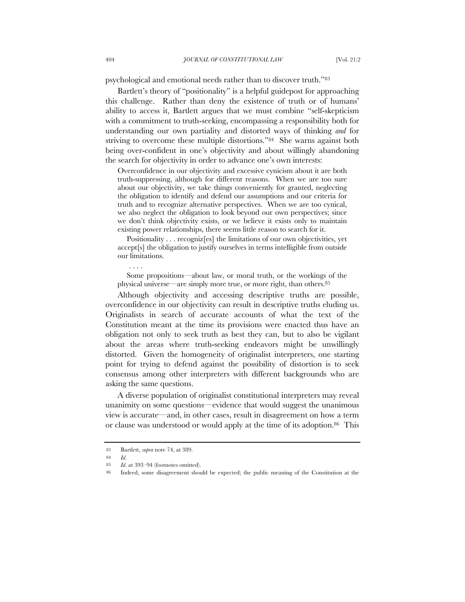psychological and emotional needs rather than to discover truth."83

Bartlett's theory of "positionality" is a helpful guidepost for approaching this challenge. Rather than deny the existence of truth or of humans' ability to access it, Bartlett argues that we must combine "self-skepticism with a commitment to truth-seeking, encompassing a responsibility both for understanding our own partiality and distorted ways of thinking *and* for striving to overcome these multiple distortions."84 She warns against both being over-confident in one's objectivity and about willingly abandoning the search for objectivity in order to advance one's own interests:

Overconfidence in our objectivity and excessive cynicism about it are both truth-suppressing, although for different reasons. When we are too sure about our objectivity, we take things conveniently for granted, neglecting the obligation to identify and defend our assumptions and our criteria for truth and to recognize alternative perspectives. When we are too cynical, we also neglect the obligation to look beyond our own perspectives; since we don't think objectivity exists, or we believe it exists only to maintain existing power relationships, there seems little reason to search for it.

Positionality . . . recogniz[es] the limitations of our own objectivities, yet accept[s] the obligation to justify ourselves in terms intelligible from outside our limitations.

Some propositions—about law, or moral truth, or the workings of the physical universe—are simply more true, or more right, than others.85

Although objectivity and accessing descriptive truths are possible, overconfidence in our objectivity can result in descriptive truths eluding us. Originalists in search of accurate accounts of what the text of the Constitution meant at the time its provisions were enacted thus have an obligation not only to seek truth as best they can, but to also be vigilant about the areas where truth-seeking endeavors might be unwillingly distorted. Given the homogeneity of originalist interpreters, one starting point for trying to defend against the possibility of distortion is to seek consensus among other interpreters with different backgrounds who are asking the same questions.

A diverse population of originalist constitutional interpreters may reveal unanimity on some questions—evidence that would suggest the unanimous view is accurate—and, in other cases, result in disagreement on how a term or clause was understood or would apply at the time of its adoption.<sup>86</sup> This

<sup>83</sup> Bartlett, *supra* note 74, at 389.

<sup>84</sup> *Id*.

<sup>85</sup> *Id*. at 393–94 (footnotes omitted).

<sup>86</sup> Indeed, some disagreement should be expected; the public meaning of the Constitution at the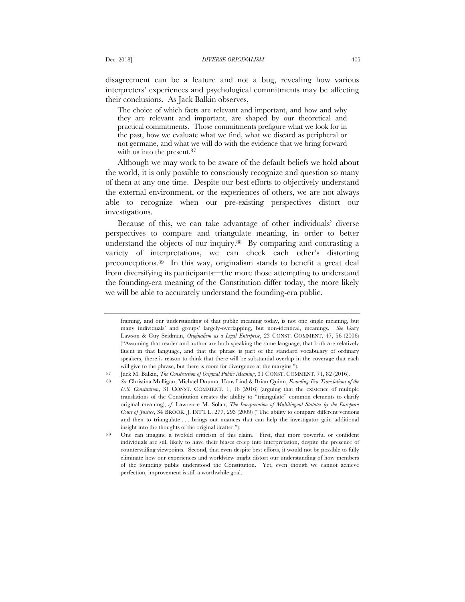disagreement can be a feature and not a bug, revealing how various interpreters' experiences and psychological commitments may be affecting their conclusions. As Jack Balkin observes,

The choice of which facts are relevant and important, and how and why they are relevant and important, are shaped by our theoretical and practical commitments. Those commitments prefigure what we look for in the past, how we evaluate what we find, what we discard as peripheral or not germane, and what we will do with the evidence that we bring forward with us into the present.<sup>87</sup>

Although we may work to be aware of the default beliefs we hold about the world, it is only possible to consciously recognize and question so many of them at any one time. Despite our best efforts to objectively understand the external environment, or the experiences of others, we are not always able to recognize when our pre-existing perspectives distort our investigations.

Because of this, we can take advantage of other individuals' diverse perspectives to compare and triangulate meaning, in order to better understand the objects of our inquiry.88 By comparing and contrasting a variety of interpretations, we can check each other's distorting preconceptions.89 In this way, originalism stands to benefit a great deal from diversifying its participants—the more those attempting to understand the founding-era meaning of the Constitution differ today, the more likely we will be able to accurately understand the founding-era public.

framing, and our understanding of that public meaning today, is not one single meaning, but many individuals' and groups' largely-overlapping, but non-identical, meanings. *See* Gary Lawson & Guy Seidman, *Originalism as a Legal Enterprise*, 23 CONST. COMMENT. 47, 56 (2006) ("Assuming that reader and author are both speaking the same language, that both are relatively fluent in that language, and that the phrase is part of the standard vocabulary of ordinary speakers, there is reason to think that there will be substantial overlap in the coverage that each will give to the phrase, but there is room for divergence at the margins.").

<sup>87</sup> Jack M. Balkin, *The Construction of Original Public Meaning*, 31 CONST. COMMENT. 71, 82 (2016).

<sup>88</sup> *See* Christina Mulligan, Michael Douma, Hans Lind & Brian Quinn, *Founding-Era Translations of the U.S. Constitution*, 31 CONST. COMMENT. 1, 16 (2016) (arguing that the existence of multiple translations of the Constitution creates the ability to "triangulate" common elements to clarify original meaning); *cf.* Lawrence M. Solan, *The Interpretation of Multilingual Statutes by the European Court of Justice*, 34 BROOK. J. INT'L L. 277, 293 (2009) ("The ability to compare different versions and then to triangulate . . . brings out nuances that can help the investigator gain additional insight into the thoughts of the original drafter.").

<sup>89</sup> One can imagine a twofold criticism of this claim. First, that more powerful or confident individuals are still likely to have their biases creep into interpretation, despite the presence of countervailing viewpoints. Second, that even despite best efforts, it would not be possible to fully eliminate how our experiences and worldview might distort our understanding of how members of the founding public understood the Constitution. Yet, even though we cannot achieve perfection, improvement is still a worthwhile goal.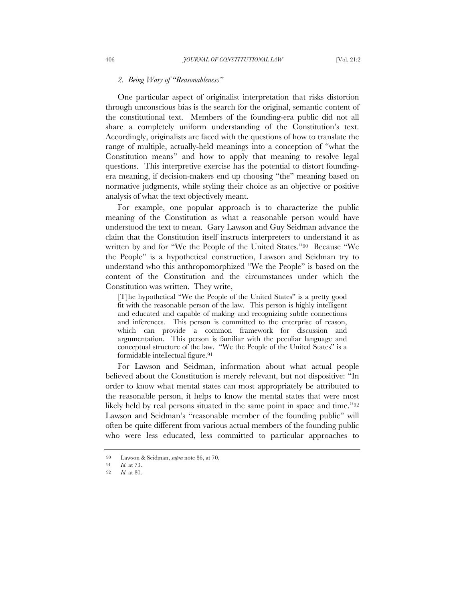# *2. Being Wary of "Reasonableness"*

One particular aspect of originalist interpretation that risks distortion through unconscious bias is the search for the original, semantic content of the constitutional text. Members of the founding-era public did not all share a completely uniform understanding of the Constitution's text. Accordingly, originalists are faced with the questions of how to translate the range of multiple, actually-held meanings into a conception of "what the Constitution means" and how to apply that meaning to resolve legal questions. This interpretive exercise has the potential to distort foundingera meaning, if decision-makers end up choosing "the" meaning based on normative judgments, while styling their choice as an objective or positive analysis of what the text objectively meant.

For example, one popular approach is to characterize the public meaning of the Constitution as what a reasonable person would have understood the text to mean. Gary Lawson and Guy Seidman advance the claim that the Constitution itself instructs interpreters to understand it as written by and for "We the People of the United States."90 Because "We the People" is a hypothetical construction, Lawson and Seidman try to understand who this anthropomorphized "We the People" is based on the content of the Constitution and the circumstances under which the Constitution was written. They write,

[T]he hypothetical "We the People of the United States" is a pretty good fit with the reasonable person of the law. This person is highly intelligent and educated and capable of making and recognizing subtle connections and inferences. This person is committed to the enterprise of reason, which can provide a common framework for discussion and argumentation. This person is familiar with the peculiar language and conceptual structure of the law. "We the People of the United States" is a formidable intellectual figure.<sup>91</sup>

For Lawson and Seidman, information about what actual people believed about the Constitution is merely relevant, but not dispositive: "In order to know what mental states can most appropriately be attributed to the reasonable person, it helps to know the mental states that were most likely held by real persons situated in the same point in space and time."<sup>92</sup> Lawson and Seidman's "reasonable member of the founding public" will often be quite different from various actual members of the founding public who were less educated, less committed to particular approaches to

<sup>90</sup> Lawson & Seidman, *supra* note 86, at 70.

<sup>91</sup> *Id*. at 73.

<sup>92</sup> *Id*. at 80.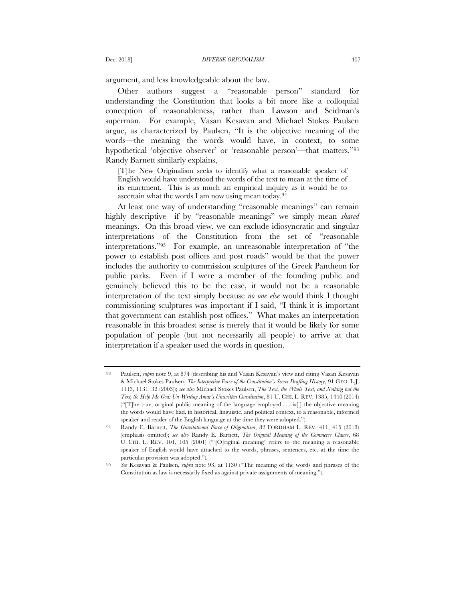argument, and less knowledgeable about the law.

Other authors suggest a "reasonable person" standard for understanding the Constitution that looks a bit more like a colloquial conception of reasonableness, rather than Lawson and Seidman's superman. For example, Vasan Kesavan and Michael Stokes Paulsen argue, as characterized by Paulsen, "It is the objective meaning of the words—the meaning the words would have, in context, to some hypothetical 'objective observer' or 'reasonable person'—that matters."93 Randy Barnett similarly explains,

[T]he New Originalism seeks to identify what a reasonable speaker of English would have understood the words of the text to mean at the time of its enactment. This is as much an empirical inquiry as it would be to ascertain what the words I am now using mean today.94

At least one way of understanding "reasonable meanings" can remain highly descriptive—if by "reasonable meanings" we simply mean *shared*  meanings. On this broad view, we can exclude idiosyncratic and singular interpretations of the Constitution from the set of "reasonable interpretations."95 For example, an unreasonable interpretation of "the power to establish post offices and post roads" would be that the power includes the authority to commission sculptures of the Greek Pantheon for public parks. Even if I were a member of the founding public and genuinely believed this to be the case, it would not be a reasonable interpretation of the text simply because *no one else* would think I thought commissioning sculptures was important if I said, "I think it is important that government can establish post offices." What makes an interpretation reasonable in this broadest sense is merely that it would be likely for some population of people (but not necessarily all people) to arrive at that interpretation if a speaker used the words in question.

<sup>93</sup> Paulsen, *supra* note 9, at 874 (describing his and Vasan Kesavan's view and citing Vasan Kesavan & Michael Stokes Paulsen, *The Interpretive Force of the Constitution's Secret Drafting History*, 91 GEO. L.J. 1113, 1131–32 (2003)); *see also* Michael Stokes Paulsen, *The Text, the Whole Text, and Nothing but the Text, So Help Me God: Un-Writing Amar's Unwritten Constitution*, 81 U. CHI. L. REV. 1385, 1440 (2014) ("[T]he true, original public meaning of the language employed . . . is[ ] the objective meaning the words would have had, in historical, linguistic, and political context, to a reasonable, informed speaker and reader of the English language at the time they were adopted.").

<sup>94</sup> Randy E. Barnett, *The Gravitational Force of Originalism*, 82 FORDHAM L. REV. 411, 415 (2013) (emphasis omitted); *see also* Randy E. Barnett, *The Original Meaning of the Commerce Clause*, 68 U. CHI. L. REV. 101, 105 (2001) ("'[O]riginal meaning' refers to the meaning a reasonable speaker of English would have attached to the words, phrases, sentences, etc. at the time the particular provision was adopted.").

<sup>95</sup> *See* Kesavan & Paulsen, *supra* note 93, at 1130 ("The meaning of the words and phrases of the Constitution as law is necessarily fixed as against private assignments of meaning.").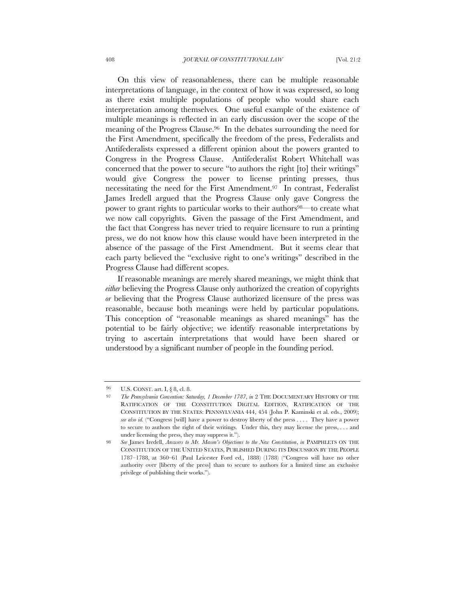On this view of reasonableness, there can be multiple reasonable interpretations of language, in the context of how it was expressed, so long as there exist multiple populations of people who would share each interpretation among themselves. One useful example of the existence of multiple meanings is reflected in an early discussion over the scope of the meaning of the Progress Clause.96 In the debates surrounding the need for the First Amendment, specifically the freedom of the press, Federalists and Antifederalists expressed a different opinion about the powers granted to Congress in the Progress Clause. Antifederalist Robert Whitehall was concerned that the power to secure "to authors the right [to] their writings" would give Congress the power to license printing presses, thus necessitating the need for the First Amendment.97 In contrast, Federalist James Iredell argued that the Progress Clause only gave Congress the power to grant rights to particular works to their authors<sup>98—to</sup> create what we now call copyrights. Given the passage of the First Amendment, and the fact that Congress has never tried to require licensure to run a printing press, we do not know how this clause would have been interpreted in the absence of the passage of the First Amendment. But it seems clear that each party believed the "exclusive right to one's writings" described in the Progress Clause had different scopes.

If reasonable meanings are merely shared meanings, we might think that *either* believing the Progress Clause only authorized the creation of copyrights *or* believing that the Progress Clause authorized licensure of the press was reasonable, because both meanings were held by particular populations. This conception of "reasonable meanings as shared meanings" has the potential to be fairly objective; we identify reasonable interpretations by trying to ascertain interpretations that would have been shared or understood by a significant number of people in the founding period.

<sup>96</sup> U.S. CONST. art. I, § 8, cl. 8.

<sup>97</sup> *The Pennsylvania Convention: Saturday, 1 December 1787*, *in* 2 THE DOCUMENTARY HISTORY OF THE RATIFICATION OF THE CONSTITUTION DIGITAL EDITION, RATIFICATION OF THE CONSTITUTION BY THE STATES: PENNSYLVANIA 444, 454 (John P. Kaminski et al. eds., 2009); *see also id.* ("Congress [will] have a power to destroy liberty of the press . . . . They have a power to secure to authors the right of their writings. Under this, they may license the press, . . . and under licensing the press, they may suppress it.").

<sup>98</sup> *See* James Iredell, *Answers to Mr. Mason's Objections to the New Constitution*, *in* PAMPHLETS ON THE CONSTITUTION OF THE UNITED STATES, PUBLISHED DURING ITS DISCUSSION BY THE PEOPLE 1787–1788, at 360–61 (Paul Leicester Ford ed., 1888) (1788) ("Congress will have no other authority over [liberty of the press] than to secure to authors for a limited time an exclusive privilege of publishing their works.").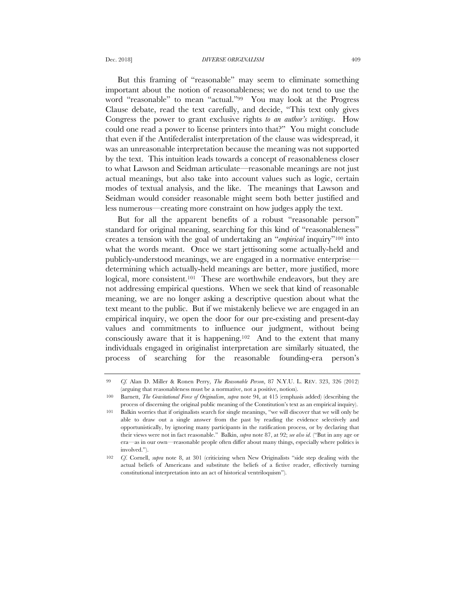But this framing of "reasonable" may seem to eliminate something important about the notion of reasonableness; we do not tend to use the word "reasonable" to mean "actual."99 You may look at the Progress Clause debate, read the text carefully, and decide, "This text only gives Congress the power to grant exclusive rights *to an author's writings*. How could one read a power to license printers into that?" You might conclude that even if the Antifederalist interpretation of the clause was widespread, it was an unreasonable interpretation because the meaning was not supported by the text. This intuition leads towards a concept of reasonableness closer to what Lawson and Seidman articulate—reasonable meanings are not just actual meanings, but also take into account values such as logic, certain modes of textual analysis, and the like. The meanings that Lawson and Seidman would consider reasonable might seem both better justified and less numerous—creating more constraint on how judges apply the text.

But for all the apparent benefits of a robust "reasonable person" standard for original meaning, searching for this kind of "reasonableness" creates a tension with the goal of undertaking an "*empirical* inquiry"100 into what the words meant. Once we start jettisoning some actually-held and publicly-understood meanings, we are engaged in a normative enterprise determining which actually-held meanings are better, more justified, more logical, more consistent.<sup>101</sup> These are worthwhile endeavors, but they are not addressing empirical questions. When we seek that kind of reasonable meaning, we are no longer asking a descriptive question about what the text meant to the public. But if we mistakenly believe we are engaged in an empirical inquiry, we open the door for our pre-existing and present-day values and commitments to influence our judgment, without being consciously aware that it is happening.102 And to the extent that many individuals engaged in originalist interpretation are similarly situated, the process of searching for the reasonable founding-era person's

<sup>99</sup> *Cf.* Alan D. Miller & Ronen Perry, *The Reasonable Person*, 87 N.Y.U. L. REV. 323, 326 (2012) (arguing that reasonableness must be a normative, not a positive, notion).

<sup>100</sup> Barnett, *The Gravitational Force of Originalism*, *supra* note 94, at 415 (emphasis added) (describing the process of discerning the original public meaning of the Constitution's text as an empirical inquiry).

<sup>101</sup> Balkin worries that if originalists search for single meanings, "we will discover that we will only be able to draw out a single answer from the past by reading the evidence selectively and opportunistically, by ignoring many participants in the ratification process, or by declaring that their views were not in fact reasonable." Balkin, *supra* note 87, at 92; *see also id*. ("But in any age or era—as in our own—reasonable people often differ about many things, especially where politics is involved.").

<sup>102</sup> *Cf*. Cornell, *supra* note 8, at 301 (criticizing when New Originalists "side step dealing with the actual beliefs of Americans and substitute the beliefs of a fictive reader, effectively turning constitutional interpretation into an act of historical ventriloquism").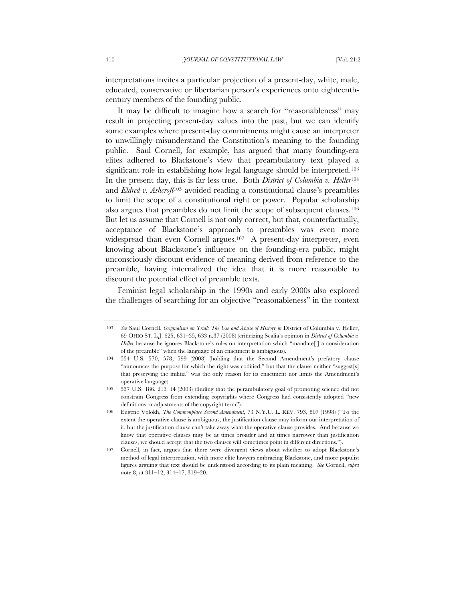interpretations invites a particular projection of a present-day, white, male, educated, conservative or libertarian person's experiences onto eighteenthcentury members of the founding public.

It may be difficult to imagine how a search for "reasonableness" may result in projecting present-day values into the past, but we can identify some examples where present-day commitments might cause an interpreter to unwillingly misunderstand the Constitution's meaning to the founding public. Saul Cornell, for example, has argued that many founding-era elites adhered to Blackstone's view that preambulatory text played a significant role in establishing how legal language should be interpreted.<sup>103</sup> In the present day, this is far less true. Both *District of Columbia v. Heller*<sup>104</sup> and *Eldred v. Ashcroft*<sup>105</sup> avoided reading a constitutional clause's preambles to limit the scope of a constitutional right or power. Popular scholarship also argues that preambles do not limit the scope of subsequent clauses.106 But let us assume that Cornell is not only correct, but that, counterfactually, acceptance of Blackstone's approach to preambles was even more widespread than even Cornell argues.<sup>107</sup> A present-day interpreter, even knowing about Blackstone's influence on the founding-era public, might unconsciously discount evidence of meaning derived from reference to the preamble, having internalized the idea that it is more reasonable to discount the potential effect of preamble texts.

Feminist legal scholarship in the 1990s and early 2000s also explored the challenges of searching for an objective "reasonableness" in the context

<sup>103</sup> *See* Saul Cornell, *Originalism on Trial: The Use and Abuse of History in* District of Columbia v. Heller, 69 OHIO ST. L.J. 625, 631–35, 633 n.37 (2008) (criticizing Scalia's opinion in *District of Columbia v.*  Heller because he ignores Blackstone's rules on interpretation which "mandate<sup>[]</sup> a consideration of the preamble" when the language of an enactment is ambiguous).

<sup>104</sup> 554 U.S. 570, 578, 599 (2008) (holding that the Second Amendment's prefatory clause "announces the purpose for which the right was codified," but that the clause neither "suggest[s] that preserving the militia" was the only reason for its enactment nor limits the Amendment's operative language).

<sup>105</sup> 537 U.S. 186, 213–14 (2003) (finding that the perambulatory goal of promoting science did not constrain Congress from extending copyrights where Congress had consistently adopted "new definitions or adjustments of the copyright term").

<sup>106</sup> Eugene Volokh, *The Commonplace Second Amendment*, 73 N.Y.U. L. REV. 793, 807 (1998) ("To the extent the operative clause is ambiguous, the justification clause may inform our interpretation of it, but the justification clause can't take away what the operative clause provides. And because we know that operative clauses may be at times broader and at times narrower than justification clauses, we should accept that the two clauses will sometimes point in different directions.").

<sup>107</sup> Cornell, in fact, argues that there were divergent views about whether to adopt Blackstone's method of legal interpretation, with more elite lawyers embracing Blackstone, and more populist figures arguing that text should be understood according to its plain meaning. *See* Cornell, *supra* note 8, at 311–12, 314–17, 319–20.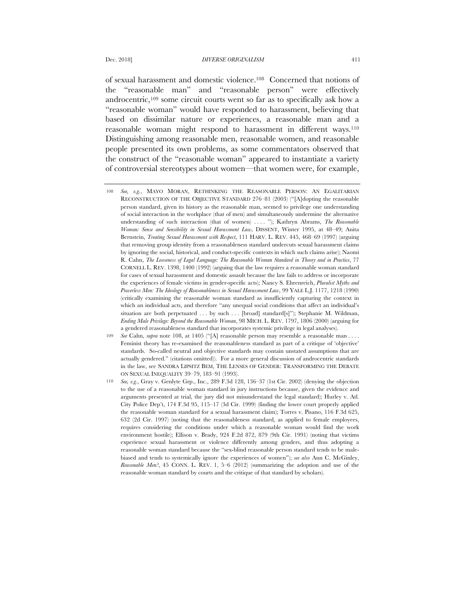of sexual harassment and domestic violence.108 Concerned that notions of the "reasonable man" and "reasonable person" were effectively androcentric,109 some circuit courts went so far as to specifically ask how a "reasonable woman" would have responded to harassment, believing that based on dissimilar nature or experiences, a reasonable man and a reasonable woman might respond to harassment in different ways.110 Distinguishing among reasonable men, reasonable women, and reasonable people presented its own problems, as some commentators observed that the construct of the "reasonable woman" appeared to instantiate a variety of controversial stereotypes about women—that women were, for example,

- 108 *See, e.g.*, MAYO MORAN, RETHINKING THE REASONABLE PERSON: AN EGALITARIAN RECONSTRUCTION OF THE OBJECTIVE STANDARD 276–81 (2003) ("[A]dopting the reasonable person standard, given its history as the reasonable man, seemed to privilege one understanding of social interaction in the workplace (that of men) and simultaneously undermine the alternative understanding of such interaction (that of women) .... "); Kathryn Abrams, *The Reasonable Woman: Sense and Sensibility in Sexual Harassment Law*, DISSENT, Winter 1995, at 48–49; Anita Bernstein, *Treating Sexual Harassment with Respect*, 111 HARV. L. REV. 445, 468–69 (1997) (arguing that removing group identity from a reasonableness standard undercuts sexual harassment claims by ignoring the social, historical, and conduct-specific contexts in which such claims arise); Naomi R. Cahn, *The Looseness of Legal Language: The Reasonable Woman Standard in Theory and in Practice*, 77 CORNELL L. REV. 1398, 1400 (1992) (arguing that the law requires a reasonable woman standard for cases of sexual harassment and domestic assault because the law fails to address or incorporate the experiences of female victims in gender-specific acts); Nancy S. Ehrenreich, *Pluralist Myths and Powerless Men: The Ideology of Reasonableness in Sexual Harassment Law*, 99 YALE L.J. 1177, 1218 (1990) (critically examining the reasonable woman standard as insufficiently capturing the context in which an individual acts, and therefore "any unequal social conditions that affect an individual's situation are both perpetuated . . . by such . . . [broad] standard[s]"); Stephanie M. Wildman, *Ending Male Privilege: Beyond the Reasonable Woman*, 98 MICH. L. REV. 1797, 1806 (2000) (arguing for a gendered reasonableness standard that incorporates systemic privilege in legal analyses).
- 109 *See* Cahn, *supra* note 108, at 1405 ("[A] reasonable person may resemble a reasonable man . . . . Feminist theory has re-examined the reasonableness standard as part of a critique of 'objective' standards. So-called neutral and objective standards may contain unstated assumptions that are actually gendered." (citations omitted)). For a more general discussion of androcentric standards in the law, see SANDRA LIPSITZ BEM, THE LENSES OF GENDER: TRANSFORMING THE DEBATE ON SEXUAL INEQUALITY 39–79, 183–91 (1993).
- 110 *See, e.g.*, Gray v. Genlyte Grp., Inc., 289 F.3d 128, 136–37 (1st Cir. 2002) (denying the objection to the use of a reasonable woman standard in jury instructions because, given the evidence and arguments presented at trial, the jury did not misunderstand the legal standard); Hurley v. Atl. City Police Dep't, 174 F.3d 95, 115–17 (3d Cir. 1999) (finding the lower court properly applied the reasonable woman standard for a sexual harassment claim); Torres v. Pisano, 116 F.3d 625, 632 (2d Cir. 1997) (noting that the reasonableness standard, as applied to female employees, requires considering the conditions under which a reasonable woman would find the work environment hostile); Ellison v. Brady, 924 F.2d 872, 879 (9th Cir. 1991) (noting that victims experience sexual harassment or violence differently among genders, and thus adopting a reasonable woman standard because the "sex-blind reasonable person standard tends to be malebiased and tends to systemically ignore the experiences of women"); *see also* Ann C. McGinley, *Reasonable Men?*, 45 CONN. L. REV. 1, 5–6 (2012) (summarizing the adoption and use of the reasonable woman standard by courts and the critique of that standard by scholars).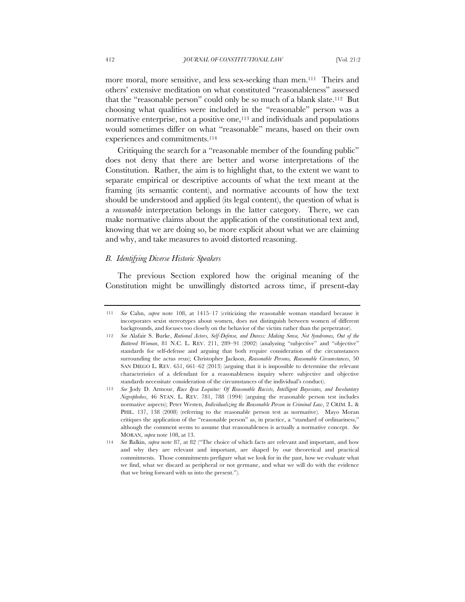more moral, more sensitive, and less sex-seeking than men.<sup>111</sup> Theirs and others' extensive meditation on what constituted "reasonableness" assessed that the "reasonable person" could only be so much of a blank slate.112 But choosing what qualities were included in the "reasonable" person was a normative enterprise, not a positive one,<sup>113</sup> and individuals and populations would sometimes differ on what "reasonable" means, based on their own experiences and commitments.114

Critiquing the search for a "reasonable member of the founding public" does not deny that there are better and worse interpretations of the Constitution. Rather, the aim is to highlight that, to the extent we want to separate empirical or descriptive accounts of what the text meant at the framing (its semantic content), and normative accounts of how the text should be understood and applied (its legal content), the question of what is a *reasonable* interpretation belongs in the latter category. There, we can make normative claims about the application of the constitutional text and, knowing that we are doing so, be more explicit about what we are claiming and why, and take measures to avoid distorted reasoning.

## *B. Identifying Diverse Historic Speakers*

The previous Section explored how the original meaning of the Constitution might be unwillingly distorted across time, if present-day

<sup>111</sup> *See* Cahn, *supra* note 108, at 1415–17 (criticizing the reasonable woman standard because it incorporates sexist stereotypes about women, does not distinguish between women of different backgrounds, and focuses too closely on the behavior of the victim rather than the perpetrator).

<sup>112</sup> *See* Alafair S. Burke, *Rational Actors, Self-Defense, and Duress: Making Sense, Not Syndromes, Out of the Battered Woman*, 81 N.C. L. REV. 211, 289–91 (2002) (analyzing "subjective" and "objective" standards for self-defense and arguing that both require consideration of the circumstances surrounding the actus reus); Christopher Jackson, *Reasonable Persons, Reasonable Circumstances*, 50 SAN DIEGO L. REV. 651, 661–62 (2013) (arguing that it is impossible to determine the relevant characteristics of a defendant for a reasonableness inquiry where subjective and objective standards necessitate consideration of the circumstances of the individual's conduct).

<sup>113</sup> *See* Jody D. Armour, *Race Ipsa Loquitur: Of Reasonable Racists, Intelligent Bayesians, and Involuntary Negrophobes*, 46 STAN. L. REV. 781, 788 (1994) (arguing the reasonable person test includes normative aspects); Peter Westen, *Individualizing the Reasonable Person in Criminal Law*, 2 CRIM. L. & PHIL. 137, 138 (2008) (referring to the reasonable person test as normative). Mayo Moran critiques the application of the "reasonable person" as, in practice, a "standard of ordinariness," although the comment seems to assume that reasonableness is actually a normative concept. *See* MORAN, *supra* note 108, at 13.

<sup>114</sup> *See* Balkin, *supra* note 87, at 82 ("The choice of which facts are relevant and important, and how and why they are relevant and important, are shaped by our theoretical and practical commitments. Those commitments prefigure what we look for in the past, how we evaluate what we find, what we discard as peripheral or not germane, and what we will do with the evidence that we bring forward with us into the present.").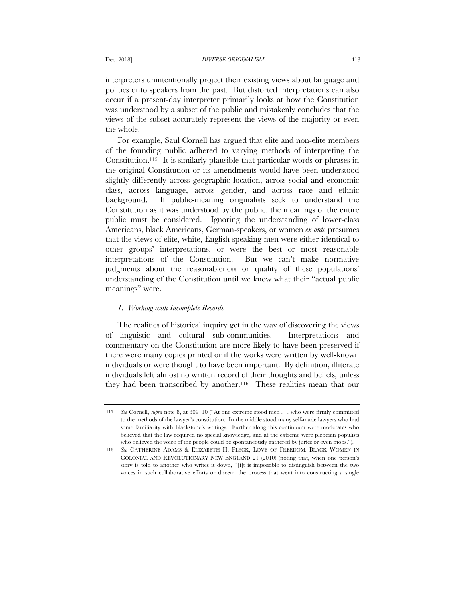interpreters unintentionally project their existing views about language and politics onto speakers from the past. But distorted interpretations can also occur if a present-day interpreter primarily looks at how the Constitution was understood by a subset of the public and mistakenly concludes that the views of the subset accurately represent the views of the majority or even the whole.

For example, Saul Cornell has argued that elite and non-elite members of the founding public adhered to varying methods of interpreting the Constitution.115 It is similarly plausible that particular words or phrases in the original Constitution or its amendments would have been understood slightly differently across geographic location, across social and economic class, across language, across gender, and across race and ethnic background. If public-meaning originalists seek to understand the Constitution as it was understood by the public, the meanings of the entire public must be considered. Ignoring the understanding of lower-class Americans, black Americans, German-speakers, or women *ex ante* presumes that the views of elite, white, English-speaking men were either identical to other groups' interpretations, or were the best or most reasonable interpretations of the Constitution. But we can't make normative judgments about the reasonableness or quality of these populations' understanding of the Constitution until we know what their "actual public meanings" were.

# *1. Working with Incomplete Records*

The realities of historical inquiry get in the way of discovering the views of linguistic and cultural sub-communities. Interpretations and commentary on the Constitution are more likely to have been preserved if there were many copies printed or if the works were written by well-known individuals or were thought to have been important. By definition, illiterate individuals left almost no written record of their thoughts and beliefs, unless they had been transcribed by another.116 These realities mean that our

<sup>115</sup> *See* Cornell, *supra* note 8, at 309–10 ("At one extreme stood men . . . who were firmly committed to the methods of the lawyer's constitution. In the middle stood many self-made lawyers who had some familiarity with Blackstone's writings. Further along this continuum were moderates who believed that the law required no special knowledge, and at the extreme were plebeian populists who believed the voice of the people could be spontaneously gathered by juries or even mobs.").

<sup>116</sup> *See* CATHERINE ADAMS & ELIZABETH H. PLECK, LOVE OF FREEDOM: BLACK WOMEN IN COLONIAL AND REVOLUTIONARY NEW ENGLAND 21 (2010) (noting that, when one person's story is told to another who writes it down, "[i]t is impossible to distinguish between the two voices in such collaborative efforts or discern the process that went into constructing a single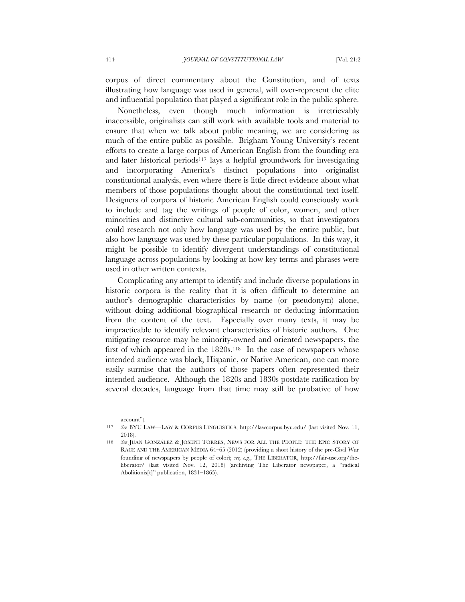corpus of direct commentary about the Constitution, and of texts illustrating how language was used in general, will over-represent the elite and influential population that played a significant role in the public sphere.

Nonetheless, even though much information is irretrievably inaccessible, originalists can still work with available tools and material to ensure that when we talk about public meaning, we are considering as much of the entire public as possible. Brigham Young University's recent efforts to create a large corpus of American English from the founding era and later historical periods117 lays a helpful groundwork for investigating and incorporating America's distinct populations into originalist constitutional analysis, even where there is little direct evidence about what members of those populations thought about the constitutional text itself. Designers of corpora of historic American English could consciously work to include and tag the writings of people of color, women, and other minorities and distinctive cultural sub-communities, so that investigators could research not only how language was used by the entire public, but also how language was used by these particular populations. In this way, it might be possible to identify divergent understandings of constitutional language across populations by looking at how key terms and phrases were used in other written contexts.

Complicating any attempt to identify and include diverse populations in historic corpora is the reality that it is often difficult to determine an author's demographic characteristics by name (or pseudonym) alone, without doing additional biographical research or deducing information from the content of the text. Especially over many texts, it may be impracticable to identify relevant characteristics of historic authors. One mitigating resource may be minority-owned and oriented newspapers, the first of which appeared in the  $1820s$ .<sup>118</sup> In the case of newspapers whose intended audience was black, Hispanic, or Native American, one can more easily surmise that the authors of those papers often represented their intended audience. Although the 1820s and 1830s postdate ratification by several decades, language from that time may still be probative of how

account").

<sup>117</sup> *See* BYU LAW—LAW & CORPUS LINGUISTICS, http://lawcorpus.byu.edu/ (last visited Nov. 11, 2018).

<sup>118</sup> *See* JUAN GONZÁLEZ & JOSEPH TORRES, NEWS FOR ALL THE PEOPLE: THE EPIC STORY OF RACE AND THE AMERICAN MEDIA 64–65 (2012) (providing a short history of the pre-Civil War founding of newspapers by people of color); *see, e.g.*, THE LIBERATOR, http://fair-use.org/theliberator/ (last visited Nov. 12, 2018) (archiving The Liberator newspaper, a "radical Abolitionis[t]" publication, 1831–1865).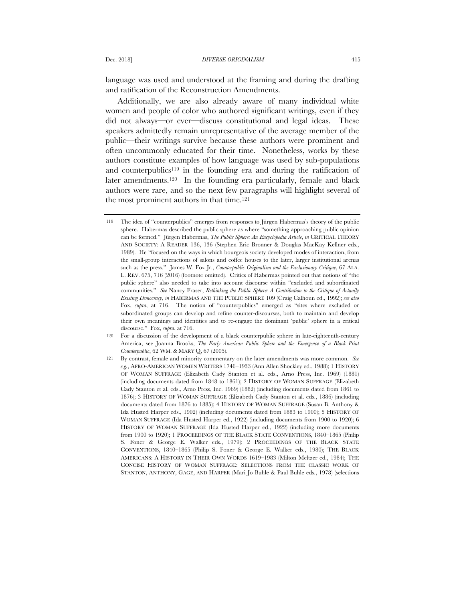language was used and understood at the framing and during the drafting and ratification of the Reconstruction Amendments.

Additionally, we are also already aware of many individual white women and people of color who authored significant writings, even if they did not always—or ever—discuss constitutional and legal ideas. These speakers admittedly remain unrepresentative of the average member of the public—their writings survive because these authors were prominent and often uncommonly educated for their time. Nonetheless, works by these authors constitute examples of how language was used by sub-populations and counterpublics<sup>119</sup> in the founding era and during the ratification of later amendments.<sup>120</sup> In the founding era particularly, female and black authors were rare, and so the next few paragraphs will highlight several of the most prominent authors in that time.121

<sup>119</sup> The idea of "counterpublics" emerges from responses to Jürgen Habermas's theory of the public sphere. Habermas described the public sphere as where "something approaching public opinion can be formed." Jürgen Habermas, *The Public Sphere: An Encyclopedia Article*, *in* CRITICAL THEORY AND SOCIETY: A READER 136, 136 (Stephen Eric Bronner & Douglas MacKay Kellner eds., 1989). He "focused on the ways in which bourgeois society developed modes of interaction, from the small-group interactions of salons and coffee houses to the later, larger institutional arenas such as the press." James W. Fox Jr., *Counterpublic Originalism and the Exclusionary Critique*, 67 ALA. L. REV. 675, 716 (2016) (footnote omitted). Critics of Habermas pointed out that notions of "the public sphere" also needed to take into account discourse within "excluded and subordinated communities." *See* Nancy Fraser, *Rethinking the Public Sphere: A Contribution to the Critique of Actually Existing Democracy*, *in* HABERMAS AND THE PUBLIC SPHERE 109 (Craig Calhoun ed., 1992); *see also*  Fox, *supra*, at 716. The notion of "counterpublics" emerged as "sites where excluded or subordinated groups can develop and refine counter-discourses, both to maintain and develop their own meanings and identities and to re-engage the dominant 'public' sphere in a critical discourse." Fox, *supra*, at 716.

<sup>120</sup> For a discussion of the development of a black counterpublic sphere in late-eighteenth-century America, see Joanna Brooks, *The Early American Public Sphere and the Emergence of a Black Print Counterpublic*, 62 WM. & MARY Q. 67 (2005).

<sup>121</sup> By contrast, female and minority commentary on the later amendments was more common. *See e.g.*, AFRO-AMERICAN WOMEN WRITERS 1746–1933 (Ann Allen Shockley ed., 1988); 1 HISTORY OF WOMAN SUFFRAGE (Elizabeth Cady Stanton et al. eds., Arno Press, Inc. 1969) (1881) (including documents dated from 1848 to 1861); 2 HISTORY OF WOMAN SUFFRAGE (Elizabeth Cady Stanton et al. eds., Arno Press, Inc. 1969) (1882) (including documents dated from 1861 to 1876); 3 HISTORY OF WOMAN SUFFRAGE (Elizabeth Cady Stanton et al. eds., 1886) (including documents dated from 1876 to 1885); 4 HISTORY OF WOMAN SUFFRAGE (Susan B. Anthony & Ida Husted Harper eds., 1902) (including documents dated from 1883 to 1900); 5 HISTORY OF WOMAN SUFFRAGE (Ida Husted Harper ed., 1922) (including documents from 1900 to 1920); 6 HISTORY OF WOMAN SUFFRAGE (Ida Husted Harper ed., 1922) (including more documents from 1900 to 1920); 1 PROCEEDINGS OF THE BLACK STATE CONVENTIONS, 1840–1865 (Philip S. Foner & George E. Walker eds., 1979); 2 PROCEEDINGS OF THE BLACK STATE CONVENTIONS, 1840–1865 (Philip S. Foner & George E. Walker eds., 1980); THE BLACK AMERICANS: A HISTORY IN THEIR OWN WORDS 1619–1983 (Milton Meltzer ed., 1984); THE CONCISE HISTORY OF WOMAN SUFFRAGE: SELECTIONS FROM THE CLASSIC WORK OF STANTON, ANTHONY, GAGE, AND HARPER (Mari Jo Buhle & Paul Buhle eds., 1978) (selections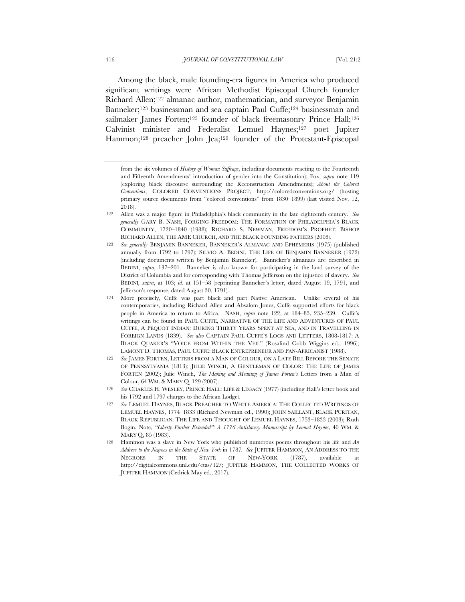Among the black, male founding-era figures in America who produced significant writings were African Methodist Episcopal Church founder Richard Allen;122 almanac author, mathematician, and surveyor Benjamin Banneker;123 businessman and sea captain Paul Cuffe;124 businessman and sailmaker James Forten;<sup>125</sup> founder of black freemasonry Prince Hall;<sup>126</sup> Calvinist minister and Federalist Lemuel Haynes;127 poet Jupiter Hammon;<sup>128</sup> preacher John Jea;<sup>129</sup> founder of the Protestant-Episcopal

- 122 Allen was a major figure in Philadelphia's black community in the late eighteenth century. *See generally* GARY B. NASH, FORGING FREEDOM: THE FORMATION OF PHILADELPHIA'S BLACK COMMUNITY, 1720–1840 (1988); RICHARD S. NEWMAN, FREEDOM'S PROPHET: BISHOP RICHARD ALLEN, THE AME CHURCH, AND THE BLACK FOUNDING FATHERS (2008).
- 123 *See generally* BENJAMIN BANNEKER, BANNEKER'S ALMANAC AND EPHEMERIS (1975) (published annually from 1792 to 1797); SILVIO A. BEDINI, THE LIFE OF BENJAMIN BANNEKER (1972) (including documents written by Benjamin Banneker). Banneker's almanacs are described in BEDINI, *supra*, 137–201. Banneker is also known for participating in the land survey of the District of Columbia and for corresponding with Thomas Jefferson on the injustice of slavery. *See* BEDINI*, supra*, at 103; *id.* at 151–58 (reprinting Banneker's letter, dated August 19, 1791, and Jefferson's response, dated August 30, 1791).
- 124 More precisely, Cuffe was part black and part Native American. Unlike several of his contemporaries, including Richard Allen and Absalom Jones, Cuffe supported efforts for black people in America to return to Africa. NASH, *supra* note 122, at 184–85, 235–239. Cuffe's writings can be found in PAUL CUFFE, NARRATIVE OF THE LIFE AND ADVENTURES OF PAUL CUFFE, A PEQUOT INDIAN: DURING THIRTY YEARS SPENT AT SEA, AND IN TRAVELLING IN FOREIGN LANDS (1839). *See also* CAPTAIN PAUL CUFFE'S LOGS AND LETTERS, 1808-1817: A BLACK QUAKER'S "VOICE FROM WITHIN THE VEIL" (Rosalind Cobb Wiggins ed., 1996); LAMONT D. THOMAS, PAUL CUFFE: BLACK ENTREPRENEUR AND PAN-AFRICANIST (1988).
- 125 *See* JAMES FORTEN, LETTERS FROM A MAN OF COLOUR, ON A LATE BILL BEFORE THE SENATE OF PENNSYLVANIA (1813); JULIE WINCH, A GENTLEMAN OF COLOR: THE LIFE OF JAMES FORTEN (2002); Julie Winch, *The Making and Meaning of James Forten's* Letters from a Man of Colour, 64 WM. & MARY Q. 129 (2007).
- 126 *See* CHARLES H. WESLEY, PRINCE HALL: LIFE & LEGACY (1977) (including Hall's letter book and his 1792 and 1797 charges to the African Lodge).
- 127 *See* LEMUEL HAYNES, BLACK PREACHER TO WHITE AMERICA: THE COLLECTED WRITINGS OF LEMUEL HAYNES, 1774–1833 (Richard Newman ed., 1990); JOHN SAILLANT, BLACK PURITAN, BLACK REPUBLICAN: THE LIFE AND THOUGHT OF LEMUEL HAYNES, 1753–1833 (2003); Ruth Bogin, Note, *"Liberty Further Extended": A 1776 Antislavery Manuscript by Lemuel Haynes*, 40 WM. & MARY Q. 85 (1983).
- 128 Hammon was a slave in New York who published numerous poems throughout his life and *An Address to the Negroes in the State of New-York* in 1787*. See* JUPITER HAMMON, AN ADDRESS TO THE NEGROES IN THE STATE OF NEW-YORK (1787), available at http://digitalcommons.unl.edu/etas/12/; JUPITER HAMMON, THE COLLECTED WORKS OF JUPITER HAMMON (Cedrick May ed., 2017).

from the six volumes of *History of Woman Suffrage*, including documents reacting to the Fourteenth and Fifteenth Amendments' introduction of gender into the Constitution); Fox, *supra* note 119 (exploring black discourse surrounding the Reconstruction Amendments); *About the Colored Conventions*, COLORED CONVENTIONS PROJECT, http://coloredconventions.org/ (hosting primary source documents from "colored conventions" from 1830–1899) (last visited Nov. 12, 2018).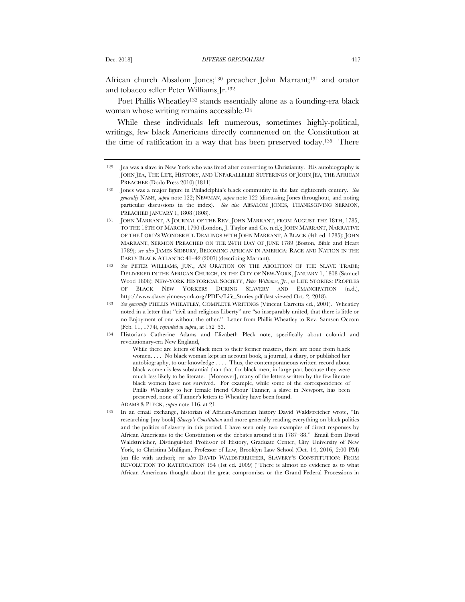African church Absalom Jones;130 preacher John Marrant;131 and orator and tobacco seller Peter Williams Jr.132

Poet Phillis Wheatley<sup>133</sup> stands essentially alone as a founding-era black woman whose writing remains accessible.134

While these individuals left numerous, sometimes highly-political, writings, few black Americans directly commented on the Constitution at the time of ratification in a way that has been preserved today.135 There

While there are letters of black men to their former masters, there are none from black women. . . . No black woman kept an account book, a journal, a diary, or published her autobiography, to our knowledge . . . . Thus, the contemporaneous written record about black women is less substantial than that for black men, in large part because they were much less likely to be literate. [Moreover], many of the letters written by the few literate black women have not survived. For example, while some of the correspondence of Phillis Wheatley to her female friend Obour Tanner, a slave in Newport, has been preserved, none of Tanner's letters to Wheatley have been found.

ADAMS & PLECK, *supra* note 116, at 21.

135 In an email exchange, historian of African-American history David Waldstreicher wrote, "In researching [my book] *Slavery's Constitution* and more generally reading everything on black politics and the politics of slavery in this period, I have seen only two examples of direct responses by African Americans to the Constitution or the debates around it in 1787–88." Email from David Waldstreicher, Distinguished Professor of History, Graduate Center, City University of New York, to Christina Mulligan, Professor of Law, Brooklyn Law School (Oct. 14, 2016, 2:00 PM) (on file with author); *see also* DAVID WALDSTREICHER, SLAVERY'S CONSTITUTION: FROM REVOLUTION TO RATIFICATION 154 (1st ed. 2009) ("There is almost no evidence as to what African Americans thought about the great compromises or the Grand Federal Processions in

<sup>129</sup> Jea was a slave in New York who was freed after converting to Christianity. His autobiography is JOHN JEA, THE LIFE, HISTORY, AND UNPARALLELED SUFFERINGS OF JOHN JEA, THE AFRICAN PREACHER (Dodo Press 2010) (1811).

<sup>130</sup> Jones was a major figure in Philadelphia's black community in the late eighteenth century. *See generally* NASH, *supra* note 122; NEWMAN, *supra* note 122 (discussing Jones throughout, and noting particular discussions in the index). *See also* ABSALOM JONES, THANKSGIVING SERMON, PREACHED JANUARY 1, 1808 (1808).

<sup>131</sup> JOHN MARRANT, A JOURNAL OF THE REV. JOHN MARRANT, FROM AUGUST THE 18TH, 1785, TO THE 16TH OF MARCH, 1790 (London, J. Taylor and Co. n.d.); JOHN MARRANT, NARRATIVE OF THE LORD'S WONDERFUL DEALINGS WITH JOHN MARRANT, A BLACK (4th ed. 1785); JOHN MARRANT, SERMON PREACHED ON THE 24TH DAY OF JUNE 1789 (Boston, Bible and Heart 1789); *see also* JAMES SIDBURY, BECOMING AFRICAN IN AMERICA: RACE AND NATION IN THE EARLY BLACK ATLANTIC 41–42 (2007) (describing Marrant).

<sup>132</sup> *See* PETER WILLIAMS, JUN., AN ORATION ON THE ABOLITION OF THE SLAVE TRADE; DELIVERED IN THE AFRICAN CHURCH, IN THE CITY OF NEW-YORK, JANUARY 1, 1808 (Samuel Wood 1808); NEW-YORK HISTORICAL SOCIETY, *Peter Williams, Jr.*, *in* LIFE STORIES: PROFILES OF BLACK NEW YORKERS DURING SLAVERY AND EMANCIPATION (n.d.), http://www.slaveryinnewyork.org/PDFs/Life\_Stories.pdf (last viewed Oct. 2, 2018).

<sup>133</sup> *See generally* PHILLIS WHEATLEY, COMPLETE WRITINGS (Vincent Carretta ed., 2001). Wheatley noted in a letter that "civil and religious Liberty" are "so inseparably united, that there is little or no Enjoyment of one without the other." Letter from Phillis Wheatley to Rev. Samson Occom (Feb. 11, 1774), *reprinted in supra*, at 152–53.

<sup>134</sup> Historians Catherine Adams and Elizabeth Pleck note, specifically about colonial and revolutionary-era New England,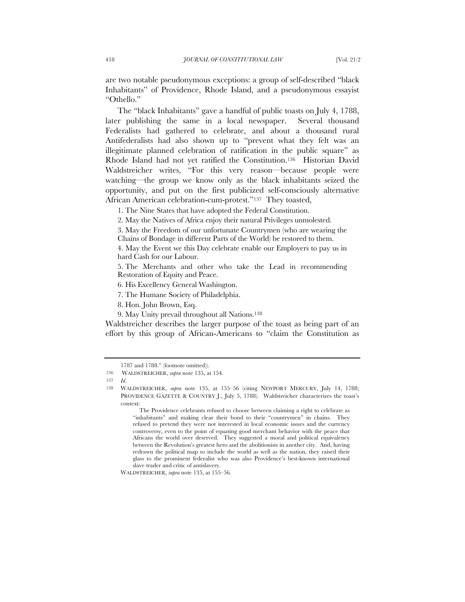are two notable pseudonymous exceptions: a group of self-described "black Inhabitants" of Providence, Rhode Island, and a pseudonymous essayist "Othello."

The "black Inhabitants" gave a handful of public toasts on July 4, 1788, later publishing the same in a local newspaper. Several thousand Federalists had gathered to celebrate, and about a thousand rural Antifederalists had also shown up to "prevent what they felt was an illegitimate planned celebration of ratification in the public square" as Rhode Island had not yet ratified the Constitution.136 Historian David Waldstreicher writes, "For this very reason—because people were watching—the group we know only as the black inhabitants seized the opportunity, and put on the first publicized self-consciously alternative African American celebration-cum-protest."137 They toasted,

1. The Nine States that have adopted the Federal Constitution.

2. May the Natives of Africa enjoy their natural Privileges unmolested.

3. May the Freedom of our unfortunate Countrymen (who are wearing the Chains of Bondage in different Parts of the World) be restored to them.

4. May the Event we this Day celebrate enable our Employers to pay us in hard Cash for our Labour.

5. The Merchants and other who take the Lead in recommending Restoration of Equity and Peace.

6. His Excellency General Washington.

7. The Humane Society of Philadelphia.

8. Hon. John Brown, Esq.

9. May Unity prevail throughout all Nations.138

Waldstreicher describes the larger purpose of the toast as being part of an effort by this group of African-Americans to "claim the Constitution as

The Providence celebrants refused to choose between claiming a right to celebrate as "inhabitants" and making clear their bond to their "countrymen" in chains. They refused to pretend they were not interested in local economic issues and the currency controversy, even to the point of equating good merchant behavior with the peace that Africans the world over deserved. They suggested a moral and political equivalency between the Revolution's greatest hero and the abolitionists in another city. And, having redrawn the political map to include the world as well as the nation, they raised their glass to the prominent federalist who was also Providence's best-known international slave trader and critic of antislavery.

WALDSTREICHER, *supra* note 135, at 155–56.

<sup>1787</sup> and 1788." (footnote omitted)).

<sup>136</sup> WALDSTREICHER, *supra* note 135, at 154.

<sup>137</sup> *Id*.

<sup>138</sup> WALDSTREICHER, *supra* note 135, at 155–56 (citing NEWPORT MERCURY, July 14, 1788; PROVIDENCE GAZETTE & COUNTRY J., July 5, 1788). Waldstreicher characterizes the toast's context: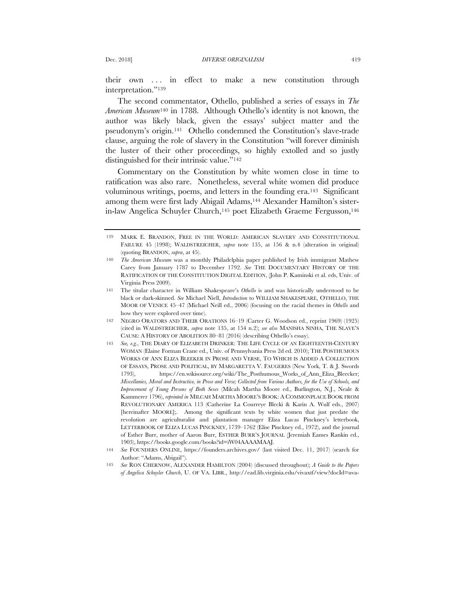their own . . . in effect to make a new constitution through interpretation."139

The second commentator, Othello, published a series of essays in *The American Museum*<sup>140</sup> in 1788. Although Othello's identity is not known, the author was likely black, given the essays' subject matter and the pseudonym's origin.141 Othello condemned the Constitution's slave-trade clause, arguing the role of slavery in the Constitution "will forever diminish the luster of their other proceedings, so highly extolled and so justly distinguished for their intrinsic value."142

Commentary on the Constitution by white women close in time to ratification was also rare. Nonetheless, several white women did produce voluminous writings, poems, and letters in the founding era.143 Significant among them were first lady Abigail Adams,<sup>144</sup> Alexander Hamilton's sisterin-law Angelica Schuyler Church,145 poet Elizabeth Graeme Fergusson,146

<sup>139</sup> MARK E. BRANDON, FREE IN THE WORLD: AMERICAN SLAVERY AND CONSTITUTIONAL FAILURE 45 (1998); WALDSTREICHER, *supra* note 135, at 156 & n.4 (alteration in original) (quoting BRANDON, *supra*, at 45).

<sup>140</sup> *The American Museum* was a monthly Philadelphia paper published by Irish immigrant Mathew Carey from January 1787 to December 1792. *See* THE DOCUMENTARY HISTORY OF THE RATIFICATION OF THE CONSTITUTION DIGITAL EDITION, (John P. Kaminski et al. eds, Univ. of Virginia Press 2009).

<sup>141</sup> The titular character in William Shakespeare's *Othello* is and was historically understood to be black or dark-skinned. *See* Michael Niell, *Introduction* to WILLIAM SHAKESPEARE, OTHELLO, THE MOOR OF VENICE 45–47 (Michael Neill ed., 2006) (focusing on the racial themes in *Othello* and how they were explored over time).

<sup>142</sup> NEGRO ORATORS AND THEIR ORATIONS 16–19 (Carter G. Woodson ed., reprint 1969) (1925) (cited in WALDSTREICHER, *supra* note 135, at 154 n.2); *see also* MANISHA SINHA, THE SLAVE'S CAUSE: A HISTORY OF ABOLITION 80–81 (2016) (describing Othello's essay).

<sup>143</sup> *See, e.g.*, THE DIARY OF ELIZABETH DRINKER: THE LIFE CYCLE OF AN EIGHTEENTH-CENTURY WOMAN (Elaine Forman Crane ed., Univ. of Pennsylvania Press 2d ed. 2010); THE POSTHUMOUS WORKS OF ANN ELIZA BLEEKER IN PROSE AND VERSE, TO WHICH IS ADDED A COLLECTION OF ESSAYS, PROSE AND POLITICAL, BY MARGARETTA V. FAUGERES (New York, T. & J. Swords 1793), https://en.wikisource.org/wiki/The\_Posthumous\_Works\_of\_Ann\_Eliza\_Bleecker; *Miscellanies, Moral and Instructive, in Prose and Verse; Collected from Various Authors, for the Use of Schools, and Improvement of Young Persons of Both Sexes* (Milcah Martha Moore ed., Burlington, N.J., Neale & Kammerer 1796), *reprinted in* MILCAH MARTHA MOORE'S BOOK: A COMMONPLACE BOOK FROM REVOLUTIONARY AMERICA 113 (Catherine La Courreye Blecki & Karin A. Wulf eds., 2007) [hereinafter MOORE];. Among the significant texts by white women that just predate the revolution are agriculturalist and plantation manager Eliza Lucas Pinckney's letterbook, LETTERBOOK OF ELIZA LUCAS PINCKNEY, 1739–1762 (Elise Pinckney ed., 1972), and the journal of Esther Burr, mother of Aaron Burr, ESTHER BURR'S JOURNAL (Jeremiah Eames Rankin ed., 1903), https://books.google.com/books?id=iW04AAAAMAAJ.

<sup>144</sup> *See* FOUNDERS ONLINE, https://founders.archives.gov/ (last visited Dec. 11, 2017) (search for Author: "Adams, Abigail").

<sup>145</sup> *See* RON CHERNOW, ALEXANDER HAMILTON (2004) (discussed throughout); *A Guide to the Papers of Angelica Schuyler Church*, U. OF VA. LIBR., http://ead.lib.virginia.edu/vivaxtf/view?docId=uva-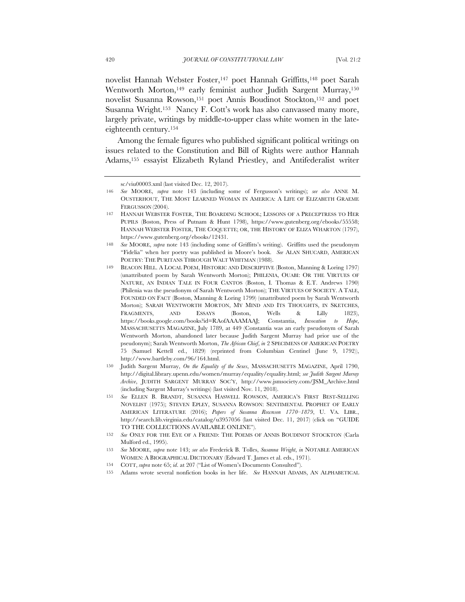novelist Hannah Webster Foster,147 poet Hannah Griffitts,148 poet Sarah Wentworth Morton,<sup>149</sup> early feminist author Judith Sargent Murray,<sup>150</sup> novelist Susanna Rowson,151 poet Annis Boudinot Stockton,152 and poet Susanna Wright.153 Nancy F. Cott's work has also canvassed many more, largely private, writings by middle-to-upper class white women in the lateeighteenth century.154

Among the female figures who published significant political writings on issues related to the Constitution and Bill of Rights were author Hannah Adams,155 essayist Elizabeth Ryland Priestley, and Antifederalist writer

sc/viu00003.xml (last visited Dec. 12, 2017).

<sup>146</sup> *See* MOORE, *supra* note 143 (including some of Fergusson's writings); *see also* ANNE M. OUSTERHOUT, THE MOST LEARNED WOMAN IN AMERICA: A LIFE OF ELIZABETH GRAEME FERGUSSON (2004).

<sup>147</sup> HANNAH WEBSTER FOSTER, THE BOARDING SCHOOL; LESSONS OF A PRECEPTRESS TO HER PUPILS (Boston, Press of Putnam & Hunt 1798), https://www.gutenberg.org/ebooks/55558; HANNAH WEBSTER FOSTER, THE COQUETTE; OR, THE HISTORY OF ELIZA WHARTON (1797), https://www.gutenberg.org/ebooks/12431.

<sup>148</sup> *See* MOORE, *supra* note 143 (including some of Griffitts's writing). Griffitts used the pseudonym "Fidelia" when her poetry was published in Moore's book. *See* ALAN SHUCARD, AMERICAN POETRY: THE PURITANS THROUGH WALT WHITMAN (1988).

BEACON HILL. A LOCAL POEM, HISTORIC AND DESCRIPTIVE (Boston, Manning & Loring 1797) (unattributed poem by Sarah Wentworth Morton); PHILENIA, OUABI: OR THE VIRTUES OF NATURE, AN INDIAN TALE IN FOUR CANTOS (Boston, I. Thomas & E.T. Andrews 1790) (Philenia was the pseudonym of Sarah Wentworth Morton); THE VIRTUES OF SOCIETY. A TALE, FOUNDED ON FACT (Boston, Manning & Loring 1799) (unattributed poem by Sarah Wentworth Morton); SARAH WENTWORTH MORTON, MY MIND AND ITS THOUGHTS, IN SKETCHES, FRAGMENTS, AND ESSAYS (Boston, Wells & Lilly 1823), https://books.google.com/books?id=RAofAAAAMAAJ; Constantia, *Invocation to Hope*, MASSACHUSETTS MAGAZINE, July 1789, at 449 (Constantia was an early pseudonym of Sarah Wentworth Morton, abandoned later because Judith Sargent Murray had prior use of the pseudonym); Sarah Wentworth Morton, *The African Chief*, *in* 2 SPECIMENS OF AMERICAN POETRY 75 (Samuel Kettell ed., 1829) (reprinted from Columbian Centinel (June 9, 1792)), http://www.bartleby.com/96/164.html.

<sup>150</sup> Judith Sargent Murray, *On the Equality of the Sexes*, MASSACHUSETTS MAGAZINE, April 1790, http://digital.library.upenn.edu/women/murray/equality/equality.html; *see Judith Sargent Murray Archive*, JUDITH SARGENT MURRAY SOC'Y, http://www.jsmsociety.com/JSM\_Archive.html (including Sargent Murray's writings) (last visited Nov. 11, 2018).

<sup>151</sup> *See* ELLEN B. BRANDT, SUSANNA HASWELL ROWSON, AMERICA'S FIRST BEST-SELLING NOVELIST (1975); STEVEN EPLEY, SUSANNA ROWSON: SENTIMENTAL PROPHET OF EARLY AMERICAN LITERATURE (2016); *Papers of Susanna Rownson 1770–1879*, U. VA. LIBR., http://search.lib.virginia.edu/catalog/u3957056 (last visited Dec. 11, 2017) (click on "GUIDE TO THE COLLECTIONS AVAILABLE ONLINE").

<sup>152</sup> *See* ONLY FOR THE EYE OF A FRIEND: THE POEMS OF ANNIS BOUDINOT STOCKTON (Carla Mulford ed., 1995).

<sup>153</sup> *See* MOORE, *supra* note 143; *see also* Frederick B. Tolles, *Susanna Wright*, *in* NOTABLE AMERICAN WOMEN: A BIOGRAPHICAL DICTIONARY (Edward T. James et al. eds., 1971).

<sup>154</sup> COTT, *supra* note 65; *id*. at 207 ("List of Women's Documents Consulted").

<sup>155</sup> Adams wrote several nonfiction books in her life. *See* HANNAH ADAMS, AN ALPHABETICAL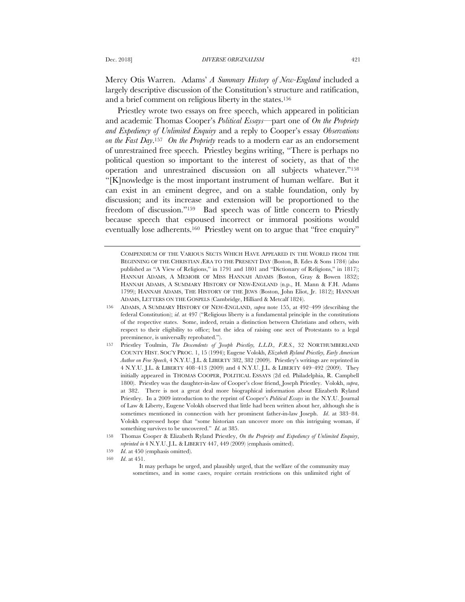Mercy Otis Warren. Adams' *A Summary History of New-England* included a largely descriptive discussion of the Constitution's structure and ratification, and a brief comment on religious liberty in the states.156

Priestley wrote two essays on free speech, which appeared in politician and academic Thomas Cooper's *Political Essays*—part one of *On the Propriety and Expediency of Unlimited Enquiry* and a reply to Cooper's essay *Observations on the Fast Day*.157 *On the Propriety* reads to a modern ear as an endorsement of unrestrained free speech. Priestley begins writing, "There is perhaps no political question so important to the interest of society, as that of the operation and unrestrained discussion on all subjects whatever."158 "[K]nowledge is the most important instrument of human welfare. But it can exist in an eminent degree, and on a stable foundation, only by discussion; and its increase and extension will be proportioned to the freedom of discussion."159 Bad speech was of little concern to Priestly because speech that espoused incorrect or immoral positions would eventually lose adherents.<sup>160</sup> Priestley went on to argue that "free enquiry"

COMPENDIUM OF THE VARIOUS SECTS WHICH HAVE APPEARED IN THE WORLD FROM THE BEGINNING OF THE CHRISTIAN ÆRA TO THE PRESENT DAY (Boston, B. Edes & Sons 1784) (also published as "A View of Religions," in 1791 and 1801 and "Dictionary of Religions," in 1817); HANNAH ADAMS, A MEMOIR OF MISS HANNAH ADAMS (Boston, Gray & Bowen 1832); HANNAH ADAMS, A SUMMARY HISTORY OF NEW-ENGLAND (n.p., H. Mann & F.H. Adams 1799); HANNAH ADAMS, THE HISTORY OF THE JEWS (Boston, John Eliot, Jr. 1812); HANNAH ADAMS, LETTERS ON THE GOSPELS (Cambridge, Hilliard & Metcalf 1824).

<sup>156</sup> ADAMS, A SUMMARY HISTORY OF NEW-ENGLAND, *supra* note 155, at 492–499 (describing the federal Constitution); *id*. at 497 ("Religious liberty is a fundamental principle in the constitutions of the respective states. Some, indeed, retain a distinction between Christians and others, with respect to their eligibility to office; but the idea of raising one sect of Protestants to a legal preeminence, is universally reprobated.").

<sup>157</sup> Priestley Toulmin, *The Descendents of Joseph Priestley, L.L.D., F.R.S.*, 32 NORTHUMBERLAND COUNTY HIST. SOC'Y PROC. 1, 15 (1994); Eugene Volokh, *Elizabeth Ryland Priestley, Early American Author on Free Speech*, 4 N.Y.U. J.L. & LIBERTY 382, 382 (2009). Priestley's writings are reprinted in 4 N.Y.U. J.L. & LIBERTY 408–413 (2009) and 4 N.Y.U. J.L. & LIBERTY 449–492 (2009). They initially appeared in THOMAS COOPER, POLITICAL ESSAYS (2d ed. Philadelphia, R. Campbell 1800). Priestley was the daughter-in-law of Cooper's close friend, Joseph Priestley. Volokh, *supra*, at 382. There is not a great deal more biographical information about Elizabeth Ryland Priestley. In a 2009 introduction to the reprint of Cooper's *Political Essays* in the N.Y.U. Journal of Law & Liberty, Eugene Volokh observed that little had been written about her, although she is sometimes mentioned in connection with her prominent father-in-law Joseph. *Id*. at 383–84. Volokh expressed hope that "some historian can uncover more on this intriguing woman, if something survives to be uncovered." *Id*. at 385.

<sup>158</sup> Thomas Cooper & Elizabeth Ryland Priestley, *On the Propriety and Expediency of Unlimited Enquiry*, *reprinted in* 4 N.Y.U. J.L. & LIBERTY 447, 449 (2009) (emphasis omitted).

<sup>159</sup> *Id*. at 450 (emphasis omitted).

<sup>160</sup> *Id*. at 451.

It may perhaps be urged, and plausibly urged, that the welfare of the community may sometimes, and in some cases, require certain restrictions on this unlimited right of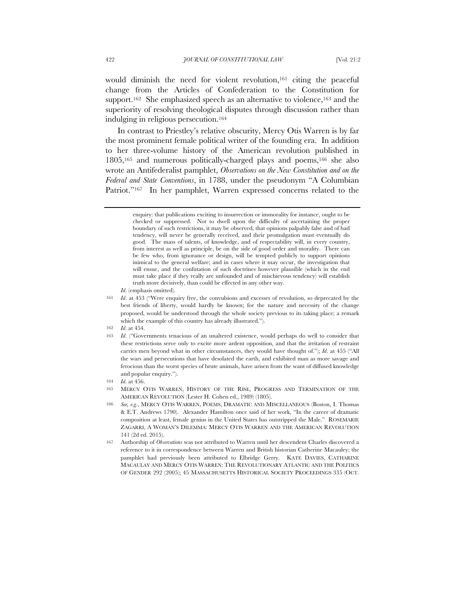would diminish the need for violent revolution,<sup>161</sup> citing the peaceful change from the Articles of Confederation to the Constitution for support.<sup>162</sup> She emphasized speech as an alternative to violence,<sup>163</sup> and the superiority of resolving theological disputes through discussion rather than indulging in religious persecution.164

In contrast to Priestley's relative obscurity, Mercy Otis Warren is by far the most prominent female political writer of the founding era. In addition to her three-volume history of the American revolution published in 1805,165 and numerous politically-charged plays and poems,166 she also wrote an Antifederalist pamphlet, *Observations on the New Constitution and on the Federal and State Conventions*, in 1788, under the pseudonym "A Columbian Patriot."<sup>167</sup> In her pamphlet, Warren expressed concerns related to the

enquiry: that publications exciting to insurrection or immorality for instance, ought to be checked or suppressed. Not to dwell upon the difficulty of ascertaining the proper boundary of such restrictions, it may be observed, that opinions palpably false and of bad tendency, will never be generally received, and their promulgation must eventually do good. The mass of talents, of knowledge, and of respectability will, in every country, from interest as well as principle, be on the side of good order and morality. There can be few who, from ignorance or design, will be tempted publicly to support opinions inimical to the general welfare; and in cases where it may occur, the investigation that will ensue, and the confutation of such doctrines however plausible (which in the end must take place if they really are unfounded and of mischievous tendency) will establish truth more decisively, than could be effected in any other way.

*Id*. (emphasis omitted).

<sup>161</sup> *Id*. at 453 ("Were enquiry free, the convulsions and excesses of revolution, so deprecated by the best friends of liberty, would hardly be known; for the nature and necessity of the change proposed, would be understood through the whole society previous to its taking place; a remark which the example of this country has already illustrated.").

<sup>162</sup> *Id*. at 454.

<sup>163</sup> *Id*. ("Governments tenacious of an unaltered existence, would perhaps do well to consider that these restrictions serve only to excite more ardent opposition, and that the irritation of restraint carries men beyond what in other circumstances, they would have thought of."); *Id*. at 455 ("All the wars and persecutions that have desolated the earth, and exhibited man as more savage and ferocious than the worst species of brute animals, have arisen from the want of diffused knowledge and popular enquiry.").

<sup>164</sup> *Id*. at 456.

<sup>165</sup> MERCY OTIS WARREN, HISTORY OF THE RISE, PROGRESS AND TERMINATION OF THE AMERICAN REVOLUTION (Lester H. Cohen ed., 1989) (1805).

<sup>166</sup> *See, e.g.*, MERCY OTIS WARREN, POEMS, DRAMATIC AND MISCELLANEOUS (Boston, I. Thomas & E.T. Andrews 1790). Alexander Hamilton once said of her work, "In the career of dramatic composition at least, female genius in the United States has outstripped the Male." ROSEMARIE ZAGARRI, A WOMAN'S DILEMMA: MERCY OTIS WARREN AND THE AMERICAN REVOLUTION 141 (2d ed. 2015).

<sup>167</sup> Authorship of *Observations* was not attributed to Warren until her descendent Charles discovered a reference to it in correspondence between Warren and British historian Catherine Macauley; the pamphlet had previously been attributed to Elbridge Gerry. KATE DAVIES, CATHARINE MACAULAY AND MERCY OTIS WARREN: THE REVOLUTIONARY ATLANTIC AND THE POLITICS OF GENDER 292 (2005); 45 MASSACHUSETTS HISTORICAL SOCIETY PROCEEDINGS 335 (OCT.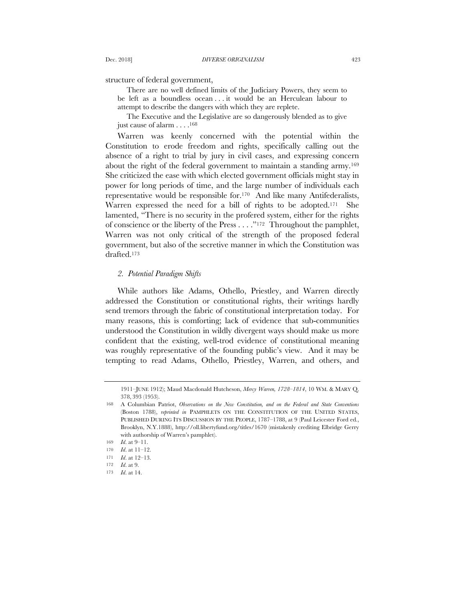structure of federal government,

There are no well defined limits of the Judiciary Powers, they seem to be left as a boundless ocean . . . it would be an Herculean labour to attempt to describe the dangers with which they are replete.

The Executive and the Legislative are so dangerously blended as to give just cause of alarm . . . .168

Warren was keenly concerned with the potential within the Constitution to erode freedom and rights, specifically calling out the absence of a right to trial by jury in civil cases, and expressing concern about the right of the federal government to maintain a standing army.169 She criticized the ease with which elected government officials might stay in power for long periods of time, and the large number of individuals each representative would be responsible for.170 And like many Antifederalists, Warren expressed the need for a bill of rights to be adopted.<sup>171</sup> She lamented, "There is no security in the profered system, either for the rights of conscience or the liberty of the Press . . . ."172 Throughout the pamphlet, Warren was not only critical of the strength of the proposed federal government, but also of the secretive manner in which the Constitution was drafted.173

### *2. Potential Paradigm Shifts*

While authors like Adams, Othello, Priestley, and Warren directly addressed the Constitution or constitutional rights, their writings hardly send tremors through the fabric of constitutional interpretation today. For many reasons, this is comforting; lack of evidence that sub-communities understood the Constitution in wildly divergent ways should make us more confident that the existing, well-trod evidence of constitutional meaning was roughly representative of the founding public's view. And it may be tempting to read Adams, Othello, Priestley, Warren, and others, and

<sup>1911–</sup>JUNE 1912); Maud Macdonald Hutcheson, *Mercy Warren, 1728–1814*, 10 WM. & MARY Q. 378, 393 (1953).

<sup>168</sup> A Columbian Patriot, *Observations on the New Constitution, and on the Federal and State Conventions*  (Boston 1788), *reprinted in* PAMPHLETS ON THE CONSTITUTION OF THE UNITED STATES, PUBLISHED DURING ITS DISCUSSION BY THE PEOPLE, 1787–1788, at 9 (Paul Leicester Ford ed., Brooklyn, N.Y.1888), http://oll.libertyfund.org/titles/1670 (mistakenly crediting Elbridge Gerry with authorship of Warren's pamphlet).

<sup>169</sup> *Id*. at 9–11.

<sup>170</sup> *Id*. at 11–12.

<sup>171</sup> *Id*. at 12–13.

<sup>172</sup> *Id*. at 9.

<sup>173</sup> *Id*. at 14.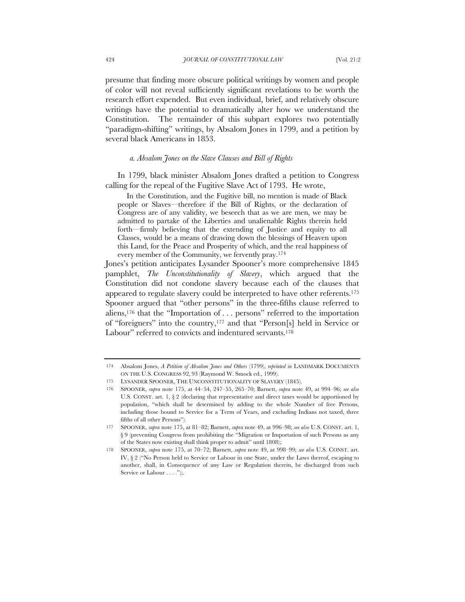presume that finding more obscure political writings by women and people of color will not reveal sufficiently significant revelations to be worth the research effort expended. But even individual, brief, and relatively obscure writings have the potential to dramatically alter how we understand the Constitution. The remainder of this subpart explores two potentially "paradigm-shifting" writings, by Absalom Jones in 1799, and a petition by several black Americans in 1853.

## *a. Absalom Jones on the Slave Clauses and Bill of Rights*

In 1799, black minister Absalom Jones drafted a petition to Congress calling for the repeal of the Fugitive Slave Act of 1793. He wrote,

In the Constitution, and the Fugitive bill, no mention is made of Black people or Slaves—therefore if the Bill of Rights, or the declaration of Congress are of any validity, we beseech that as we are men, we may be admitted to partake of the Liberties and unalienable Rights therein held forth—firmly believing that the extending of Justice and equity to all Classes, would be a means of drawing down the blessings of Heaven upon this Land, for the Peace and Prosperity of which, and the real happiness of every member of the Community, we fervently pray.174

Jones's petition anticipates Lysander Spooner's more comprehensive 1845 pamphlet, *The Unconstitutionality of Slavery*, which argued that the Constitution did not condone slavery because each of the clauses that appeared to regulate slavery could be interpreted to have other referents.175 Spooner argued that "other persons" in the three-fifths clause referred to aliens,176 that the "Importation of . . . persons" referred to the importation of "foreigners" into the country,177 and that "Person[s] held in Service or Labour" referred to convicts and indentured servants.<sup>178</sup>

<sup>174</sup> Absalom Jones, *A Petition of Absalom Jones and Others* (1799), *reprinted in* LANDMARK DOCUMENTS ON THE U.S. CONGRESS 92, 93 (Raymond W. Smock ed., 1999).

<sup>175</sup> LYSANDER SPOONER, THE UNCONSTITUTIONALITY OF SLAVERY (1845).

<sup>176</sup> SPOONER, *supra* note 175, at 44–54, 247–55, 265–70; Barnett, *supra* note 49, at 994–96; *see also* U.S. CONST. art. 1, § 2 (declaring that representative and direct taxes would be apportioned by population, "which shall be determined by adding to the whole Number of free Persons, including those bound to Service for a Term of Years, and excluding Indians not taxed, three fifths of all other Persons").

<sup>177</sup> SPOONER, *supra* note 175, at 81–82; Barnett, *supra* note 49, at 996–98; *see also* U.S. CONST. art. 1, § 9 (preventing Congress from prohibiting the "Migration or Importation of such Persons as any of the States now existing shall think proper to admit" until 1808);.

<sup>178</sup> SPOONER, *supra* note 175, at 70–72; Barnett, *supra* note 49, at 998–99; *see also* U.S. CONST. art. IV, § 2 ("No Person held to Service or Labour in one State, under the Laws thereof, escaping to another, shall, in Consequence of any Law or Regulation therein, be discharged from such Service or Labour . . . .");.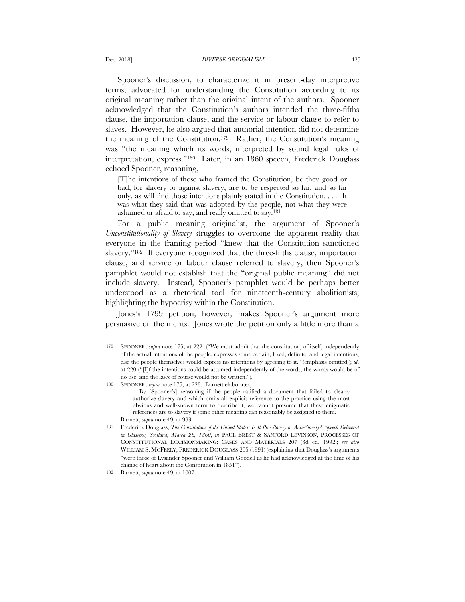Spooner's discussion, to characterize it in present-day interpretive terms, advocated for understanding the Constitution according to its original meaning rather than the original intent of the authors. Spooner acknowledged that the Constitution's authors intended the three-fifths clause, the importation clause, and the service or labour clause to refer to slaves. However, he also argued that authorial intention did not determine the meaning of the Constitution.179 Rather, the Constitution's meaning was "the meaning which its words, interpreted by sound legal rules of interpretation, express."180 Later, in an 1860 speech, Frederick Douglass echoed Spooner, reasoning,

[T]he intentions of those who framed the Constitution, be they good or bad, for slavery or against slavery, are to be respected so far, and so far only, as will find those intentions plainly stated in the Constitution. . . . It was what they said that was adopted by the people, not what they were ashamed or afraid to say, and really omitted to say.181

For a public meaning originalist, the argument of Spooner's *Unconstitutionality of Slavery* struggles to overcome the apparent reality that everyone in the framing period "knew that the Constitution sanctioned slavery."182 If everyone recognized that the three-fifths clause, importation clause, and service or labour clause referred to slavery, then Spooner's pamphlet would not establish that the "original public meaning" did not include slavery. Instead, Spooner's pamphlet would be perhaps better understood as a rhetorical tool for nineteenth-century abolitionists, highlighting the hypocrisy within the Constitution.

Jones's 1799 petition, however, makes Spooner's argument more persuasive on the merits. Jones wrote the petition only a little more than a

<sup>179</sup> SPOONER, *supra* note 175, at 222 ("We must admit that the constitution, of itself, independently of the actual intentions of the people, expresses some certain, fixed, definite, and legal intentions; else the people themselves would express no intentions by agreeing to it." (emphasis omitted)); *id*. at 220 ("[I]f the intentions could be assumed independently of the words, the words would be of no use, and the laws of course would not be written.").

<sup>180</sup> SPOONER, *supra* note 175, at 223. Barnett elaborates,

By [Spooner's] reasoning if the people ratified a document that failed to clearly authorize slavery and which omits all explicit reference to the practice using the most obvious and well-known term to describe it, we cannot presume that these enigmatic references are to slavery if some other meaning can reasonably be assigned to them. Barnett, *supra* note 49, at 993.

<sup>181</sup> Frederick Douglass, *The Constitution of the United States: Is It Pro-Slavery or Anti-Slavery?, Speech Delivered in Glasgow, Scotland, March 26, 1860*, *in* PAUL BREST & SANFORD LEVINSON, PROCESSES OF CONSTITUTIONAL DECISIONMAKING: CASES AND MATERIALS 207 (3d ed. 1992); *see also*  WILLIAM S. MCFEELY, FREDERICK DOUGLASS 205 (1991) (explaining that Douglass's arguments "were those of Lysander Spooner and William Goodell as he had acknowledged at the time of his change of heart about the Constitution in 1851").

<sup>182</sup> Barnett, *supra* note 49, at 1007.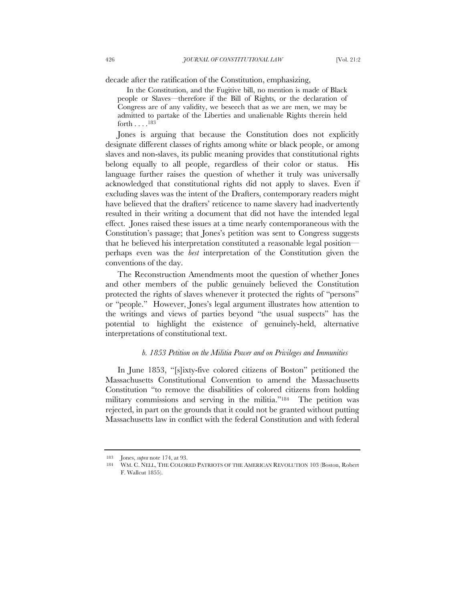decade after the ratification of the Constitution, emphasizing,

In the Constitution, and the Fugitive bill, no mention is made of Black people or Slaves—therefore if the Bill of Rights, or the declaration of Congress are of any validity, we beseech that as we are men, we may be admitted to partake of the Liberties and unalienable Rights therein held forth . . . .183

Jones is arguing that because the Constitution does not explicitly designate different classes of rights among white or black people, or among slaves and non-slaves, its public meaning provides that constitutional rights belong equally to all people, regardless of their color or status. His language further raises the question of whether it truly was universally acknowledged that constitutional rights did not apply to slaves. Even if excluding slaves was the intent of the Drafters, contemporary readers might have believed that the drafters' reticence to name slavery had inadvertently resulted in their writing a document that did not have the intended legal effect. Jones raised these issues at a time nearly contemporaneous with the Constitution's passage; that Jones's petition was sent to Congress suggests that he believed his interpretation constituted a reasonable legal position perhaps even was the *best* interpretation of the Constitution given the conventions of the day.

The Reconstruction Amendments moot the question of whether Jones and other members of the public genuinely believed the Constitution protected the rights of slaves whenever it protected the rights of "persons" or "people." However, Jones's legal argument illustrates how attention to the writings and views of parties beyond "the usual suspects" has the potential to highlight the existence of genuinely-held, alternative interpretations of constitutional text.

#### *b. 1853 Petition on the Militia Power and on Privileges and Immunities*

In June 1853, "[s]ixty-five colored citizens of Boston" petitioned the Massachusetts Constitutional Convention to amend the Massachusetts Constitution "to remove the disabilities of colored citizens from holding military commissions and serving in the militia."184 The petition was rejected, in part on the grounds that it could not be granted without putting Massachusetts law in conflict with the federal Constitution and with federal

<sup>183</sup> Jones, *supra* note 174, at 93.

<sup>184</sup> WM. C. NELL, THE COLORED PATRIOTS OF THE AMERICAN REVOLUTION 103 (Boston, Robert F. Wallcut 1855).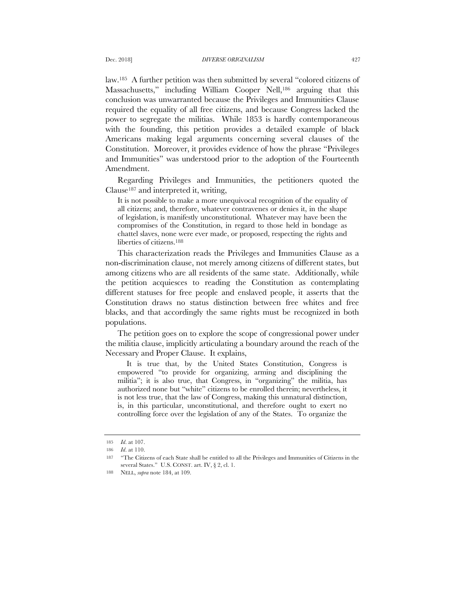law.185 A further petition was then submitted by several "colored citizens of Massachusetts," including William Cooper Nell,186 arguing that this conclusion was unwarranted because the Privileges and Immunities Clause required the equality of all free citizens, and because Congress lacked the power to segregate the militias. While 1853 is hardly contemporaneous with the founding, this petition provides a detailed example of black Americans making legal arguments concerning several clauses of the Constitution. Moreover, it provides evidence of how the phrase "Privileges and Immunities" was understood prior to the adoption of the Fourteenth Amendment.

Regarding Privileges and Immunities, the petitioners quoted the  $Clause<sup>187</sup>$  and interpreted it, writing,

It is not possible to make a more unequivocal recognition of the equality of all citizens; and, therefore, whatever contravenes or denies it, in the shape of legislation, is manifestly unconstitutional. Whatever may have been the compromises of the Constitution, in regard to those held in bondage as chattel slaves, none were ever made, or proposed, respecting the rights and liberties of citizens.188

This characterization reads the Privileges and Immunities Clause as a non-discrimination clause, not merely among citizens of different states, but among citizens who are all residents of the same state. Additionally, while the petition acquiesces to reading the Constitution as contemplating different statuses for free people and enslaved people, it asserts that the Constitution draws no status distinction between free whites and free blacks, and that accordingly the same rights must be recognized in both populations.

The petition goes on to explore the scope of congressional power under the militia clause, implicitly articulating a boundary around the reach of the Necessary and Proper Clause. It explains,

It is true that, by the United States Constitution, Congress is empowered "to provide for organizing, arming and disciplining the militia"; it is also true, that Congress, in "organizing" the militia, has authorized none but "white" citizens to be enrolled therein; nevertheless, it is not less true, that the law of Congress, making this unnatural distinction, is, in this particular, unconstitutional, and therefore ought to exert no controlling force over the legislation of any of the States. To organize the

<sup>185</sup> *Id*. at 107.

<sup>186</sup> *Id*. at 110.

<sup>187</sup> "The Citizens of each State shall be entitled to all the Privileges and Immunities of Citizens in the several States." U.S. CONST. art. IV, § 2, cl. 1.

<sup>188</sup> NELL, *supra* note 184, at 109.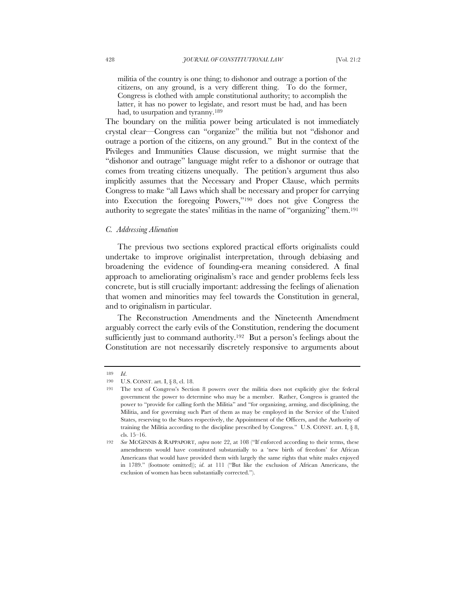militia of the country is one thing; to dishonor and outrage a portion of the citizens, on any ground, is a very different thing. To do the former, Congress is clothed with ample constitutional authority; to accomplish the latter, it has no power to legislate, and resort must be had, and has been had, to usurpation and tyranny.<sup>189</sup>

The boundary on the militia power being articulated is not immediately crystal clear—Congress can "organize" the militia but not "dishonor and outrage a portion of the citizens, on any ground." But in the context of the Pivileges and Immunities Clause discussion, we might surmise that the "dishonor and outrage" language might refer to a dishonor or outrage that comes from treating citizens unequally. The petition's argument thus also implicitly assumes that the Necessary and Proper Clause, which permits Congress to make "all Laws which shall be necessary and proper for carrying into Execution the foregoing Powers,"190 does not give Congress the authority to segregate the states' militias in the name of "organizing" them.191

# *C. Addressing Alienation*

The previous two sections explored practical efforts originalists could undertake to improve originalist interpretation, through debiasing and broadening the evidence of founding-era meaning considered. A final approach to ameliorating originalism's race and gender problems feels less concrete, but is still crucially important: addressing the feelings of alienation that women and minorities may feel towards the Constitution in general, and to originalism in particular.

The Reconstruction Amendments and the Nineteenth Amendment arguably correct the early evils of the Constitution, rendering the document sufficiently just to command authority.<sup>192</sup> But a person's feelings about the Constitution are not necessarily discretely responsive to arguments about

<sup>189</sup> *Id*.

<sup>190</sup> U.S. CONST. art. I, § 8, cl. 18.

<sup>191</sup> The text of Congress's Section 8 powers over the militia does not explicitly give the federal government the power to determine who may be a member. Rather, Congress is granted the power to "provide for calling forth the Militia" and "for organizing, arming, and disciplining, the Militia, and for governing such Part of them as may be employed in the Service of the United States, reserving to the States respectively, the Appointment of the Officers, and the Authority of training the Militia according to the discipline prescribed by Congress." U.S. CONST. art. I, § 8, cls. 15–16.

<sup>192</sup> *See* MCGINNIS & RAPPAPORT, *supra* note 22, at 108 ("If enforced according to their terms, these amendments would have constituted substantially to a 'new birth of freedom' for African Americans that would have provided them with largely the same rights that white males enjoyed in 1789." (footnote omitted)); *id*. at 111 ("But like the exclusion of African Americans, the exclusion of women has been substantially corrected.").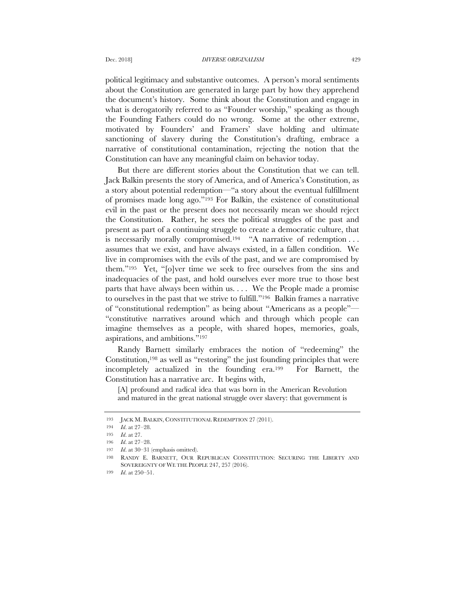political legitimacy and substantive outcomes. A person's moral sentiments about the Constitution are generated in large part by how they apprehend the document's history. Some think about the Constitution and engage in what is derogatorily referred to as "Founder worship," speaking as though the Founding Fathers could do no wrong. Some at the other extreme, motivated by Founders' and Framers' slave holding and ultimate sanctioning of slavery during the Constitution's drafting, embrace a narrative of constitutional contamination, rejecting the notion that the Constitution can have any meaningful claim on behavior today.

But there are different stories about the Constitution that we can tell. Jack Balkin presents the story of America, and of America's Constitution, as a story about potential redemption—"a story about the eventual fulfillment of promises made long ago."193 For Balkin, the existence of constitutional evil in the past or the present does not necessarily mean we should reject the Constitution. Rather, he sees the political struggles of the past and present as part of a continuing struggle to create a democratic culture, that is necessarily morally compromised.<sup>194</sup> "A narrative of redemption ... assumes that we exist, and have always existed, in a fallen condition. We live in compromises with the evils of the past, and we are compromised by them."195 Yet, "[o]ver time we seek to free ourselves from the sins and inadequacies of the past, and hold ourselves ever more true to those best parts that have always been within us. . . . We the People made a promise to ourselves in the past that we strive to fulfill."196 Balkin frames a narrative of "constitutional redemption" as being about "Americans as a people"— "constitutive narratives around which and through which people can imagine themselves as a people, with shared hopes, memories, goals, aspirations, and ambitions."197

Randy Barnett similarly embraces the notion of "redeeming" the Constitution,198 as well as "restoring" the just founding principles that were incompletely actualized in the founding era.199 For Barnett, the Constitution has a narrative arc. It begins with,

[A] profound and radical idea that was born in the American Revolution and matured in the great national struggle over slavery: that government is

<sup>193</sup> JACK M. BALKIN, CONSTITUTIONAL REDEMPTION 27 (2011).

<sup>194</sup> *Id*. at 27–28.

<sup>195</sup> *Id*. at 27.

<sup>196</sup> *Id*. at 27–28.

<sup>197</sup> *Id*. at 30–31 (emphasis omitted).

<sup>198</sup> RANDY E. BARNETT, OUR REPUBLICAN CONSTITUTION: SECURING THE LIBERTY AND SOVEREIGNTY OF WE THE PEOPLE 247, 257 (2016).

<sup>199</sup> *Id*. at 250–51.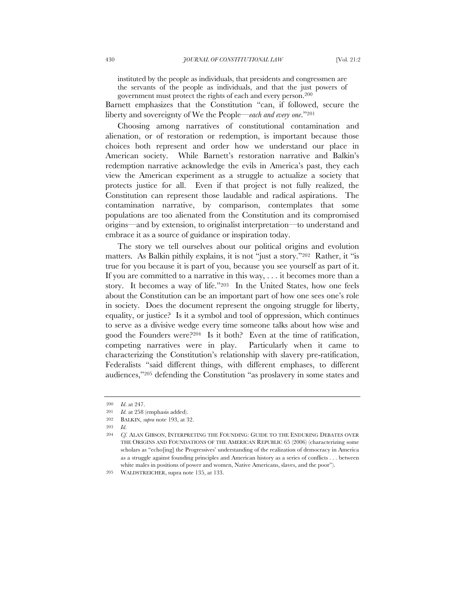instituted by the people as individuals, that presidents and congressmen are the servants of the people as individuals, and that the just powers of government must protect the rights of each and every person.<sup>200</sup>

Barnett emphasizes that the Constitution "can, if followed, secure the liberty and sovereignty of We the People—*each and every one*."201

Choosing among narratives of constitutional contamination and alienation, or of restoration or redemption, is important because those choices both represent and order how we understand our place in American society. While Barnett's restoration narrative and Balkin's redemption narrative acknowledge the evils in America's past, they each view the American experiment as a struggle to actualize a society that protects justice for all. Even if that project is not fully realized, the Constitution can represent those laudable and radical aspirations. The contamination narrative, by comparison, contemplates that some populations are too alienated from the Constitution and its compromised origins—and by extension, to originalist interpretation—to understand and embrace it as a source of guidance or inspiration today.

The story we tell ourselves about our political origins and evolution matters. As Balkin pithily explains, it is not "just a story."202 Rather, it "is true for you because it is part of you, because you see yourself as part of it. If you are committed to a narrative in this way, . . . it becomes more than a story. It becomes a way of life."203 In the United States, how one feels about the Constitution can be an important part of how one sees one's role in society. Does the document represent the ongoing struggle for liberty, equality, or justice? Is it a symbol and tool of oppression, which continues to serve as a divisive wedge every time someone talks about how wise and good the Founders were?204 Is it both? Even at the time of ratification, competing narratives were in play. Particularly when it came to characterizing the Constitution's relationship with slavery pre-ratification, Federalists "said different things, with different emphases, to different audiences,"205 defending the Constitution "as proslavery in some states and

203 *Id*.

<sup>200</sup> *Id*. at 247.

<sup>201</sup> *Id.* at 258 (emphasis added).

<sup>202</sup> BALKIN, *supra* note 193, at 32.

<sup>204</sup> *Cf.* ALAN GIBSON, INTERPRETING THE FOUNDING: GUIDE TO THE ENDURING DEBATES OVER THE ORIGINS AND FOUNDATIONS OF THE AMERICAN REPUBLIC 65 (2006) (characterizing some scholars as "echo[ing] the Progressives' understanding of the realization of democracy in America as a struggle against founding principles and American history as a series of conflicts . . . between white males in positions of power and women, Native Americans, slaves, and the poor").

<sup>205</sup> WALDSTREICHER, supra note 135, at 133.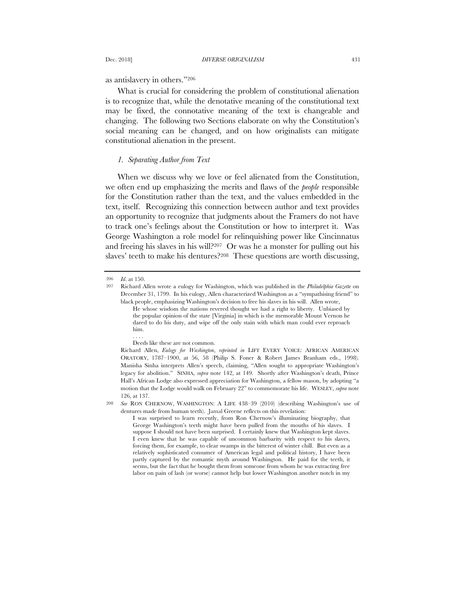as antislavery in others."206

What is crucial for considering the problem of constitutional alienation is to recognize that, while the denotative meaning of the constitutional text may be fixed, the connotative meaning of the text is changeable and changing. The following two Sections elaborate on why the Constitution's social meaning can be changed, and on how originalists can mitigate constitutional alienation in the present.

# *1. Separating Author from Text*

When we discuss why we love or feel alienated from the Constitution, we often end up emphasizing the merits and flaws of the *people* responsible for the Constitution rather than the text, and the values embedded in the text, itself. Recognizing this connection between author and text provides an opportunity to recognize that judgments about the Framers do not have to track one's feelings about the Constitution or how to interpret it. Was George Washington a role model for relinquishing power like Cincinnatus and freeing his slaves in his will?207 Or was he a monster for pulling out his slaves' teeth to make his dentures?<sup>208</sup> These questions are worth discussing,

<sup>206</sup> *Id*. at 150.

<sup>207</sup> Richard Allen wrote a eulogy for Washington, which was published in the *Philadelphia Gazette* on December 31, 1799. In his eulogy, Allen characterized Washington as a "sympathising friend" to black people, emphasizing Washington's decision to free his slaves in his will. Allen wrote,

He whose wisdom the nations revered thought we had a right to liberty. Unbiased by the popular opinion of the state [Virginia] in which is the memorable Mount Vernon he dared to do his duty, and wipe off the only stain with which man could ever reproach him. . . . .

Deeds like these are not common.

Richard Allen, *Eulogy for Washington*, *reprinted in* LIFT EVERY VOICE: AFRICAN AMERICAN ORATORY, 1787–1900, at 56, 58 (Philip S. Foner & Robert James Branham eds., 1998)*.*  Manisha Sinha interprets Allen's speech, claiming, "Allen sought to appropriate Washington's legacy for abolition." SINHA, *supra* note 142, at 149. Shortly after Washington's death, Prince Hall's African Lodge also expressed appreciation for Washington, a fellow mason, by adopting "a motion that the Lodge would walk on February 22" to commemorate his life. WESLEY, *supra* note 126, at 137.

<sup>208</sup> *See* RON CHERNOW, WASHINGTON: A LIFE 438–39 (2010) (describing Washington's use of dentures made from human teeth). Jamal Greene reflects on this revelation:

I was surprised to learn recently, from Ron Chernow's illuminating biography, that George Washington's teeth might have been pulled from the mouths of his slaves. I suppose I should not have been surprised. I certainly knew that Washington kept slaves. I even knew that he was capable of uncommon barbarity with respect to his slaves, forcing them, for example, to clear swamps in the bitterest of winter chill. But even as a relatively sophisticated consumer of American legal and political history, I have been partly captured by the romantic myth around Washington. He paid for the teeth, it seems, but the fact that he bought them from someone from whom he was extracting free labor on pain of lash (or worse) cannot help but lower Washington another notch in my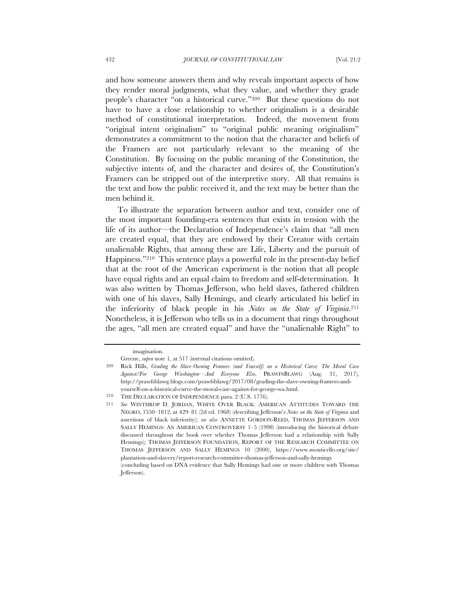and how someone answers them and why reveals important aspects of how they render moral judgments, what they value, and whether they grade people's character "on a historical curve."209 But these questions do not have to have a close relationship to whether originalism is a desirable method of constitutional interpretation. Indeed, the movement from "original intent originalism" to "original public meaning originalism" demonstrates a commitment to the notion that the character and beliefs of the Framers are not particularly relevant to the meaning of the Constitution. By focusing on the public meaning of the Constitution, the subjective intents of, and the character and desires of, the Constitution's Framers can be stripped out of the interpretive story. All that remains is the text and how the public received it, and the text may be better than the men behind it.

To illustrate the separation between author and text, consider one of the most important founding-era sentences that exists in tension with the life of its author—the Declaration of Independence's claim that "all men are created equal, that they are endowed by their Creator with certain unalienable Rights, that among these are Life, Liberty and the pursuit of Happiness."210 This sentence plays a powerful role in the present-day belief that at the root of the American experiment is the notion that all people have equal rights and an equal claim to freedom and self-determination. It was also written by Thomas Jefferson, who held slaves, fathered children with one of his slaves, Sally Hemings, and clearly articulated his belief in the inferiority of black people in his *Notes on the State of Virginia*.211 Nonetheless, it is Jefferson who tells us in a document that rings throughout the ages, "all men are created equal" and have the "unalienable Right" to

imagination.

Greene, *supra* note 1, at 517 (internal citations omitted).

<sup>209</sup> Rick Hills, *Grading the Slave-Owning Framers (and Yourself) on a Historical Curve: The Moral Case Against/For George Washington—And Everyone Else*, PRAWFSBLAWG (Aug. 31, 2017), http://prawfsblawg.blogs.com/prawfsblawg/2017/08/grading-the-slave-owning-framers-andyourself-on-a-historical-curve-the-moral-case-against-for-george-wa.html.

<sup>210</sup> THE DECLARATION OF INDEPENDENCE para. 2 (U.S. 1776).

<sup>211</sup> *See* WINTHROP D. JORDAN, WHITE OVER BLACK: AMERICAN ATTITUDES TOWARD THE NEGRO, 1550–1812, at 429–81 (2d ed. 1968) (describing Jefferson's *Notes on the State of Virginia* and assertions of black inferiority); *see also* ANNETTE GORDON-REED, THOMAS JEFFERSON AND SALLY HEMINGS: AN AMERICAN CONTROVERSY 1–5 (1998) (introducing the historical debate discussed throughout the book over whether Thomas Jefferson had a relationship with Sally Hemings); THOMAS JEFFERSON FOUNDATION, REPORT OF THE RESEARCH COMMITTEE ON THOMAS JEFFERSON AND SALLY HEMINGS 10 (2000), https://www.monticello.org/site/ plantation-and-slavery/report-research-committee-thomas-jefferson-and-sally-hemings (concluding based on DNA evidence that Sally Hemings had one or more children with Thomas

Jefferson).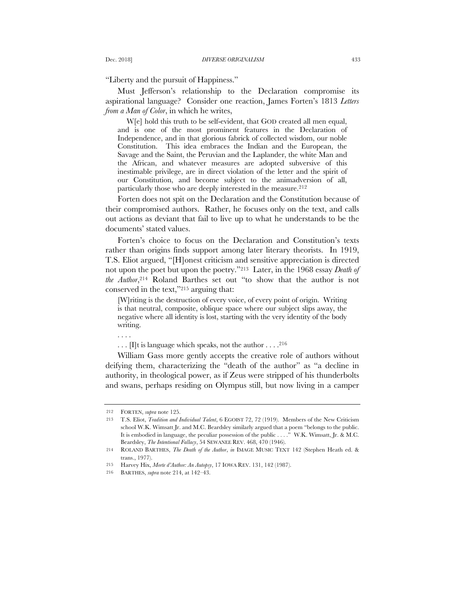"Liberty and the pursuit of Happiness."

Must Jefferson's relationship to the Declaration compromise its aspirational language? Consider one reaction, James Forten's 1813 *Letters from a Man of Color*, in which he writes,

W[e] hold this truth to be self-evident, that GOD created all men equal, and is one of the most prominent features in the Declaration of Independence, and in that glorious fabrick of collected wisdom, our noble Constitution. This idea embraces the Indian and the European, the Savage and the Saint, the Peruvian and the Laplander, the white Man and the African, and whatever measures are adopted subversive of this inestimable privilege, are in direct violation of the letter and the spirit of our Constitution, and become subject to the animadversion of all, particularly those who are deeply interested in the measure.<sup>212</sup>

Forten does not spit on the Declaration and the Constitution because of their compromised authors. Rather, he focuses only on the text, and calls out actions as deviant that fail to live up to what he understands to be the documents' stated values.

Forten's choice to focus on the Declaration and Constitution's texts rather than origins finds support among later literary theorists. In 1919, T.S. Eliot argued, "[H]onest criticism and sensitive appreciation is directed not upon the poet but upon the poetry."213 Later, in the 1968 essay *Death of the Author*,<sup>214</sup> Roland Barthes set out "to show that the author is not conserved in the text,"215 arguing that:

[W]riting is the destruction of every voice, of every point of origin. Writing is that neutral, composite, oblique space where our subject slips away, the negative where all identity is lost, starting with the very identity of the body writing.

. . . .

. . . [I]t is language which speaks, not the author . . . .216

William Gass more gently accepts the creative role of authors without deifying them, characterizing the "death of the author" as "a decline in authority, in theological power, as if Zeus were stripped of his thunderbolts and swans, perhaps residing on Olympus still, but now living in a camper

<sup>212</sup> FORTEN, *supra* note 125.

<sup>213</sup> T.S. Eliot, *Tradition and Individual Talent*, 6 EGOIST 72, 72 (1919). Members of the New Criticism school W.K. Wimsatt Jr. and M.C. Beardsley similarly argued that a poem "belongs to the public. It is embodied in language, the peculiar possession of the public . . . ." W.K. Wimsatt, Jr. & M.C. Beardsley, *The Intentional Fallacy*, 54 SEWANEE REV. 468, 470 (1946).

<sup>214</sup> ROLAND BARTHES, *The Death of the Author*, *in* IMAGE MUSIC TEXT 142 (Stephen Heath ed. & trans., 1977).

<sup>215</sup> Harvey Hix, *Morte d'Author: An Autopsy*, 17 IOWA REV. 131, 142 (1987).

<sup>216</sup> BARTHES, *supra* note 214, at 142–43.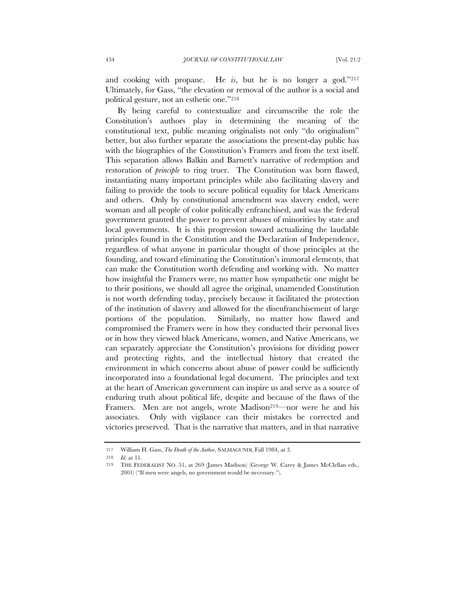and cooking with propane. He *is*, but he is no longer a god."217 Ultimately, for Gass, "the elevation or removal of the author is a social and political gesture, not an esthetic one."218

By being careful to contextualize and circumscribe the role the Constitution's authors play in determining the meaning of the constitutional text, public meaning originalists not only "do originalism" better, but also further separate the associations the present-day public has with the biographies of the Constitution's Framers and from the text itself. This separation allows Balkin and Barnett's narrative of redemption and restoration of *principle* to ring truer. The Constitution was born flawed, instantiating many important principles while also facilitating slavery and failing to provide the tools to secure political equality for black Americans and others. Only by constitutional amendment was slavery ended, were woman and all people of color politically enfranchised, and was the federal government granted the power to prevent abuses of minorities by state and local governments. It is this progression toward actualizing the laudable principles found in the Constitution and the Declaration of Independence, regardless of what anyone in particular thought of those principles at the founding, and toward eliminating the Constitution's immoral elements, that can make the Constitution worth defending and working with. No matter how insightful the Framers were, no matter how sympathetic one might be to their positions, we should all agree the original, unamended Constitution is not worth defending today, precisely because it facilitated the protection of the institution of slavery and allowed for the disenfranchisement of large portions of the population. Similarly, no matter how flawed and compromised the Framers were in how they conducted their personal lives or in how they viewed black Americans, women, and Native Americans, we can separately appreciate the Constitution's provisions for dividing power and protecting rights, and the intellectual history that created the environment in which concerns about abuse of power could be sufficiently incorporated into a foundational legal document. The principles and text at the heart of American government can inspire us and serve as a source of enduring truth about political life, despite and because of the flaws of the Framers. Men are not angels, wrote Madison<sup>219</sup>—nor were he and his associates. Only with vigilance can their mistakes be corrected and victories preserved. That is the narrative that matters, and in that narrative

<sup>217</sup> William H. Gass, *The Death of the Author*, SALMAGUNDI, Fall 1984, at 3.

<sup>218</sup> *Id*. at 11.

<sup>219</sup> THE FEDERALIST NO. 51, at 269 (James Madison) (George W. Carey & James McClellan eds., 2001) ("If men were angels, no government would be necessary.").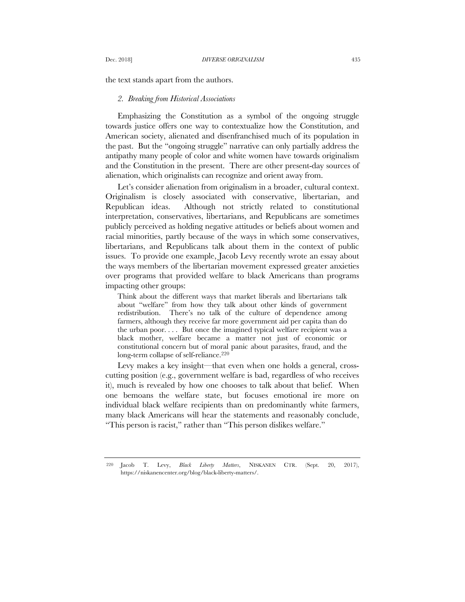the text stands apart from the authors.

### *2. Breaking from Historical Associations*

Emphasizing the Constitution as a symbol of the ongoing struggle towards justice offers one way to contextualize how the Constitution, and American society, alienated and disenfranchised much of its population in the past. But the "ongoing struggle" narrative can only partially address the antipathy many people of color and white women have towards originalism and the Constitution in the present. There are other present-day sources of alienation, which originalists can recognize and orient away from.

Let's consider alienation from originalism in a broader, cultural context. Originalism is closely associated with conservative, libertarian, and Republican ideas. Although not strictly related to constitutional interpretation, conservatives, libertarians, and Republicans are sometimes publicly perceived as holding negative attitudes or beliefs about women and racial minorities, partly because of the ways in which some conservatives, libertarians, and Republicans talk about them in the context of public issues. To provide one example, Jacob Levy recently wrote an essay about the ways members of the libertarian movement expressed greater anxieties over programs that provided welfare to black Americans than programs impacting other groups:

Think about the different ways that market liberals and libertarians talk about "welfare" from how they talk about other kinds of government redistribution. There's no talk of the culture of dependence among farmers, although they receive far more government aid per capita than do the urban poor. . . . But once the imagined typical welfare recipient was a black mother, welfare became a matter not just of economic or constitutional concern but of moral panic about parasites, fraud, and the long-term collapse of self-reliance.220

Levy makes a key insight—that even when one holds a general, crosscutting position (e.g., government welfare is bad, regardless of who receives it), much is revealed by how one chooses to talk about that belief. When one bemoans the welfare state, but focuses emotional ire more on individual black welfare recipients than on predominantly white farmers, many black Americans will hear the statements and reasonably conclude, "This person is racist," rather than "This person dislikes welfare."

<sup>220</sup> Jacob T. Levy, *Black Liberty Matters*, NISKANEN CTR. (Sept. 20, 2017), https://niskanencenter.org/blog/black-liberty-matters/.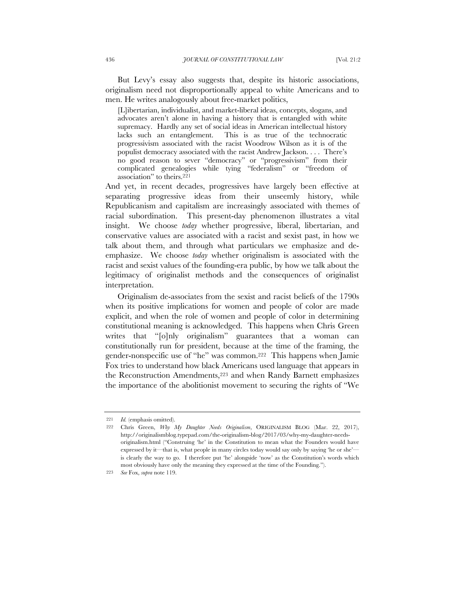But Levy's essay also suggests that, despite its historic associations, originalism need not disproportionally appeal to white Americans and to men. He writes analogously about free-market politics,

[L]ibertarian, individualist, and market-liberal ideas, concepts, slogans, and advocates aren't alone in having a history that is entangled with white supremacy. Hardly any set of social ideas in American intellectual history lacks such an entanglement. This is as true of the technocratic progressivism associated with the racist Woodrow Wilson as it is of the populist democracy associated with the racist Andrew Jackson. . . . There's no good reason to sever "democracy" or "progressivism" from their complicated genealogies while tying "federalism" or "freedom of association" to theirs.221

And yet, in recent decades, progressives have largely been effective at separating progressive ideas from their unseemly history, while Republicanism and capitalism are increasingly associated with themes of racial subordination. This present-day phenomenon illustrates a vital insight. We choose *today* whether progressive, liberal, libertarian, and conservative values are associated with a racist and sexist past, in how we talk about them, and through what particulars we emphasize and deemphasize. We choose *today* whether originalism is associated with the racist and sexist values of the founding-era public, by how we talk about the legitimacy of originalist methods and the consequences of originalist interpretation.

Originalism de-associates from the sexist and racist beliefs of the 1790s when its positive implications for women and people of color are made explicit, and when the role of women and people of color in determining constitutional meaning is acknowledged. This happens when Chris Green writes that "[o]nly originalism" guarantees that a woman can constitutionally run for president, because at the time of the framing, the gender-nonspecific use of "he" was common.222 This happens when Jamie Fox tries to understand how black Americans used language that appears in the Reconstruction Amendments,223 and when Randy Barnett emphasizes the importance of the abolitionist movement to securing the rights of "We

<sup>221</sup> *Id.* (emphasis omitted).

<sup>222</sup> Chris Green, *Why My Daughter Needs Originalism*, ORIGINALISM BLOG (Mar. 22, 2017), http://originalismblog.typepad.com/the-originalism-blog/2017/03/why-my-daughter-needsoriginalism.html ("Construing 'he' in the Constitution to mean what the Founders would have expressed by it—that is, what people in many circles today would say only by saying 'he or she' is clearly the way to go. I therefore put 'he' alongside 'now' as the Constitution's words which most obviously have only the meaning they expressed at the time of the Founding.").

<sup>223</sup> *See* Fox, *supra* note 119.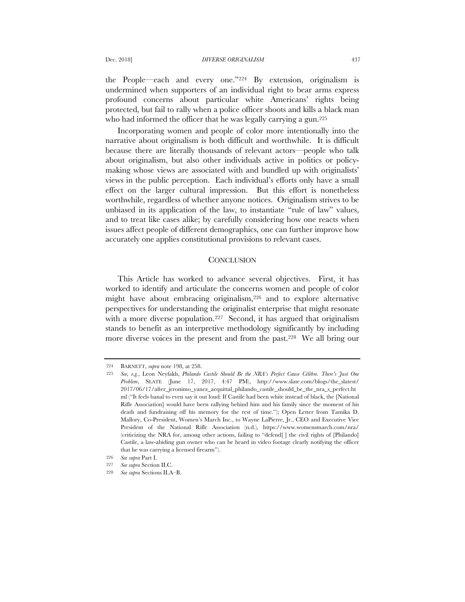the People—each and every one."224 By extension, originalism is undermined when supporters of an individual right to bear arms express profound concerns about particular white Americans' rights being protected, but fail to rally when a police officer shoots and kills a black man who had informed the officer that he was legally carrying a gun.<sup>225</sup>

Incorporating women and people of color more intentionally into the narrative about originalism is both difficult and worthwhile. It is difficult because there are literally thousands of relevant actors—people who talk about originalism, but also other individuals active in politics or policymaking whose views are associated with and bundled up with originalists' views in the public perception. Each individual's efforts only have a small effect on the larger cultural impression. But this effort is nonetheless worthwhile, regardless of whether anyone notices. Originalism strives to be unbiased in its application of the law, to instantiate "rule of law" values, and to treat like cases alike; by carefully considering how one reacts when issues affect people of different demographics, one can further improve how accurately one applies constitutional provisions to relevant cases.

### **CONCLUSION**

This Article has worked to advance several objectives. First, it has worked to identify and articulate the concerns women and people of color might have about embracing originalism,226 and to explore alternative perspectives for understanding the originalist enterprise that might resonate with a more diverse population.<sup>227</sup> Second, it has argued that originalism stands to benefit as an interpretive methodology significantly by including more diverse voices in the present and from the past.228 We all bring our

<sup>224</sup> BARNETT, *supra* note 198, at 258.

<sup>225</sup> *See, e.g.*, Leon Neyfakh, *Philando Castile Should Be the NRA's Perfect Cause Célèbre. There's Just One Problem*, SLATE (June 17, 2017, 4:47 PM), http://www.slate.com/blogs/the\_slatest/ 2017/06/17/after\_jeronimo\_yanez\_acquittal\_philando\_castile\_should\_be\_the\_nra\_s\_perfect.ht ml ("It feels banal to even say it out loud: If Castile had been white instead of black, the [National Rifle Association] would have been rallying behind him and his family since the moment of his death and fundraising off his memory for the rest of time."); Open Letter from Tamika D. Mallory, Co-President, Women's March Inc., to Wayne LaPierre, Jr., CEO and Executive Vice President of the National Rifle Association (n.d.), https://www.womensmarch.com/nra/ (criticizing the NRA for, among other actions, failing to "defend[ ] the civil rights of [Philando] Castile, a law-abiding gun owner who can be heard in video footage clearly notifying the officer that he was carrying a licensed firearm").

<sup>226</sup> *See supra* Part I.

<sup>227</sup> *See supra* Section II.C.

<sup>228</sup> *See supra* Sections II.A–B.